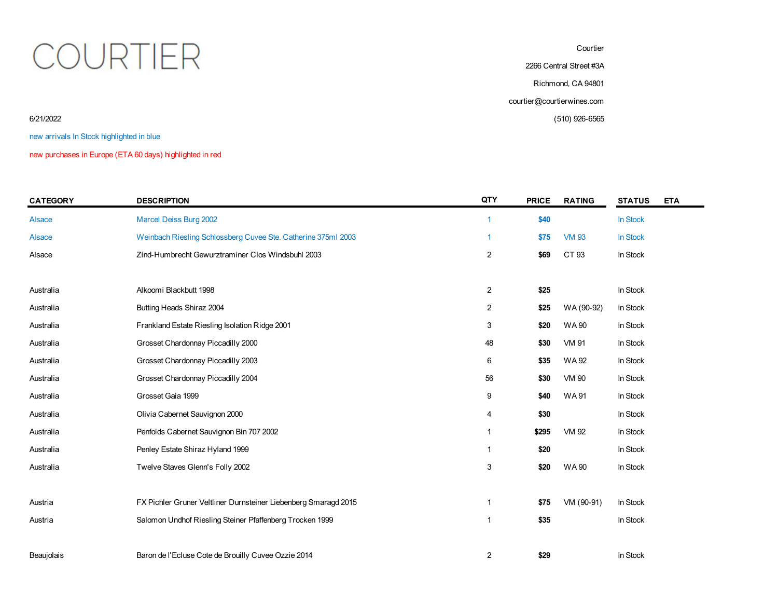## COURTIER

**Courtier** 

2266 Central Street #3A

Richmond, CA 94801

courtier@courtierwines.com

6/21/2022 (510) 926-6565

new arrivals In Stock highlighted in blue

new purchases in Europe (ETA 60 days) highlighted in red

| <b>CATEGORY</b> | <b>DESCRIPTION</b>                                              | QTY            | <b>PRICE</b> | <b>RATING</b> | <b>STATUS</b> | <b>ETA</b> |
|-----------------|-----------------------------------------------------------------|----------------|--------------|---------------|---------------|------------|
| <b>Alsace</b>   | Marcel Deiss Burg 2002                                          | $\overline{1}$ | \$40         |               | In Stock      |            |
| <b>Alsace</b>   | Weinbach Riesling Schlossberg Cuvee Ste. Catherine 375ml 2003   |                | \$75         | <b>VM 93</b>  | In Stock      |            |
| Alsace          | Zind-Humbrecht Gewurztraminer Clos Windsbuhl 2003               | $\overline{2}$ | \$69         | CT 93         | In Stock      |            |
|                 |                                                                 |                |              |               |               |            |
| Australia       | Alkoomi Blackbutt 1998                                          | $\overline{2}$ | \$25         |               | In Stock      |            |
| Australia       | Butting Heads Shiraz 2004                                       | 2              | \$25         | WA (90-92)    | In Stock      |            |
| Australia       | Frankland Estate Riesling Isolation Ridge 2001                  | 3              | \$20         | <b>WA90</b>   | In Stock      |            |
| Australia       | Grosset Chardonnay Piccadilly 2000                              | 48             | \$30         | <b>VM 91</b>  | In Stock      |            |
| Australia       | Grosset Chardonnay Piccadilly 2003                              | 6              | \$35         | WA 92         | In Stock      |            |
| Australia       | Grosset Chardonnay Piccadilly 2004                              | 56             | \$30         | VM 90         | In Stock      |            |
| Australia       | Grosset Gaia 1999                                               | 9              | \$40         | <b>WA91</b>   | In Stock      |            |
| Australia       | Olivia Cabernet Sauvignon 2000                                  | 4              | \$30         |               | In Stock      |            |
| Australia       | Penfolds Cabernet Sauvignon Bin 707 2002                        | 1              | \$295        | <b>VM 92</b>  | In Stock      |            |
| Australia       | Penley Estate Shiraz Hyland 1999                                | 1              | \$20         |               | In Stock      |            |
| Australia       | Twelve Staves Glenn's Folly 2002                                | 3              | \$20         | <b>WA90</b>   | In Stock      |            |
|                 |                                                                 |                |              |               |               |            |
| Austria         | FX Pichler Gruner Veltliner Durnsteiner Liebenberg Smaragd 2015 | $\mathbf{1}$   | \$75         | VM (90-91)    | In Stock      |            |
| Austria         | Salomon Undhof Riesling Steiner Pfaffenberg Trocken 1999        | 1              | \$35         |               | In Stock      |            |
|                 |                                                                 |                |              |               |               |            |
| Beaujolais      | Baron de l'Ecluse Cote de Brouilly Cuvee Ozzie 2014             | $\overline{2}$ | \$29         |               | In Stock      |            |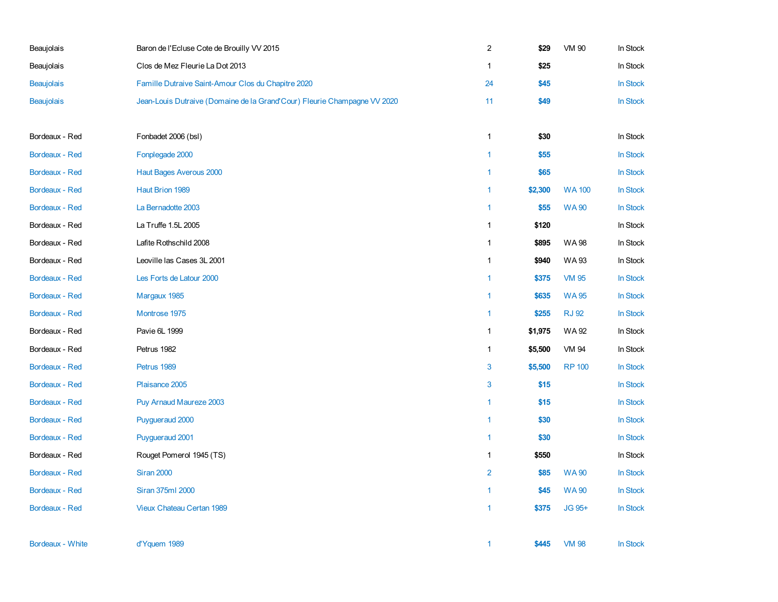| Beaujolais            | Baron de l'Ecluse Cote de Brouilly VV 2015                               | $\overline{a}$ | \$29    | <b>VM 90</b>  | In Stock        |
|-----------------------|--------------------------------------------------------------------------|----------------|---------|---------------|-----------------|
| Beaujolais            | Clos de Mez Fleurie La Dot 2013                                          | $\mathbf{1}$   | \$25    |               | In Stock        |
| <b>Beaujolais</b>     | Famille Dutraive Saint-Amour Clos du Chapitre 2020                       | 24             | \$45    |               | In Stock        |
| <b>Beaujolais</b>     | Jean-Louis Dutraive (Domaine de la Grand'Cour) Fleurie Champagne VV 2020 | 11             | \$49    |               | In Stock        |
| Bordeaux - Red        | Fonbadet 2006 (bsl)                                                      | $\mathbf{1}$   | \$30    |               | In Stock        |
| Bordeaux - Red        | Fonplegade 2000                                                          | $\mathbf{1}$   | \$55    |               | In Stock        |
| <b>Bordeaux - Red</b> | Haut Bages Averous 2000                                                  | 1              | \$65    |               | In Stock        |
| <b>Bordeaux - Red</b> | Haut Brion 1989                                                          | 1              | \$2,300 | <b>WA100</b>  | In Stock        |
| <b>Bordeaux - Red</b> | La Bernadotte 2003                                                       | $\mathbf{1}$   | \$55    | <b>WA90</b>   | <b>In Stock</b> |
| Bordeaux - Red        | La Truffe 1.5L 2005                                                      | $\mathbf{1}$   | \$120   |               | In Stock        |
| Bordeaux - Red        | Lafite Rothschild 2008                                                   | $\mathbf{1}$   | \$895   | <b>WA98</b>   | In Stock        |
| Bordeaux - Red        | Leoville las Cases 3L 2001                                               | $\mathbf{1}$   | \$940   | <b>WA93</b>   | In Stock        |
| <b>Bordeaux - Red</b> | Les Forts de Latour 2000                                                 | $\mathbf{1}$   | \$375   | <b>VM 95</b>  | In Stock        |
| Bordeaux - Red        | Margaux 1985                                                             | $\mathbf{1}$   | \$635   | <b>WA95</b>   | In Stock        |
| Bordeaux - Red        | Montrose 1975                                                            | $\mathbf{1}$   | \$255   | <b>RJ 92</b>  | In Stock        |
| Bordeaux - Red        | Pavie 6L 1999                                                            | $\mathbf{1}$   | \$1,975 | WA 92         | In Stock        |
| Bordeaux - Red        | Petrus 1982                                                              | 1              | \$5,500 | <b>VM 94</b>  | In Stock        |
| Bordeaux - Red        | Petrus 1989                                                              | 3              | \$5,500 | <b>RP 100</b> | In Stock        |
| Bordeaux - Red        | Plaisance 2005                                                           | 3              | \$15    |               | In Stock        |
| <b>Bordeaux - Red</b> | Puy Arnaud Maureze 2003                                                  | 1              | \$15    |               | In Stock        |
| <b>Bordeaux - Red</b> | Puygueraud 2000                                                          | 1              | \$30    |               | In Stock        |
| Bordeaux - Red        | Puygueraud 2001                                                          | $\mathbf{1}$   | \$30    |               | In Stock        |
| Bordeaux - Red        | Rouget Pomerol 1945 (TS)                                                 | $\mathbf{1}$   | \$550   |               | In Stock        |
| <b>Bordeaux - Red</b> | <b>Siran 2000</b>                                                        | $\overline{2}$ | \$85    | <b>WA90</b>   | In Stock        |
| <b>Bordeaux - Red</b> | Siran 375ml 2000                                                         | 1              | \$45    | <b>WA90</b>   | In Stock        |
| Bordeaux - Red        | Vieux Chateau Certan 1989                                                | 1              | \$375   | JG 95+        | In Stock        |
| Bordeaux - White      | d'Yquem 1989                                                             | $\mathbf{1}$   | \$445   | <b>VM 98</b>  | <b>In Stock</b> |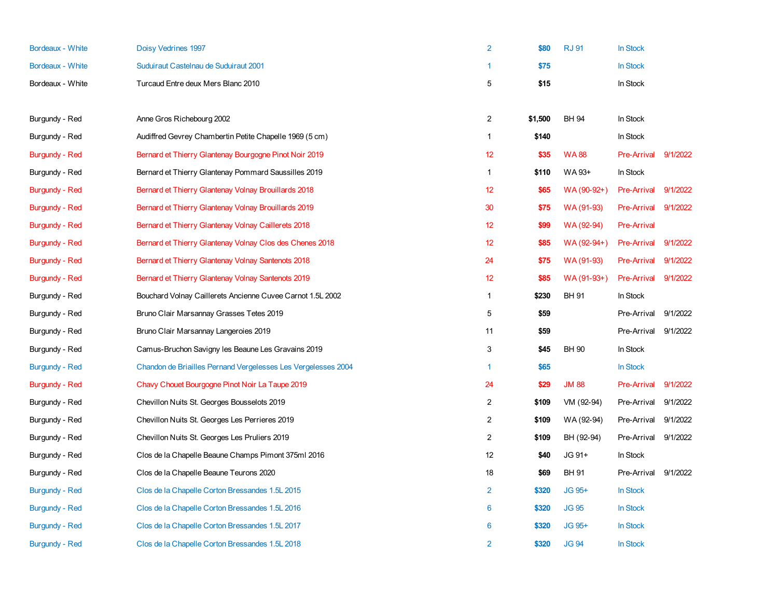| Bordeaux - White      | Doisy Vedrines 1997                                           | $\overline{2}$ | \$80    | <b>RJ 91</b> | In Stock           |          |
|-----------------------|---------------------------------------------------------------|----------------|---------|--------------|--------------------|----------|
| Bordeaux - White      | Suduiraut Castelnau de Suduiraut 2001                         | 1              | \$75    |              | In Stock           |          |
| Bordeaux - White      | Turcaud Entre deux Mers Blanc 2010                            | 5              | \$15    |              | In Stock           |          |
|                       |                                                               |                |         |              |                    |          |
| Burgundy - Red        | Anne Gros Richebourg 2002                                     | $\overline{c}$ | \$1,500 | <b>BH 94</b> | In Stock           |          |
| Burgundy - Red        | Audiffred Gevrey Chambertin Petite Chapelle 1969 (5 cm)       | 1              | \$140   |              | In Stock           |          |
| <b>Burgundy - Red</b> | Bernard et Thierry Glantenay Bourgogne Pinot Noir 2019        | 12             | \$35    | <b>WA88</b>  | Pre-Arrival        | 9/1/2022 |
| Burgundy - Red        | Bernard et Thierry Glantenay Pommard Saussilles 2019          | $\mathbf{1}$   | \$110   | WA 93+       | In Stock           |          |
| <b>Burgundy - Red</b> | Bernard et Thierry Glantenay Volnay Brouillards 2018          | 12             | \$65    | WA (90-92+)  | <b>Pre-Arrival</b> | 9/1/2022 |
| <b>Burgundy - Red</b> | Bernard et Thierry Glantenay Volnay Brouillards 2019          | 30             | \$75    | WA (91-93)   | <b>Pre-Arrival</b> | 9/1/2022 |
| <b>Burgundy - Red</b> | Bernard et Thierry Glantenay Volnay Caillerets 2018           | 12             | \$99    | WA (92-94)   | <b>Pre-Arrival</b> |          |
| <b>Burgundy - Red</b> | Bernard et Thierry Glantenay Volnay Clos des Chenes 2018      | 12             | \$85    | WA (92-94+)  | Pre-Arrival        | 9/1/2022 |
| <b>Burgundy - Red</b> | Bernard et Thierry Glantenay Volnay Santenots 2018            | 24             | \$75    | WA (91-93)   | <b>Pre-Arrival</b> | 9/1/2022 |
| <b>Burgundy - Red</b> | Bernard et Thierry Glantenay Volnay Santenots 2019            | 12             | \$85    | WA (91-93+)  | <b>Pre-Arrival</b> | 9/1/2022 |
| Burgundy - Red        | Bouchard Volnay Caillerets Ancienne Cuvee Carnot 1.5L 2002    | $\mathbf{1}$   | \$230   | <b>BH 91</b> | In Stock           |          |
| Burgundy - Red        | Bruno Clair Marsannay Grasses Tetes 2019                      | 5              | \$59    |              | Pre-Arrival        | 9/1/2022 |
| Burgundy - Red        | Bruno Clair Marsannay Langeroies 2019                         | 11             | \$59    |              | Pre-Arrival        | 9/1/2022 |
| Burgundy - Red        | Camus-Bruchon Savigny les Beaune Les Gravains 2019            | 3              | \$45    | <b>BH 90</b> | In Stock           |          |
| <b>Burgundy - Red</b> | Chandon de Briailles Pernand Vergelesses Les Vergelesses 2004 | $\mathbf{1}$   | \$65    |              | In Stock           |          |
| <b>Burgundy - Red</b> | Chavy Chouet Bourgogne Pinot Noir La Taupe 2019               | 24             | \$29    | <b>JM 88</b> | <b>Pre-Arrival</b> | 9/1/2022 |
| Burgundy - Red        | Chevillon Nuits St. Georges Bousselots 2019                   | $\overline{2}$ | \$109   | VM (92-94)   | Pre-Arrival        | 9/1/2022 |
| Burgundy - Red        | Chevillon Nuits St. Georges Les Perrieres 2019                | $\overline{2}$ | \$109   | WA (92-94)   | Pre-Arrival        | 9/1/2022 |
| Burgundy - Red        | Chevillon Nuits St. Georges Les Pruliers 2019                 | $\overline{2}$ | \$109   | BH (92-94)   | Pre-Arrival        | 9/1/2022 |
| Burgundy - Red        | Clos de la Chapelle Beaune Champs Pimont 375ml 2016           | 12             | \$40    | JG 91+       | In Stock           |          |
| Burgundy - Red        | Clos de la Chapelle Beaune Teurons 2020                       | 18             | \$69    | <b>BH 91</b> | Pre-Arrival        | 9/1/2022 |
| <b>Burgundy - Red</b> | Clos de la Chapelle Corton Bressandes 1.5L 2015               | $\overline{2}$ | \$320   | JG 95+       | In Stock           |          |
| <b>Burgundy - Red</b> | Clos de la Chapelle Corton Bressandes 1.5L 2016               | 6              | \$320   | <b>JG 95</b> | In Stock           |          |
| <b>Burgundy - Red</b> | Clos de la Chapelle Corton Bressandes 1.5L 2017               | 6              | \$320   | JG 95+       | In Stock           |          |
| <b>Burgundy - Red</b> | Clos de la Chapelle Corton Bressandes 1.5L 2018               | $\overline{2}$ | \$320   | <b>JG 94</b> | <b>In Stock</b>    |          |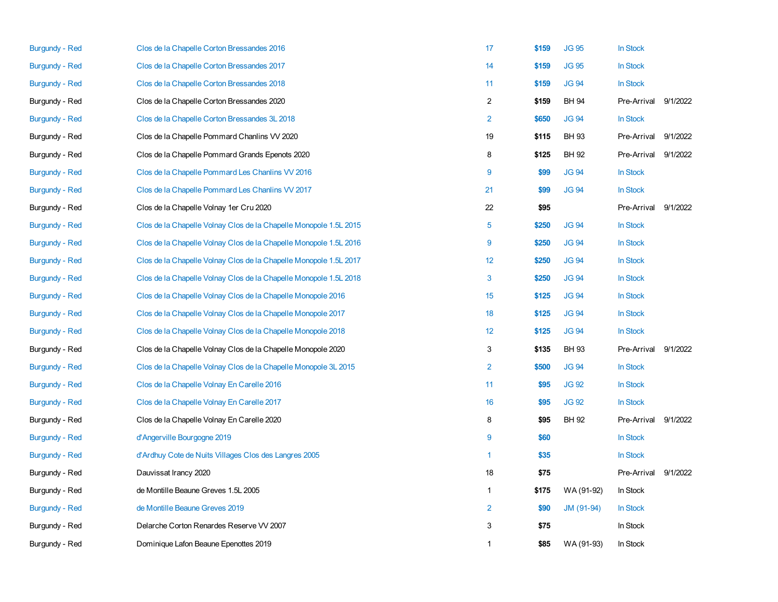| <b>Burgundy - Red</b> | Clos de la Chapelle Corton Bressandes 2016                        | 17             | \$159 | <b>JG 95</b> | In Stock    |          |
|-----------------------|-------------------------------------------------------------------|----------------|-------|--------------|-------------|----------|
| <b>Burgundy - Red</b> | Clos de la Chapelle Corton Bressandes 2017                        | 14             | \$159 | <b>JG 95</b> | In Stock    |          |
| <b>Burgundy - Red</b> | Clos de la Chapelle Corton Bressandes 2018                        | 11             | \$159 | <b>JG 94</b> | In Stock    |          |
| Burgundy - Red        | Clos de la Chapelle Corton Bressandes 2020                        | $\overline{2}$ | \$159 | <b>BH 94</b> | Pre-Arrival | 9/1/2022 |
| <b>Burgundy - Red</b> | Clos de la Chapelle Corton Bressandes 3L 2018                     | $\overline{2}$ | \$650 | <b>JG 94</b> | In Stock    |          |
| Burgundy - Red        | Clos de la Chapelle Pommard Chanlins VV 2020                      | 19             | \$115 | <b>BH 93</b> | Pre-Arrival | 9/1/2022 |
| Burgundy - Red        | Clos de la Chapelle Pommard Grands Epenots 2020                   | 8              | \$125 | BH 92        | Pre-Arrival | 9/1/2022 |
| <b>Burgundy - Red</b> | Clos de la Chapelle Pommard Les Chanlins VV 2016                  | 9              | \$99  | <b>JG 94</b> | In Stock    |          |
| <b>Burgundy - Red</b> | Clos de la Chapelle Pommard Les Chanlins VV 2017                  | 21             | \$99  | <b>JG 94</b> | In Stock    |          |
| Burgundy - Red        | Clos de la Chapelle Volnay 1er Cru 2020                           | 22             | \$95  |              | Pre-Arrival | 9/1/2022 |
| <b>Burgundy - Red</b> | Clos de la Chapelle Volnay Clos de la Chapelle Monopole 1.5L 2015 | 5              | \$250 | <b>JG 94</b> | In Stock    |          |
| <b>Burgundy - Red</b> | Clos de la Chapelle Volnay Clos de la Chapelle Monopole 1.5L 2016 | 9              | \$250 | <b>JG 94</b> | In Stock    |          |
| <b>Burgundy - Red</b> | Clos de la Chapelle Volnay Clos de la Chapelle Monopole 1.5L 2017 | 12             | \$250 | <b>JG 94</b> | In Stock    |          |
| <b>Burgundy - Red</b> | Clos de la Chapelle Volnay Clos de la Chapelle Monopole 1.5L 2018 | 3              | \$250 | <b>JG 94</b> | In Stock    |          |
| <b>Burgundy - Red</b> | Clos de la Chapelle Volnay Clos de la Chapelle Monopole 2016      | 15             | \$125 | <b>JG 94</b> | In Stock    |          |
| <b>Burgundy - Red</b> | Clos de la Chapelle Volnay Clos de la Chapelle Monopole 2017      | 18             | \$125 | <b>JG 94</b> | In Stock    |          |
| <b>Burgundy - Red</b> | Clos de la Chapelle Volnay Clos de la Chapelle Monopole 2018      | 12             | \$125 | <b>JG 94</b> | In Stock    |          |
| Burgundy - Red        | Clos de la Chapelle Volnay Clos de la Chapelle Monopole 2020      | 3              | \$135 | BH 93        | Pre-Arrival | 9/1/2022 |
| <b>Burgundy - Red</b> | Clos de la Chapelle Volnay Clos de la Chapelle Monopole 3L 2015   | $\overline{2}$ | \$500 | <b>JG 94</b> | In Stock    |          |
| <b>Burgundy - Red</b> | Clos de la Chapelle Volnay En Carelle 2016                        | 11             | \$95  | <b>JG 92</b> | In Stock    |          |
| <b>Burgundy - Red</b> | Clos de la Chapelle Volnay En Carelle 2017                        | 16             | \$95  | <b>JG 92</b> | In Stock    |          |
| Burgundy - Red        | Clos de la Chapelle Volnay En Carelle 2020                        | 8              | \$95  | <b>BH 92</b> | Pre-Arrival | 9/1/2022 |
| <b>Burgundy - Red</b> | d'Angerville Bourgogne 2019                                       | 9              | \$60  |              | In Stock    |          |
| <b>Burgundy - Red</b> | d'Ardhuy Cote de Nuits Villages Clos des Langres 2005             | $\mathbf{1}$   | \$35  |              | In Stock    |          |
| Burgundy - Red        | Dauvissat Irancy 2020                                             | 18             | \$75  |              | Pre-Arrival | 9/1/2022 |
| Burgundy - Red        | de Montille Beaune Greves 1.5L 2005                               | $\mathbf{1}$   | \$175 | WA (91-92)   | In Stock    |          |
| <b>Burgundy - Red</b> | de Montille Beaune Greves 2019                                    | 2              | \$90  | JM (91-94)   | In Stock    |          |
| Burgundy - Red        | Delarche Corton Renardes Reserve VV 2007                          | 3              | \$75  |              | In Stock    |          |
| Burgundy - Red        | Dominique Lafon Beaune Epenottes 2019                             | 1              | \$85  | WA (91-93)   | In Stock    |          |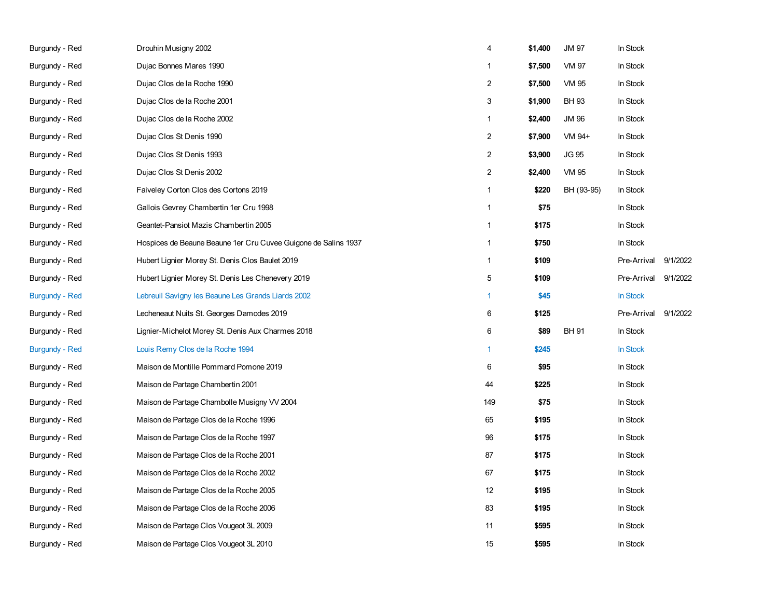| Burgundy - Red        | Drouhin Musigny 2002                                           | 4              | \$1,400 | <b>JM 97</b> | In Stock    |          |
|-----------------------|----------------------------------------------------------------|----------------|---------|--------------|-------------|----------|
| Burgundy - Red        | Dujac Bonnes Mares 1990                                        | 1              | \$7,500 | VM 97        | In Stock    |          |
| Burgundy - Red        | Dujac Clos de la Roche 1990                                    | 2              | \$7,500 | VM 95        | In Stock    |          |
| Burgundy - Red        | Dujac Clos de la Roche 2001                                    | 3              | \$1,900 | <b>BH 93</b> | In Stock    |          |
| Burgundy - Red        | Dujac Clos de la Roche 2002                                    | $\mathbf{1}$   | \$2,400 | JM 96        | In Stock    |          |
| Burgundy - Red        | Dujac Clos St Denis 1990                                       | $\overline{c}$ | \$7,900 | VM 94+       | In Stock    |          |
| Burgundy - Red        | Dujac Clos St Denis 1993                                       | 2              | \$3,900 | JG 95        | In Stock    |          |
| Burgundy - Red        | Dujac Clos St Denis 2002                                       | $\overline{c}$ | \$2,400 | VM 95        | In Stock    |          |
| Burgundy - Red        | Faiveley Corton Clos des Cortons 2019                          | $\mathbf{1}$   | \$220   | BH (93-95)   | In Stock    |          |
| Burgundy - Red        | Gallois Gevrey Chambertin 1er Cru 1998                         | 1              | \$75    |              | In Stock    |          |
| Burgundy - Red        | Geantet-Pansiot Mazis Chambertin 2005                          | $\mathbf{1}$   | \$175   |              | In Stock    |          |
| Burgundy - Red        | Hospices de Beaune Beaune 1er Cru Cuvee Guigone de Salins 1937 | 1              | \$750   |              | In Stock    |          |
| Burgundy - Red        | Hubert Lignier Morey St. Denis Clos Baulet 2019                | $\mathbf{1}$   | \$109   |              | Pre-Arrival | 9/1/2022 |
| Burgundy - Red        | Hubert Lignier Morey St. Denis Les Chenevery 2019              | 5              | \$109   |              | Pre-Arrival | 9/1/2022 |
| <b>Burgundy - Red</b> | Lebreuil Savigny les Beaune Les Grands Liards 2002             | 1              | \$45    |              | In Stock    |          |
| Burgundy - Red        | Lecheneaut Nuits St. Georges Damodes 2019                      | 6              | \$125   |              | Pre-Arrival | 9/1/2022 |
| Burgundy - Red        | Lignier-Michelot Morey St. Denis Aux Charmes 2018              | 6              | \$89    | <b>BH 91</b> | In Stock    |          |
| <b>Burgundy - Red</b> | Louis Remy Clos de la Roche 1994                               | $\mathbf{1}$   | \$245   |              | In Stock    |          |
| Burgundy - Red        | Maison de Montille Pommard Pomone 2019                         | 6              | \$95    |              | In Stock    |          |
| Burgundy - Red        | Maison de Partage Chambertin 2001                              | 44             | \$225   |              | In Stock    |          |
| Burgundy - Red        | Maison de Partage Chambolle Musigny VV 2004                    | 149            | \$75    |              | In Stock    |          |
| Burgundy - Red        | Maison de Partage Clos de la Roche 1996                        | 65             | \$195   |              | In Stock    |          |
| Burgundy - Red        | Maison de Partage Clos de la Roche 1997                        | 96             | \$175   |              | In Stock    |          |
| Burgundy - Red        | Maison de Partage Clos de la Roche 2001                        | 87             | \$175   |              | In Stock    |          |
| Burgundy - Red        | Maison de Partage Clos de la Roche 2002                        | 67             | \$175   |              | In Stock    |          |
| Burgundy - Red        | Maison de Partage Clos de la Roche 2005                        | 12             | \$195   |              | In Stock    |          |
| Burgundy - Red        | Maison de Partage Clos de la Roche 2006                        | 83             | \$195   |              | In Stock    |          |
| Burgundy - Red        | Maison de Partage Clos Vougeot 3L 2009                         | 11             | \$595   |              | In Stock    |          |
| Burgundy - Red        | Maison de Partage Clos Vougeot 3L 2010                         | 15             | \$595   |              | In Stock    |          |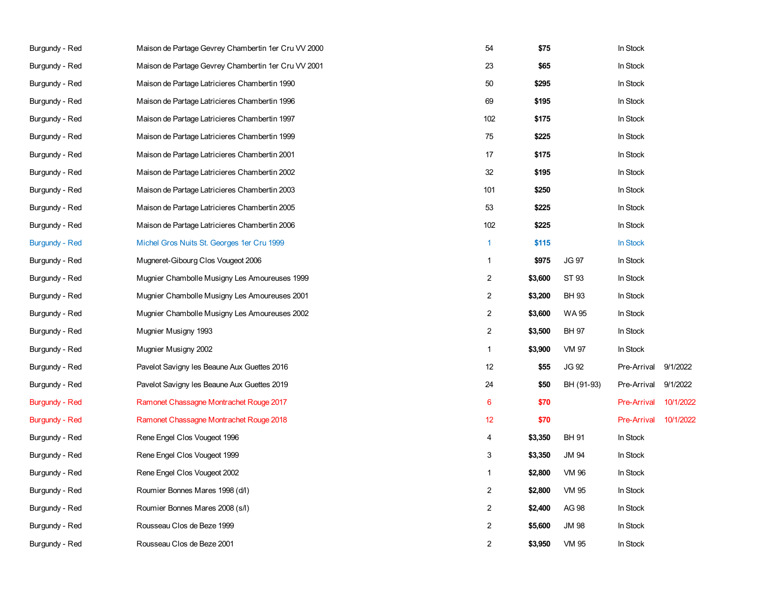| Burgundy - Red        | Maison de Partage Gevrey Chambertin 1er Cru VV 2000 | 54             | \$75    |              | In Stock           |           |
|-----------------------|-----------------------------------------------------|----------------|---------|--------------|--------------------|-----------|
| Burgundy - Red        | Maison de Partage Gevrey Chambertin 1er Cru VV 2001 | 23             | \$65    |              | In Stock           |           |
| Burgundy - Red        | Maison de Partage Latricieres Chambertin 1990       | 50             | \$295   |              | In Stock           |           |
| Burgundy - Red        | Maison de Partage Latricieres Chambertin 1996       | 69             | \$195   |              | In Stock           |           |
| Burgundy - Red        | Maison de Partage Latricieres Chambertin 1997       | 102            | \$175   |              | In Stock           |           |
| Burgundy - Red        | Maison de Partage Latricieres Chambertin 1999       | 75             | \$225   |              | In Stock           |           |
| Burgundy - Red        | Maison de Partage Latricieres Chambertin 2001       | 17             | \$175   |              | In Stock           |           |
| Burgundy - Red        | Maison de Partage Latricieres Chambertin 2002       | 32             | \$195   |              | In Stock           |           |
| Burgundy - Red        | Maison de Partage Latricieres Chambertin 2003       | 101            | \$250   |              | In Stock           |           |
| Burgundy - Red        | Maison de Partage Latricieres Chambertin 2005       | 53             | \$225   |              | In Stock           |           |
| Burgundy - Red        | Maison de Partage Latricieres Chambertin 2006       | 102            | \$225   |              | In Stock           |           |
| <b>Burgundy - Red</b> | Michel Gros Nuits St. Georges 1er Cru 1999          | $\mathbf{1}$   | \$115   |              | <b>In Stock</b>    |           |
| Burgundy - Red        | Mugneret-Gibourg Clos Vougeot 2006                  | $\mathbf{1}$   | \$975   | <b>JG 97</b> | In Stock           |           |
| Burgundy - Red        | Mugnier Chambolle Musigny Les Amoureuses 1999       | $\overline{2}$ | \$3,600 | ST 93        | In Stock           |           |
| Burgundy - Red        | Mugnier Chambolle Musigny Les Amoureuses 2001       | $\overline{2}$ | \$3,200 | <b>BH 93</b> | In Stock           |           |
| Burgundy - Red        | Mugnier Chambolle Musigny Les Amoureuses 2002       | $\overline{c}$ | \$3,600 | <b>WA95</b>  | In Stock           |           |
| Burgundy - Red        | Mugnier Musigny 1993                                | $\overline{2}$ | \$3,500 | <b>BH 97</b> | In Stock           |           |
| Burgundy - Red        | Mugnier Musigny 2002                                | $\mathbf{1}$   | \$3,900 | VM 97        | In Stock           |           |
| Burgundy - Red        | Pavelot Savigny les Beaune Aux Guettes 2016         | 12             | \$55    | <b>JG 92</b> | Pre-Arrival        | 9/1/2022  |
| Burgundy - Red        | Pavelot Savigny les Beaune Aux Guettes 2019         | 24             | \$50    | BH (91-93)   | Pre-Arrival        | 9/1/2022  |
| <b>Burgundy - Red</b> | Ramonet Chassagne Montrachet Rouge 2017             | 6              | \$70    |              | <b>Pre-Arrival</b> | 10/1/2022 |
| <b>Burgundy - Red</b> | Ramonet Chassagne Montrachet Rouge 2018             | 12             | \$70    |              | <b>Pre-Arrival</b> | 10/1/2022 |
| Burgundy - Red        | Rene Engel Clos Vougeot 1996                        | 4              | \$3,350 | <b>BH 91</b> | In Stock           |           |
| Burgundy - Red        | Rene Engel Clos Vougeot 1999                        | 3              | \$3,350 | <b>JM 94</b> | In Stock           |           |
| Burgundy - Red        | Rene Engel Clos Vougeot 2002                        | $\mathbf{1}$   | \$2,800 | VM 96        | In Stock           |           |
| Burgundy - Red        | Roumier Bonnes Mares 1998 (d/l)                     | $\overline{c}$ | \$2,800 | VM 95        | In Stock           |           |
| Burgundy - Red        | Roumier Bonnes Mares 2008 (s/l)                     | $\overline{2}$ | \$2,400 | AG 98        | In Stock           |           |
| Burgundy - Red        | Rousseau Clos de Beze 1999                          | $\overline{c}$ | \$5,600 | <b>JM 98</b> | In Stock           |           |
| Burgundy - Red        | Rousseau Clos de Beze 2001                          | $\overline{2}$ | \$3,950 | <b>VM 95</b> | In Stock           |           |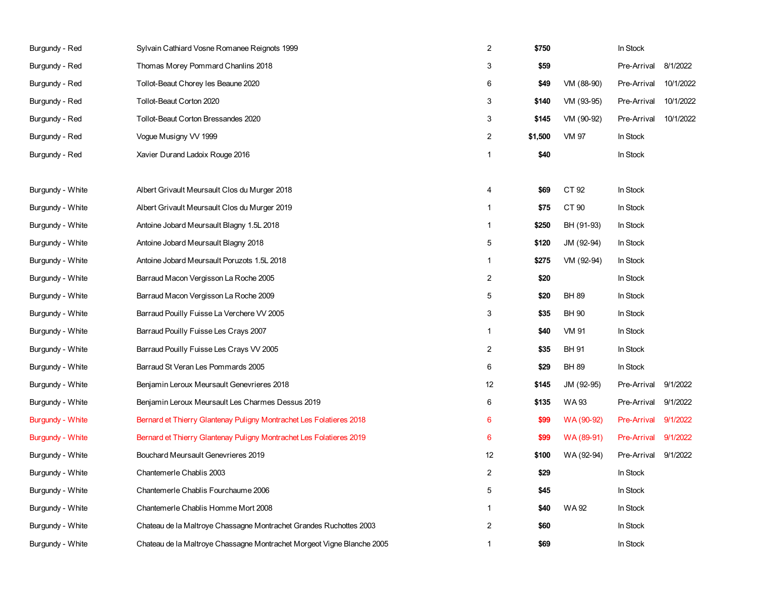| Burgundy - Red   | Sylvain Cathiard Vosne Romanee Reignots 1999                           | $\overline{2}$   | \$750   |              | In Stock           |           |
|------------------|------------------------------------------------------------------------|------------------|---------|--------------|--------------------|-----------|
| Burgundy - Red   | Thomas Morey Pommard Chanlins 2018                                     | 3                | \$59    |              | Pre-Arrival        | 8/1/2022  |
| Burgundy - Red   | Tollot-Beaut Chorey les Beaune 2020                                    | 6                | \$49    | VM (88-90)   | Pre-Arrival        | 10/1/2022 |
| Burgundy - Red   | Tollot-Beaut Corton 2020                                               | 3                | \$140   | VM (93-95)   | Pre-Arrival        | 10/1/2022 |
| Burgundy - Red   | Tollot-Beaut Corton Bressandes 2020                                    | 3                | \$145   | VM (90-92)   | Pre-Arrival        | 10/1/2022 |
| Burgundy - Red   | Vogue Musigny VV 1999                                                  | $\overline{c}$   | \$1,500 | VM 97        | In Stock           |           |
| Burgundy - Red   | Xavier Durand Ladoix Rouge 2016                                        | $\mathbf{1}$     | \$40    |              | In Stock           |           |
|                  |                                                                        |                  |         |              |                    |           |
| Burgundy - White | Albert Grivault Meursault Clos du Murger 2018                          | 4                | \$69    | CT 92        | In Stock           |           |
| Burgundy - White | Albert Grivault Meursault Clos du Murger 2019                          | $\mathbf{1}$     | \$75    | CT 90        | In Stock           |           |
| Burgundy - White | Antoine Jobard Meursault Blagny 1.5L 2018                              | $\mathbf{1}$     | \$250   | BH (91-93)   | In Stock           |           |
| Burgundy - White | Antoine Jobard Meursault Blagny 2018                                   | 5                | \$120   | JM (92-94)   | In Stock           |           |
| Burgundy - White | Antoine Jobard Meursault Poruzots 1.5L 2018                            | $\mathbf{1}$     | \$275   | VM (92-94)   | In Stock           |           |
| Burgundy - White | Barraud Macon Vergisson La Roche 2005                                  | $\boldsymbol{2}$ | \$20    |              | In Stock           |           |
| Burgundy - White | Barraud Macon Vergisson La Roche 2009                                  | 5                | \$20    | <b>BH 89</b> | In Stock           |           |
| Burgundy - White | Barraud Pouilly Fuisse La Verchere VV 2005                             | 3                | \$35    | <b>BH 90</b> | In Stock           |           |
| Burgundy - White | Barraud Pouilly Fuisse Les Crays 2007                                  | $\mathbf{1}$     | \$40    | <b>VM 91</b> | In Stock           |           |
| Burgundy - White | Barraud Pouilly Fuisse Les Crays VV 2005                               | 2                | \$35    | <b>BH 91</b> | In Stock           |           |
| Burgundy - White | Barraud St Veran Les Pommards 2005                                     | 6                | \$29    | <b>BH 89</b> | In Stock           |           |
| Burgundy - White | Benjamin Leroux Meursault Genevrieres 2018                             | 12               | \$145   | JM (92-95)   | Pre-Arrival        | 9/1/2022  |
| Burgundy - White | Benjamin Leroux Meursault Les Charmes Dessus 2019                      | 6                | \$135   | WA 93        | Pre-Arrival        | 9/1/2022  |
| Burgundy - White | Bernard et Thierry Glantenay Puligny Montrachet Les Folatieres 2018    | 6                | \$99    | WA (90-92)   | <b>Pre-Arrival</b> | 9/1/2022  |
| Burgundy - White | Bernard et Thierry Glantenay Puligny Montrachet Les Folatieres 2019    | 6                | \$99    | WA (89-91)   | <b>Pre-Arrival</b> | 9/1/2022  |
| Burgundy - White | Bouchard Meursault Genevrieres 2019                                    | 12               | \$100   | WA (92-94)   | Pre-Arrival        | 9/1/2022  |
| Burgundy - White | Chantemerle Chablis 2003                                               | 2                | \$29    |              | In Stock           |           |
| Burgundy - White | Chantemerle Chablis Fourchaume 2006                                    | 5                | \$45    |              | In Stock           |           |
| Burgundy - White | Chantemerle Chablis Homme Mort 2008                                    | $\mathbf{1}$     | \$40    | WA 92        | In Stock           |           |
| Burgundy - White | Chateau de la Maltroye Chassagne Montrachet Grandes Ruchottes 2003     | 2                | \$60    |              | In Stock           |           |
| Burgundy - White | Chateau de la Maltroye Chassagne Montrachet Morgeot Vigne Blanche 2005 | 1                | \$69    |              | In Stock           |           |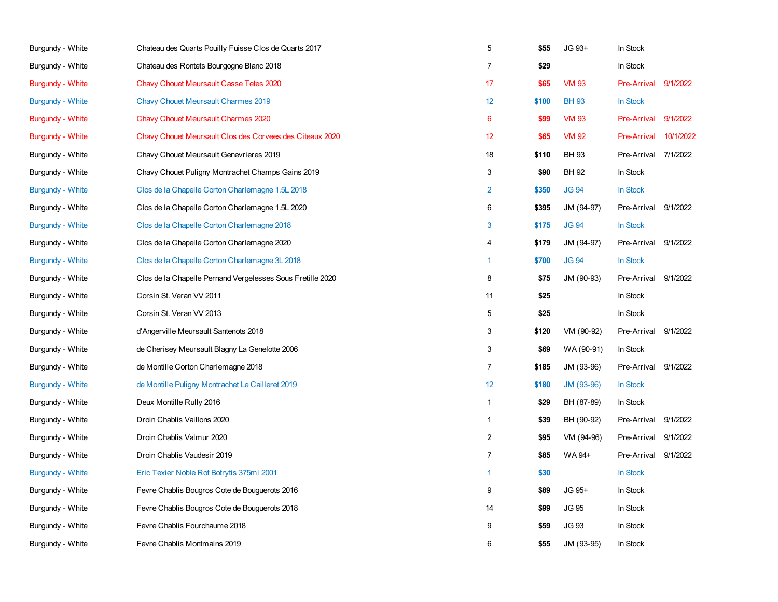| Burgundy - White        | Chateau des Quarts Pouilly Fuisse Clos de Quarts 2017      | 5               | \$55  | JG 93+       | In Stock           |           |
|-------------------------|------------------------------------------------------------|-----------------|-------|--------------|--------------------|-----------|
| Burgundy - White        | Chateau des Rontets Bourgogne Blanc 2018                   | $\overline{7}$  | \$29  |              | In Stock           |           |
| <b>Burgundy - White</b> | Chavy Chouet Meursault Casse Tetes 2020                    | 17              | \$65  | <b>VM 93</b> | <b>Pre-Arrival</b> | 9/1/2022  |
| Burgundy - White        | <b>Chavy Chouet Meursault Charmes 2019</b>                 | 12              | \$100 | <b>BH 93</b> | In Stock           |           |
| <b>Burgundy - White</b> | <b>Chavy Chouet Meursault Charmes 2020</b>                 | $6\phantom{1}6$ | \$99  | <b>VM 93</b> | <b>Pre-Arrival</b> | 9/1/2022  |
| Burgundy - White        | Chavy Chouet Meursault Clos des Corvees des Citeaux 2020   | 12              | \$65  | <b>VM 92</b> | <b>Pre-Arrival</b> | 10/1/2022 |
| Burgundy - White        | Chavy Chouet Meursault Genevrieres 2019                    | 18              | \$110 | <b>BH 93</b> | Pre-Arrival        | 7/1/2022  |
| Burgundy - White        | Chavy Chouet Puligny Montrachet Champs Gains 2019          | 3               | \$90  | <b>BH 92</b> | In Stock           |           |
| Burgundy - White        | Clos de la Chapelle Corton Charlemagne 1.5L 2018           | $\overline{2}$  | \$350 | <b>JG 94</b> | In Stock           |           |
| Burgundy - White        | Clos de la Chapelle Corton Charlemagne 1.5L 2020           | 6               | \$395 | JM (94-97)   | Pre-Arrival        | 9/1/2022  |
| <b>Burgundy - White</b> | Clos de la Chapelle Corton Charlemagne 2018                | 3               | \$175 | <b>JG 94</b> | In Stock           |           |
| Burgundy - White        | Clos de la Chapelle Corton Charlemagne 2020                | 4               | \$179 | JM (94-97)   | Pre-Arrival        | 9/1/2022  |
| Burgundy - White        | Clos de la Chapelle Corton Charlemagne 3L 2018             | 1               | \$700 | <b>JG 94</b> | In Stock           |           |
| Burgundy - White        | Clos de la Chapelle Pernand Vergelesses Sous Fretille 2020 | 8               | \$75  | JM (90-93)   | Pre-Arrival        | 9/1/2022  |
| Burgundy - White        | Corsin St. Veran VV 2011                                   | 11              | \$25  |              | In Stock           |           |
| Burgundy - White        | Corsin St. Veran VV 2013                                   | 5               | \$25  |              | In Stock           |           |
| Burgundy - White        | d'Angerville Meursault Santenots 2018                      | 3               | \$120 | VM (90-92)   | Pre-Arrival        | 9/1/2022  |
| Burgundy - White        | de Cherisey Meursault Blagny La Genelotte 2006             | 3               | \$69  | WA (90-91)   | In Stock           |           |
| Burgundy - White        | de Montille Corton Charlemagne 2018                        | $\overline{7}$  | \$185 | JM (93-96)   | Pre-Arrival        | 9/1/2022  |
| <b>Burgundy - White</b> | de Montille Puligny Montrachet Le Cailleret 2019           | 12              | \$180 | JM (93-96)   | In Stock           |           |
| Burgundy - White        | Deux Montille Rully 2016                                   | $\mathbf{1}$    | \$29  | BH (87-89)   | In Stock           |           |
| Burgundy - White        | Droin Chablis Vaillons 2020                                | 1               | \$39  | BH (90-92)   | Pre-Arrival        | 9/1/2022  |
| Burgundy - White        | Droin Chablis Valmur 2020                                  | $\overline{2}$  | \$95  | VM (94-96)   | Pre-Arrival        | 9/1/2022  |
| Burgundy - White        | Droin Chablis Vaudesir 2019                                | $\overline{7}$  | \$85  | WA 94+       | Pre-Arrival        | 9/1/2022  |
| <b>Burgundy - White</b> | Eric Texier Noble Rot Botrytis 375ml 2001                  | 1               | \$30  |              | In Stock           |           |
| Burgundy - White        | Fevre Chablis Bougros Cote de Bouguerots 2016              | 9               | \$89  | JG 95+       | In Stock           |           |
| Burgundy - White        | Fevre Chablis Bougros Cote de Bouguerots 2018              | 14              | \$99  | <b>JG 95</b> | In Stock           |           |
| Burgundy - White        | Fevre Chablis Fourchaume 2018                              | 9               | \$59  | <b>JG 93</b> | In Stock           |           |
| Burgundy - White        | Fevre Chablis Montmains 2019                               | 6               | \$55  | JM (93-95)   | In Stock           |           |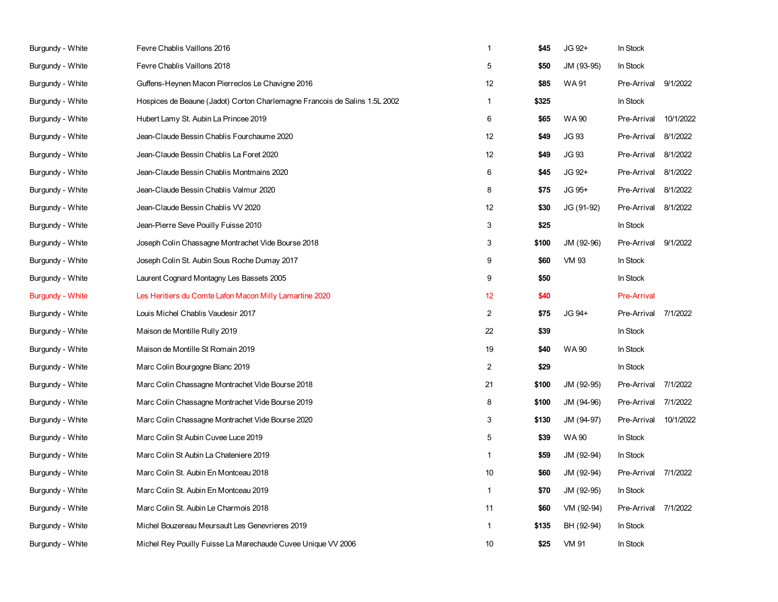| Burgundy - White | Fevre Chablis Vaillons 2016                                                | $\mathbf{1}$   | \$45  | JG 92+       | In Stock           |           |
|------------------|----------------------------------------------------------------------------|----------------|-------|--------------|--------------------|-----------|
| Burgundy - White | Fevre Chablis Vaillons 2018                                                | 5              | \$50  | JM (93-95)   | In Stock           |           |
| Burgundy - White | Guffens-Heynen Macon Pierreclos Le Chavigne 2016                           | 12             | \$85  | <b>WA91</b>  | Pre-Arrival        | 9/1/2022  |
| Burgundy - White | Hospices de Beaune (Jadot) Corton Charlemagne Francois de Salins 1.5L 2002 | $\mathbf{1}$   | \$325 |              | In Stock           |           |
| Burgundy - White | Hubert Lamy St. Aubin La Princee 2019                                      | 6              | \$65  | <b>WA90</b>  | Pre-Arrival        | 10/1/2022 |
| Burgundy - White | Jean-Claude Bessin Chablis Fourchaume 2020                                 | 12             | \$49  | <b>JG 93</b> | Pre-Arrival        | 8/1/2022  |
| Burgundy - White | Jean-Claude Bessin Chablis La Foret 2020                                   | 12             | \$49  | <b>JG 93</b> | Pre-Arrival        | 8/1/2022  |
| Burgundy - White | Jean-Claude Bessin Chablis Montmains 2020                                  | 6              | \$45  | JG 92+       | Pre-Arrival        | 8/1/2022  |
| Burgundy - White | Jean-Claude Bessin Chablis Valmur 2020                                     | 8              | \$75  | JG 95+       | Pre-Arrival        | 8/1/2022  |
| Burgundy - White | Jean-Claude Bessin Chablis VV 2020                                         | 12             | \$30  | JG (91-92)   | Pre-Arrival        | 8/1/2022  |
| Burgundy - White | Jean-Pierre Seve Pouilly Fuisse 2010                                       | 3              | \$25  |              | In Stock           |           |
| Burgundy - White | Joseph Colin Chassagne Montrachet Vide Bourse 2018                         | 3              | \$100 | JM (92-96)   | Pre-Arrival        | 9/1/2022  |
| Burgundy - White | Joseph Colin St. Aubin Sous Roche Dumay 2017                               | 9              | \$60  | <b>VM 93</b> | In Stock           |           |
| Burgundy - White | Laurent Cognard Montagny Les Bassets 2005                                  | 9              | \$50  |              | In Stock           |           |
| Burgundy - White | Les Heritiers du Comte Lafon Macon Milly Lamartine 2020                    | 12             | \$40  |              | <b>Pre-Arrival</b> |           |
| Burgundy - White | Louis Michel Chablis Vaudesir 2017                                         | $\overline{2}$ | \$75  | JG 94+       | Pre-Arrival        | 7/1/2022  |
| Burgundy - White | Maison de Montille Rully 2019                                              | 22             | \$39  |              | In Stock           |           |
| Burgundy - White | Maison de Montille St Romain 2019                                          | 19             | \$40  | <b>WA 90</b> | In Stock           |           |
| Burgundy - White | Marc Colin Bourgogne Blanc 2019                                            | $\overline{c}$ | \$29  |              | In Stock           |           |
| Burgundy - White | Marc Colin Chassagne Montrachet Vide Bourse 2018                           | 21             | \$100 | JM (92-95)   | Pre-Arrival        | 7/1/2022  |
| Burgundy - White | Marc Colin Chassagne Montrachet Vide Bourse 2019                           | 8              | \$100 | JM (94-96)   | Pre-Arrival        | 7/1/2022  |
| Burgundy - White | Marc Colin Chassagne Montrachet Vide Bourse 2020                           | 3              | \$130 | JM (94-97)   | Pre-Arrival        | 10/1/2022 |
| Burgundy - White | Marc Colin St Aubin Cuvee Luce 2019                                        | 5              | \$39  | <b>WA90</b>  | In Stock           |           |
| Burgundy - White | Marc Colin St Aubin La Chateniere 2019                                     | $\mathbf{1}$   | \$59  | JM (92-94)   | In Stock           |           |
| Burgundy - White | Marc Colin St. Aubin En Montceau 2018                                      | 10             | \$60  | JM (92-94)   | Pre-Arrival        | 7/1/2022  |
| Burgundy - White | Marc Colin St. Aubin En Montceau 2019                                      | $\mathbf{1}$   | \$70  | JM (92-95)   | In Stock           |           |
| Burgundy - White | Marc Colin St. Aubin Le Charmois 2018                                      | 11             | \$60  | VM (92-94)   | Pre-Arrival        | 7/1/2022  |
| Burgundy - White | Michel Bouzereau Meursault Les Genevrieres 2019                            | $\mathbf{1}$   | \$135 | BH (92-94)   | In Stock           |           |
| Burgundy - White | Michel Rey Pouilly Fuisse La Marechaude Cuvee Unique VV 2006               | 10             | \$25  | VM 91        | In Stock           |           |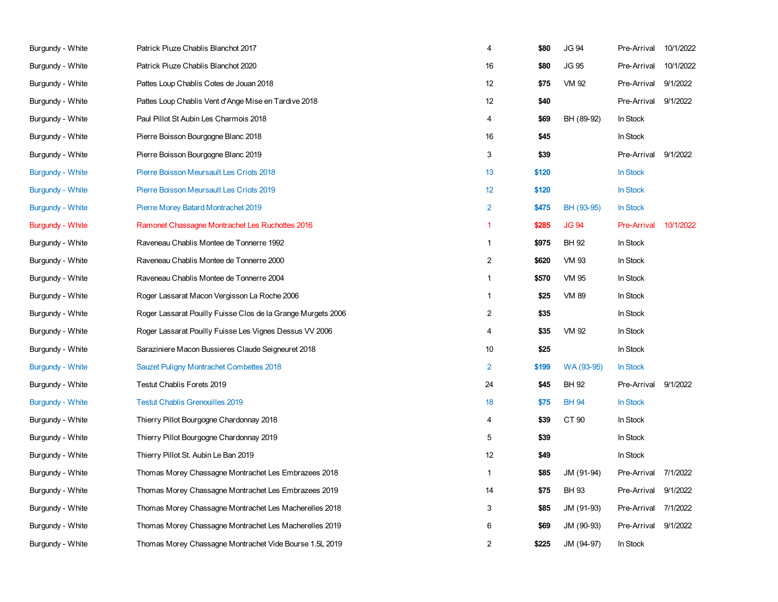| Burgundy - White        | Patrick Piuze Chablis Blanchot 2017                          | 4              | \$80  | <b>JG 94</b> | Pre-Arrival        | 10/1/2022 |
|-------------------------|--------------------------------------------------------------|----------------|-------|--------------|--------------------|-----------|
| Burgundy - White        | Patrick Piuze Chablis Blanchot 2020                          | 16             | \$80  | <b>JG 95</b> | Pre-Arrival        | 10/1/2022 |
| Burgundy - White        | Pattes Loup Chablis Cotes de Jouan 2018                      | 12             | \$75  | VM 92        | Pre-Arrival        | 9/1/2022  |
| Burgundy - White        | Pattes Loup Chablis Vent d'Ange Mise en Tardive 2018         | 12             | \$40  |              | Pre-Arrival        | 9/1/2022  |
| Burgundy - White        | Paul Pillot St Aubin Les Charmois 2018                       | $\overline{4}$ | \$69  | BH (89-92)   | In Stock           |           |
| Burgundy - White        | Pierre Boisson Bourgogne Blanc 2018                          | 16             | \$45  |              | In Stock           |           |
| Burgundy - White        | Pierre Boisson Bourgogne Blanc 2019                          | 3              | \$39  |              | Pre-Arrival        | 9/1/2022  |
| <b>Burgundy - White</b> | Pierre Boisson Meursault Les Criots 2018                     | 13             | \$120 |              | In Stock           |           |
| Burgundy - White        | Pierre Boisson Meursault Les Criots 2019                     | 12             | \$120 |              | In Stock           |           |
| Burgundy - White        | Pierre Morey Batard Montrachet 2019                          | $\overline{2}$ | \$475 | BH (93-95)   | In Stock           |           |
| <b>Burgundy - White</b> | Ramonet Chassagne Montrachet Les Ruchottes 2016              | $\overline{1}$ | \$285 | <b>JG 94</b> | <b>Pre-Arrival</b> | 10/1/2022 |
| Burgundy - White        | Raveneau Chablis Montee de Tonnerre 1992                     | $\mathbf{1}$   | \$975 | BH 92        | In Stock           |           |
| Burgundy - White        | Raveneau Chablis Montee de Tonnerre 2000                     | $\overline{2}$ | \$620 | <b>VM 93</b> | In Stock           |           |
| Burgundy - White        | Raveneau Chablis Montee de Tonnerre 2004                     | $\mathbf{1}$   | \$570 | <b>VM 95</b> | In Stock           |           |
| Burgundy - White        | Roger Lassarat Macon Vergisson La Roche 2006                 | $\mathbf{1}$   | \$25  | <b>VM 89</b> | In Stock           |           |
| Burgundy - White        | Roger Lassarat Pouilly Fuisse Clos de la Grange Murgets 2006 | $\overline{c}$ | \$35  |              | In Stock           |           |
| Burgundy - White        | Roger Lassarat Pouilly Fuisse Les Vignes Dessus VV 2006      | $\overline{4}$ | \$35  | VM 92        | In Stock           |           |
| Burgundy - White        | Saraziniere Macon Bussieres Claude Seigneuret 2018           | 10             | \$25  |              | In Stock           |           |
| <b>Burgundy - White</b> | Sauzet Puligny Montrachet Combettes 2018                     | $\overline{2}$ | \$199 | WA (93-95)   | In Stock           |           |
| Burgundy - White        | Testut Chablis Forets 2019                                   | 24             | \$45  | BH 92        | Pre-Arrival        | 9/1/2022  |
| <b>Burgundy - White</b> | <b>Testut Chablis Grenouilles 2019</b>                       | 18             | \$75  | <b>BH 94</b> | In Stock           |           |
| Burgundy - White        | Thierry Pillot Bourgogne Chardonnay 2018                     | 4              | \$39  | CT 90        | In Stock           |           |
| Burgundy - White        | Thierry Pillot Bourgogne Chardonnay 2019                     | 5              | \$39  |              | In Stock           |           |
| Burgundy - White        | Thierry Pillot St. Aubin Le Ban 2019                         | 12             | \$49  |              | In Stock           |           |
| Burgundy - White        | Thomas Morey Chassagne Montrachet Les Embrazees 2018         | $\mathbf{1}$   | \$85  | JM (91-94)   | Pre-Arrival        | 7/1/2022  |
| Burgundy - White        | Thomas Morey Chassagne Montrachet Les Embrazees 2019         | 14             | \$75  | BH 93        | Pre-Arrival        | 9/1/2022  |
| Burgundy - White        | Thomas Morey Chassagne Montrachet Les Macherelles 2018       | 3              | \$85  | JM (91-93)   | Pre-Arrival        | 7/1/2022  |
| Burgundy - White        | Thomas Morey Chassagne Montrachet Les Macherelles 2019       | 6              | \$69  | JM (90-93)   | Pre-Arrival        | 9/1/2022  |
| Burgundy - White        | Thomas Morey Chassagne Montrachet Vide Bourse 1.5L 2019      | $\overline{2}$ | \$225 | JM (94-97)   | In Stock           |           |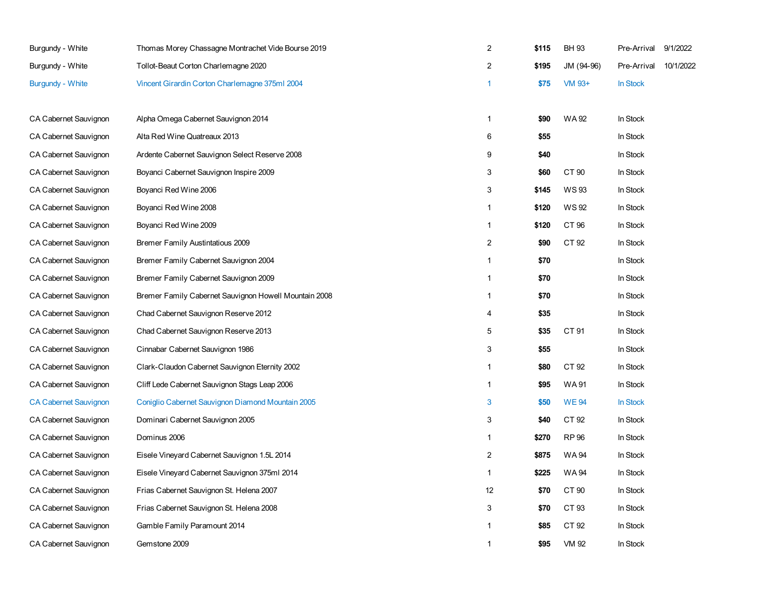| Burgundy - White             | Thomas Morey Chassagne Montrachet Vide Bourse 2019    | $\overline{2}$ | \$115 | <b>BH 93</b> | Pre-Arrival     | 9/1/2022  |
|------------------------------|-------------------------------------------------------|----------------|-------|--------------|-----------------|-----------|
| Burgundy - White             | Tollot-Beaut Corton Charlemagne 2020                  | 2              | \$195 | JM (94-96)   | Pre-Arrival     | 10/1/2022 |
| <b>Burgundy - White</b>      | Vincent Girardin Corton Charlemagne 375ml 2004        | $\overline{1}$ | \$75  | VM 93+       | <b>In Stock</b> |           |
|                              |                                                       |                |       |              |                 |           |
| CA Cabernet Sauvignon        | Alpha Omega Cabernet Sauvignon 2014                   | $\mathbf{1}$   | \$90  | WA 92        | In Stock        |           |
| CA Cabernet Sauvignon        | Alta Red Wine Quatreaux 2013                          | 6              | \$55  |              | In Stock        |           |
| CA Cabernet Sauvignon        | Ardente Cabernet Sauvignon Select Reserve 2008        | 9              | \$40  |              | In Stock        |           |
| CA Cabernet Sauvignon        | Boyanci Cabernet Sauvignon Inspire 2009               | 3              | \$60  | CT 90        | In Stock        |           |
| CA Cabernet Sauvignon        | Boyanci Red Wine 2006                                 | 3              | \$145 | WS 93        | In Stock        |           |
| CA Cabernet Sauvignon        | Boyanci Red Wine 2008                                 | $\overline{1}$ | \$120 | <b>WS92</b>  | In Stock        |           |
| CA Cabernet Sauvignon        | Boyanci Red Wine 2009                                 | $\overline{1}$ | \$120 | CT 96        | In Stock        |           |
| <b>CA Cabernet Sauvignon</b> | Bremer Family Austintatious 2009                      | 2              | \$90  | CT 92        | In Stock        |           |
| CA Cabernet Sauvignon        | Bremer Family Cabernet Sauvignon 2004                 | $\mathbf{1}$   | \$70  |              | In Stock        |           |
| CA Cabernet Sauvignon        | Bremer Family Cabernet Sauvignon 2009                 | $\overline{1}$ | \$70  |              | In Stock        |           |
| CA Cabernet Sauvignon        | Bremer Family Cabernet Sauvignon Howell Mountain 2008 | $\mathbf{1}$   | \$70  |              | In Stock        |           |
| CA Cabernet Sauvignon        | Chad Cabernet Sauvignon Reserve 2012                  | $\overline{4}$ | \$35  |              | In Stock        |           |
| CA Cabernet Sauvignon        | Chad Cabernet Sauvignon Reserve 2013                  | 5              | \$35  | CT 91        | In Stock        |           |
| CA Cabernet Sauvignon        | Cinnabar Cabernet Sauvignon 1986                      | 3              | \$55  |              | In Stock        |           |
| CA Cabernet Sauvignon        | Clark-Claudon Cabernet Sauvignon Eternity 2002        | $\overline{1}$ | \$80  | CT 92        | In Stock        |           |
| CA Cabernet Sauvignon        | Cliff Lede Cabernet Sauvignon Stags Leap 2006         | $\mathbf{1}$   | \$95  | WA 91        | In Stock        |           |
| <b>CA Cabernet Sauvignon</b> | Coniglio Cabernet Sauvignon Diamond Mountain 2005     | 3              | \$50  | <b>WE94</b>  | In Stock        |           |
| CA Cabernet Sauvignon        | Dominari Cabernet Sauvignon 2005                      | 3              | \$40  | CT 92        | In Stock        |           |
| <b>CA Cabernet Sauvignon</b> | Dominus 2006                                          | $\mathbf{1}$   | \$270 | <b>RP 96</b> | In Stock        |           |
| CA Cabernet Sauvignon        | Eisele Vineyard Cabernet Sauvignon 1.5L 2014          | $\overline{c}$ | \$875 | WA 94        | In Stock        |           |
| CA Cabernet Sauvignon        | Eisele Vineyard Cabernet Sauvignon 375ml 2014         | $\overline{1}$ | \$225 | <b>WA94</b>  | In Stock        |           |
| CA Cabernet Sauvignon        | Frias Cabernet Sauvignon St. Helena 2007              | 12             | \$70  | CT 90        | In Stock        |           |
| CA Cabernet Sauvignon        | Frias Cabernet Sauvignon St. Helena 2008              | 3              | \$70  | CT 93        | In Stock        |           |
| CA Cabernet Sauvignon        | Gamble Family Paramount 2014                          | $\overline{1}$ | \$85  | CT 92        | In Stock        |           |
| <b>CA Cabernet Sauvignon</b> | Gemstone 2009                                         | $\mathbf{1}$   | \$95  | VM 92        | In Stock        |           |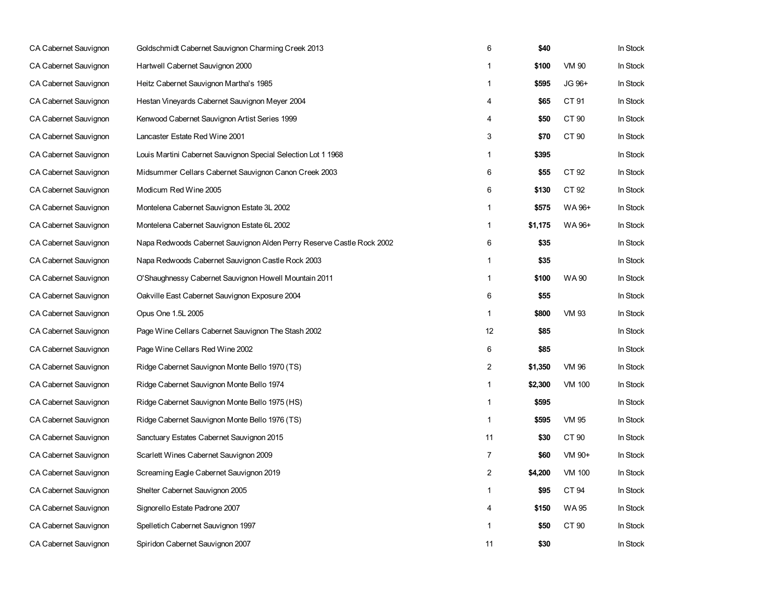| CA Cabernet Sauvignon        | Goldschmidt Cabernet Sauvignon Charming Creek 2013                    | 6              | \$40    |               | In Stock |
|------------------------------|-----------------------------------------------------------------------|----------------|---------|---------------|----------|
| CA Cabernet Sauvignon        | Hartwell Cabernet Sauvignon 2000                                      | 1              | \$100   | VM 90         | In Stock |
| CA Cabernet Sauvignon        | Heitz Cabernet Sauvignon Martha's 1985                                | 1              | \$595   | JG 96+        | In Stock |
| <b>CA Cabernet Sauvignon</b> | Hestan Vineyards Cabernet Sauvignon Meyer 2004                        | 4              | \$65    | CT 91         | In Stock |
| CA Cabernet Sauvignon        | Kenwood Cabernet Sauvignon Artist Series 1999                         | 4              | \$50    | CT 90         | In Stock |
| CA Cabernet Sauvignon        | Lancaster Estate Red Wine 2001                                        | 3              | \$70    | CT 90         | In Stock |
| CA Cabernet Sauvignon        | Louis Martini Cabernet Sauvignon Special Selection Lot 1 1968         | 1              | \$395   |               | In Stock |
| CA Cabernet Sauvignon        | Midsummer Cellars Cabernet Sauvignon Canon Creek 2003                 | 6              | \$55    | CT 92         | In Stock |
| CA Cabernet Sauvignon        | Modicum Red Wine 2005                                                 | 6              | \$130   | CT 92         | In Stock |
| CA Cabernet Sauvignon        | Montelena Cabernet Sauvignon Estate 3L 2002                           | 1              | \$575   | WA 96+        | In Stock |
| CA Cabernet Sauvignon        | Montelena Cabernet Sauvignon Estate 6L 2002                           | $\mathbf{1}$   | \$1,175 | WA 96+        | In Stock |
| CA Cabernet Sauvignon        | Napa Redwoods Cabernet Sauvignon Alden Perry Reserve Castle Rock 2002 | 6              | \$35    |               | In Stock |
| CA Cabernet Sauvignon        | Napa Redwoods Cabernet Sauvignon Castle Rock 2003                     | 1              | \$35    |               | In Stock |
| CA Cabernet Sauvignon        | O'Shaughnessy Cabernet Sauvignon Howell Mountain 2011                 | 1              | \$100   | <b>WA 90</b>  | In Stock |
| CA Cabernet Sauvignon        | Oakville East Cabernet Sauvignon Exposure 2004                        | 6              | \$55    |               | In Stock |
| CA Cabernet Sauvignon        | Opus One 1.5L 2005                                                    | 1              | \$800   | VM 93         | In Stock |
| <b>CA Cabernet Sauvignon</b> | Page Wine Cellars Cabernet Sauvignon The Stash 2002                   | 12             | \$85    |               | In Stock |
| CA Cabernet Sauvignon        | Page Wine Cellars Red Wine 2002                                       | 6              | \$85    |               | In Stock |
| CA Cabernet Sauvignon        | Ridge Cabernet Sauvignon Monte Bello 1970 (TS)                        | 2              | \$1,350 | <b>VM 96</b>  | In Stock |
| CA Cabernet Sauvignon        | Ridge Cabernet Sauvignon Monte Bello 1974                             | 1              | \$2,300 | <b>VM 100</b> | In Stock |
| CA Cabernet Sauvignon        | Ridge Cabernet Sauvignon Monte Bello 1975 (HS)                        | 1              | \$595   |               | In Stock |
| CA Cabernet Sauvignon        | Ridge Cabernet Sauvignon Monte Bello 1976 (TS)                        | $\mathbf{1}$   | \$595   | <b>VM 95</b>  | In Stock |
| CA Cabernet Sauvignon        | Sanctuary Estates Cabernet Sauvignon 2015                             | 11             | \$30    | CT 90         | In Stock |
| CA Cabernet Sauvignon        | Scarlett Wines Cabernet Sauvignon 2009                                | $\overline{7}$ | \$60    | VM 90+        | In Stock |
| CA Cabernet Sauvignon        | Screaming Eagle Cabernet Sauvignon 2019                               | $\overline{2}$ | \$4,200 | <b>VM 100</b> | In Stock |
| CA Cabernet Sauvignon        | Shelter Cabernet Sauvignon 2005                                       | $\mathbf{1}$   | \$95    | CT 94         | In Stock |
| CA Cabernet Sauvignon        | Signorello Estate Padrone 2007                                        | 4              | \$150   | WA 95         | In Stock |
| <b>CA Cabernet Sauvignon</b> | Spelletich Cabernet Sauvignon 1997                                    | 1              | \$50    | CT 90         | In Stock |
| CA Cabernet Sauvignon        | Spiridon Cabernet Sauvignon 2007                                      | 11             | \$30    |               | In Stock |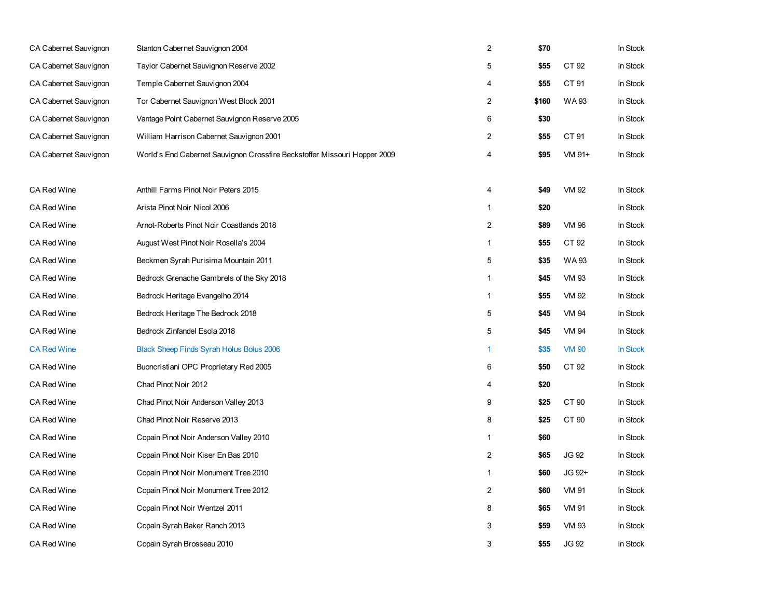| CA Cabernet Sauvignon | Stanton Cabernet Sauvignon 2004                                           | 2                       | \$70  |              | In Stock |
|-----------------------|---------------------------------------------------------------------------|-------------------------|-------|--------------|----------|
| CA Cabernet Sauvignon | Taylor Cabernet Sauvignon Reserve 2002                                    | 5                       | \$55  | CT 92        | In Stock |
| CA Cabernet Sauvignon | Temple Cabernet Sauvignon 2004                                            | 4                       | \$55  | CT 91        | In Stock |
| CA Cabernet Sauvignon | Tor Cabernet Sauvignon West Block 2001                                    | $\overline{\mathbf{c}}$ | \$160 | WA 93        | In Stock |
| CA Cabernet Sauvignon | Vantage Point Cabernet Sauvignon Reserve 2005                             | 6                       | \$30  |              | In Stock |
| CA Cabernet Sauvignon | William Harrison Cabernet Sauvignon 2001                                  | 2                       | \$55  | CT 91        | In Stock |
| CA Cabernet Sauvignon | World's End Cabernet Sauvignon Crossfire Beckstoffer Missouri Hopper 2009 | 4                       | \$95  | VM 91+       | In Stock |
|                       |                                                                           |                         |       |              |          |
| <b>CA Red Wine</b>    | Anthill Farms Pinot Noir Peters 2015                                      | 4                       | \$49  | VM 92        | In Stock |
| CA Red Wine           | Arista Pinot Noir Nicol 2006                                              | $\mathbf{1}$            | \$20  |              | In Stock |
| CA Red Wine           | Arnot-Roberts Pinot Noir Coastlands 2018                                  | $\overline{\mathbf{c}}$ | \$89  | <b>VM 96</b> | In Stock |
| <b>CA Red Wine</b>    | August West Pinot Noir Rosella's 2004                                     | 1                       | \$55  | CT 92        | In Stock |
| <b>CA Red Wine</b>    | Beckmen Syrah Purisima Mountain 2011                                      | 5                       | \$35  | WA 93        | In Stock |
| CA Red Wine           | Bedrock Grenache Gambrels of the Sky 2018                                 | $\mathbf{1}$            | \$45  | <b>VM 93</b> | In Stock |
| CA Red Wine           | Bedrock Heritage Evangelho 2014                                           | 1                       | \$55  | VM 92        | In Stock |
| CA Red Wine           | Bedrock Heritage The Bedrock 2018                                         | 5                       | \$45  | <b>VM 94</b> | In Stock |
| <b>CA Red Wine</b>    | Bedrock Zinfandel Esola 2018                                              | 5                       | \$45  | <b>VM 94</b> | In Stock |
| <b>CA Red Wine</b>    | Black Sheep Finds Syrah Holus Bolus 2006                                  | 1                       | \$35  | <b>VM 90</b> | In Stock |
| CA Red Wine           | Buoncristiani OPC Proprietary Red 2005                                    | 6                       | \$50  | CT 92        | In Stock |
| CA Red Wine           | Chad Pinot Noir 2012                                                      | 4                       | \$20  |              | In Stock |
| <b>CA Red Wine</b>    | Chad Pinot Noir Anderson Valley 2013                                      | 9                       | \$25  | CT 90        | In Stock |
| <b>CA Red Wine</b>    | Chad Pinot Noir Reserve 2013                                              | 8                       | \$25  | CT 90        | In Stock |
| CA Red Wine           | Copain Pinot Noir Anderson Valley 2010                                    | $\mathbf{1}$            | \$60  |              | In Stock |
| CA Red Wine           | Copain Pinot Noir Kiser En Bas 2010                                       | 2                       | \$65  | <b>JG 92</b> | In Stock |
| CA Red Wine           | Copain Pinot Noir Monument Tree 2010                                      | 1                       | \$60  | JG 92+       | In Stock |
| <b>CA Red Wine</b>    | Copain Pinot Noir Monument Tree 2012                                      | $\overline{c}$          | \$60  | <b>VM 91</b> | In Stock |
| CA Red Wine           | Copain Pinot Noir Wentzel 2011                                            | 8                       | \$65  | VM 91        | In Stock |
| CA Red Wine           | Copain Syrah Baker Ranch 2013                                             | 3                       | \$59  | <b>VM 93</b> | In Stock |
| CA Red Wine           | Copain Syrah Brosseau 2010                                                | 3                       | \$55  | JG 92        | In Stock |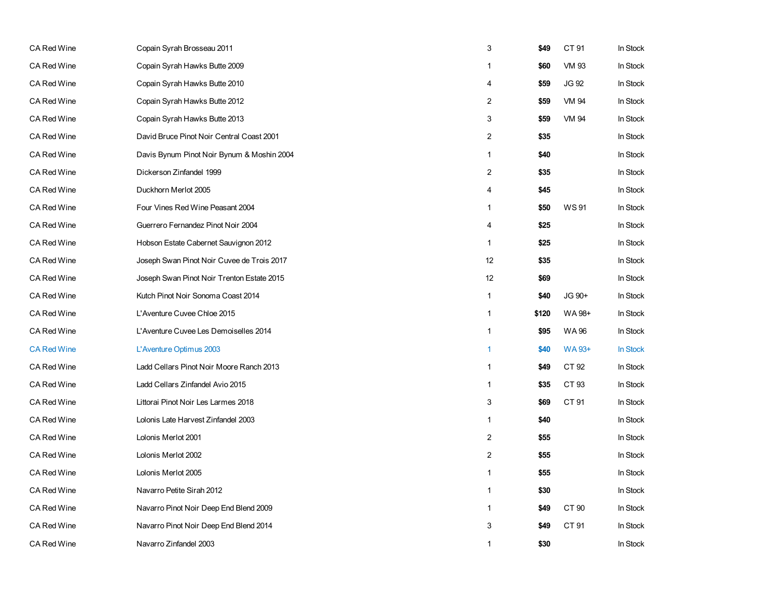| CA Red Wine        | Copain Syrah Brosseau 2011                 | 3                       | \$49  | CT 91        | In Stock |
|--------------------|--------------------------------------------|-------------------------|-------|--------------|----------|
| <b>CA Red Wine</b> | Copain Syrah Hawks Butte 2009              | 1                       | \$60  | <b>VM 93</b> | In Stock |
| <b>CA Red Wine</b> | Copain Syrah Hawks Butte 2010              | 4                       | \$59  | JG 92        | In Stock |
| CA Red Wine        | Copain Syrah Hawks Butte 2012              | $\overline{2}$          | \$59  | VM 94        | In Stock |
| CA Red Wine        | Copain Syrah Hawks Butte 2013              | 3                       | \$59  | VM 94        | In Stock |
| <b>CA Red Wine</b> | David Bruce Pinot Noir Central Coast 2001  | $\boldsymbol{2}$        | \$35  |              | In Stock |
| <b>CA Red Wine</b> | Davis Bynum Pinot Noir Bynum & Moshin 2004 | $\mathbf{1}$            | \$40  |              | In Stock |
| <b>CA Red Wine</b> | Dickerson Zinfandel 1999                   | $\overline{\mathbf{c}}$ | \$35  |              | In Stock |
| <b>CA Red Wine</b> | Duckhorn Merlot 2005                       | 4                       | \$45  |              | In Stock |
| <b>CA Red Wine</b> | Four Vines Red Wine Peasant 2004           | $\mathbf{1}$            | \$50  | <b>WS91</b>  | In Stock |
| <b>CA Red Wine</b> | Guerrero Fernandez Pinot Noir 2004         | 4                       | \$25  |              | In Stock |
| <b>CA Red Wine</b> | Hobson Estate Cabernet Sauvignon 2012      | $\mathbf{1}$            | \$25  |              | In Stock |
| CA Red Wine        | Joseph Swan Pinot Noir Cuvee de Trois 2017 | 12                      | \$35  |              | In Stock |
| <b>CA Red Wine</b> | Joseph Swan Pinot Noir Trenton Estate 2015 | 12                      | \$69  |              | In Stock |
| <b>CA Red Wine</b> | Kutch Pinot Noir Sonoma Coast 2014         | $\mathbf{1}$            | \$40  | JG 90+       | In Stock |
| <b>CA Red Wine</b> | L'Aventure Cuvee Chloe 2015                | $\mathbf{1}$            | \$120 | WA 98+       | In Stock |
| <b>CA Red Wine</b> | L'Aventure Cuvee Les Demoiselles 2014      | 1                       | \$95  | <b>WA96</b>  | In Stock |
| <b>CA Red Wine</b> | L'Aventure Optimus 2003                    | 1                       | \$40  | WA 93+       | In Stock |
| CA Red Wine        | Ladd Cellars Pinot Noir Moore Ranch 2013   | 1                       | \$49  | CT 92        | In Stock |
| <b>CA Red Wine</b> | Ladd Cellars Zinfandel Avio 2015           | $\mathbf{1}$            | \$35  | CT 93        | In Stock |
| <b>CA Red Wine</b> | Littorai Pinot Noir Les Larmes 2018        | 3                       | \$69  | CT 91        | In Stock |
| <b>CA Red Wine</b> | Lolonis Late Harvest Zinfandel 2003        | 1                       | \$40  |              | In Stock |
| CA Red Wine        | Lolonis Merlot 2001                        | $\boldsymbol{2}$        | \$55  |              | In Stock |
| CA Red Wine        | Lolonis Merlot 2002                        | $\boldsymbol{2}$        | \$55  |              | In Stock |
| <b>CA Red Wine</b> | Lolonis Merlot 2005                        | $\mathbf{1}$            | \$55  |              | In Stock |
| <b>CA Red Wine</b> | Navarro Petite Sirah 2012                  | $\mathbf{1}$            | \$30  |              | In Stock |
| <b>CA Red Wine</b> | Navarro Pinot Noir Deep End Blend 2009     | $\mathbf{1}$            | \$49  | CT 90        | In Stock |
| CA Red Wine        | Navarro Pinot Noir Deep End Blend 2014     | 3                       | \$49  | CT 91        | In Stock |
| CA Red Wine        | Navarro Zinfandel 2003                     | $\mathbf{1}$            | \$30  |              | In Stock |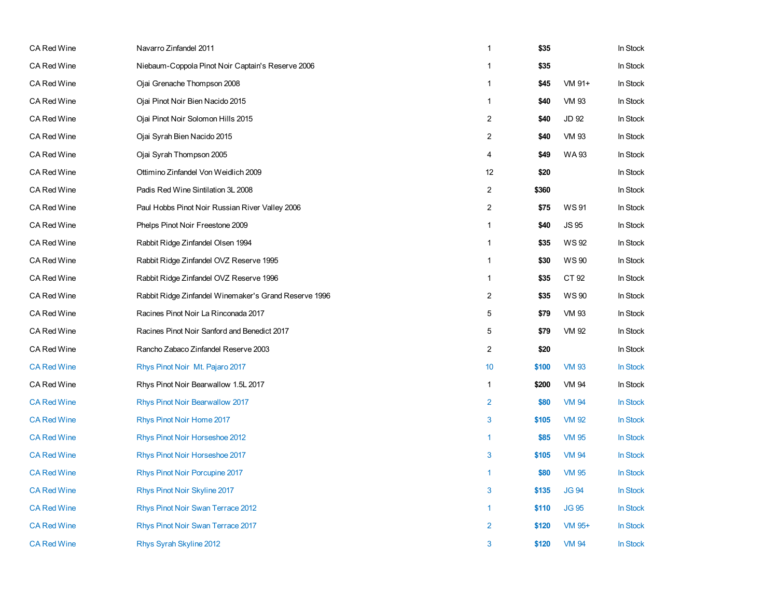| <b>CA Red Wine</b> | Navarro Zinfandel 2011                                | $\mathbf{1}$   | \$35  |              | In Stock |
|--------------------|-------------------------------------------------------|----------------|-------|--------------|----------|
| <b>CA Red Wine</b> | Niebaum-Coppola Pinot Noir Captain's Reserve 2006     | 1              | \$35  |              | In Stock |
| <b>CA Red Wine</b> | Ojai Grenache Thompson 2008                           | $\mathbf{1}$   | \$45  | VM 91+       | In Stock |
| CA Red Wine        | Ojai Pinot Noir Bien Nacido 2015                      | $\mathbf{1}$   | \$40  | <b>VM 93</b> | In Stock |
| CA Red Wine        | Ojai Pinot Noir Solomon Hills 2015                    | $\overline{c}$ | \$40  | JD 92        | In Stock |
| CA Red Wine        | Ojai Syrah Bien Nacido 2015                           | $\overline{2}$ | \$40  | VM 93        | In Stock |
| CA Red Wine        | Ojai Syrah Thompson 2005                              | $\overline{4}$ | \$49  | WA 93        | In Stock |
| CA Red Wine        | Ottimino Zinfandel Von Weidlich 2009                  | 12             | \$20  |              | In Stock |
| CA Red Wine        | Padis Red Wine Sintilation 3L 2008                    | $\overline{2}$ | \$360 |              | In Stock |
| CA Red Wine        | Paul Hobbs Pinot Noir Russian River Valley 2006       | $\overline{c}$ | \$75  | <b>WS91</b>  | In Stock |
| CA Red Wine        | Phelps Pinot Noir Freestone 2009                      | $\mathbf{1}$   | \$40  | JS 95        | In Stock |
| CA Red Wine        | Rabbit Ridge Zinfandel Olsen 1994                     | $\mathbf{1}$   | \$35  | WS 92        | In Stock |
| CA Red Wine        | Rabbit Ridge Zinfandel OVZ Reserve 1995               | $\mathbf{1}$   | \$30  | <b>WS 90</b> | In Stock |
| CA Red Wine        | Rabbit Ridge Zinfandel OVZ Reserve 1996               | $\mathbf{1}$   | \$35  | CT 92        | In Stock |
| <b>CA Red Wine</b> | Rabbit Ridge Zinfandel Winemaker's Grand Reserve 1996 | $\overline{c}$ | \$35  | <b>WS 90</b> | In Stock |
| CA Red Wine        | Racines Pinot Noir La Rinconada 2017                  | 5              | \$79  | VM 93        | In Stock |
| <b>CA Red Wine</b> | Racines Pinot Noir Sanford and Benedict 2017          | 5              | \$79  | <b>VM 92</b> | In Stock |
| CA Red Wine        | Rancho Zabaco Zinfandel Reserve 2003                  | $\overline{c}$ | \$20  |              | In Stock |
| <b>CA Red Wine</b> | Rhys Pinot Noir Mt. Pajaro 2017                       | 10             | \$100 | <b>VM 93</b> | In Stock |
| CA Red Wine        | Rhys Pinot Noir Bearwallow 1.5L 2017                  | $\mathbf{1}$   | \$200 | VM 94        | In Stock |
| <b>CA Red Wine</b> | Rhys Pinot Noir Bearwallow 2017                       | $\overline{2}$ | \$80  | <b>VM 94</b> | In Stock |
| <b>CA Red Wine</b> | Rhys Pinot Noir Home 2017                             | $\mathbf{3}$   | \$105 | <b>VM 92</b> | In Stock |
| <b>CA Red Wine</b> | Rhys Pinot Noir Horseshoe 2012                        | $\mathbf{1}$   | \$85  | <b>VM 95</b> | In Stock |
| <b>CA Red Wine</b> | Rhys Pinot Noir Horseshoe 2017                        | 3              | \$105 | <b>VM 94</b> | In Stock |
| <b>CA Red Wine</b> | Rhys Pinot Noir Porcupine 2017                        | $\mathbf{1}$   | \$80  | <b>VM 95</b> | In Stock |
| <b>CA Red Wine</b> | Rhys Pinot Noir Skyline 2017                          | 3              | \$135 | <b>JG 94</b> | In Stock |
| <b>CA Red Wine</b> | Rhys Pinot Noir Swan Terrace 2012                     | $\mathbf{1}$   | \$110 | <b>JG 95</b> | In Stock |
| <b>CA Red Wine</b> | Rhys Pinot Noir Swan Terrace 2017                     | $\overline{2}$ | \$120 | VM 95+       | In Stock |
| <b>CA Red Wine</b> | Rhys Syrah Skyline 2012                               | 3              | \$120 | <b>VM 94</b> | In Stock |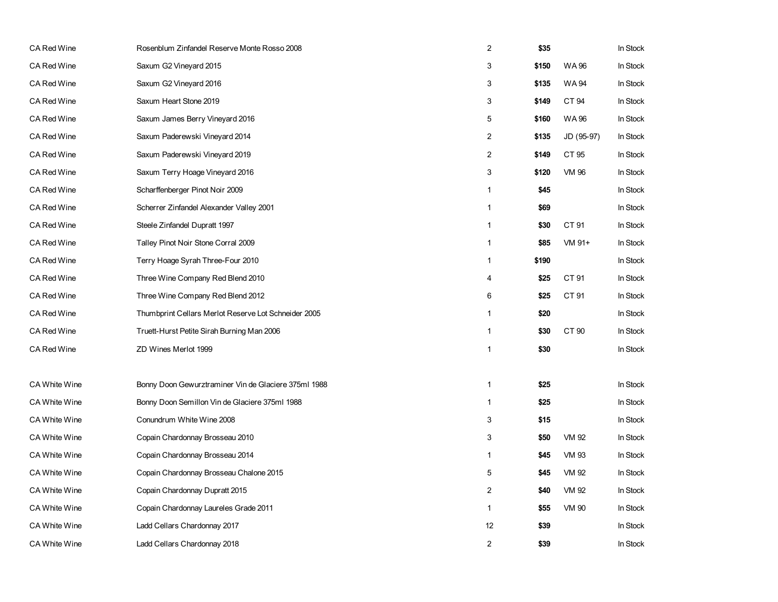| CA Red Wine          | Rosenblum Zinfandel Reserve Monte Rosso 2008         | $\overline{2}$          | \$35  |              | In Stock |
|----------------------|------------------------------------------------------|-------------------------|-------|--------------|----------|
| CA Red Wine          | Saxum G2 Vineyard 2015                               | 3                       | \$150 | <b>WA96</b>  | In Stock |
| CA Red Wine          | Saxum G2 Vineyard 2016                               | 3                       | \$135 | <b>WA94</b>  | In Stock |
| CA Red Wine          | Saxum Heart Stone 2019                               | 3                       | \$149 | CT 94        | In Stock |
| CA Red Wine          | Saxum James Berry Vineyard 2016                      | 5                       | \$160 | WA 96        | In Stock |
| <b>CA Red Wine</b>   | Saxum Paderewski Vineyard 2014                       | $\overline{2}$          | \$135 | JD (95-97)   | In Stock |
| CA Red Wine          | Saxum Paderewski Vineyard 2019                       | $\overline{\mathbf{c}}$ | \$149 | CT 95        | In Stock |
| CA Red Wine          | Saxum Terry Hoage Vineyard 2016                      | 3                       | \$120 | <b>VM 96</b> | In Stock |
| CA Red Wine          | Scharffenberger Pinot Noir 2009                      | 1                       | \$45  |              | In Stock |
| <b>CA Red Wine</b>   | Scherrer Zinfandel Alexander Valley 2001             | $\mathbf{1}$            | \$69  |              | In Stock |
| <b>CA Red Wine</b>   | Steele Zinfandel Dupratt 1997                        | $\mathbf{1}$            | \$30  | CT 91        | In Stock |
| CA Red Wine          | Talley Pinot Noir Stone Corral 2009                  | 1                       | \$85  | VM 91+       | In Stock |
| CA Red Wine          | Terry Hoage Syrah Three-Four 2010                    | 1                       | \$190 |              | In Stock |
| CA Red Wine          | Three Wine Company Red Blend 2010                    | 4                       | \$25  | CT 91        | In Stock |
| CA Red Wine          | Three Wine Company Red Blend 2012                    | 6                       | \$25  | CT 91        | In Stock |
| CA Red Wine          | Thumbprint Cellars Merlot Reserve Lot Schneider 2005 | $\mathbf{1}$            | \$20  |              | In Stock |
| CA Red Wine          | Truett-Hurst Petite Sirah Burning Man 2006           | 1                       | \$30  | CT 90        | In Stock |
| CA Red Wine          | ZD Wines Merlot 1999                                 | $\mathbf{1}$            | \$30  |              | In Stock |
|                      |                                                      |                         |       |              |          |
| <b>CA White Wine</b> | Bonny Doon Gewurztraminer Vin de Glaciere 375ml 1988 | $\mathbf{1}$            | \$25  |              | In Stock |
| <b>CA White Wine</b> | Bonny Doon Semillon Vin de Glaciere 375ml 1988       | $\mathbf{1}$            | \$25  |              | In Stock |
| CA White Wine        | Conundrum White Wine 2008                            | 3                       | \$15  |              | In Stock |
| CA White Wine        | Copain Chardonnay Brosseau 2010                      | 3                       | \$50  | <b>VM 92</b> | In Stock |
| <b>CA White Wine</b> | Copain Chardonnay Brosseau 2014                      | $\mathbf{1}$            | \$45  | <b>VM 93</b> | In Stock |
| <b>CA White Wine</b> | Copain Chardonnay Brosseau Chalone 2015              | 5                       | \$45  | <b>VM 92</b> | In Stock |
| <b>CA White Wine</b> | Copain Chardonnay Dupratt 2015                       | $\boldsymbol{2}$        | \$40  | <b>VM 92</b> | In Stock |
| <b>CA White Wine</b> | Copain Chardonnay Laureles Grade 2011                | $\mathbf{1}$            | \$55  | <b>VM 90</b> | In Stock |
| CA White Wine        | Ladd Cellars Chardonnay 2017                         | 12                      | \$39  |              | In Stock |
| <b>CA White Wine</b> | Ladd Cellars Chardonnay 2018                         | $\overline{c}$          | \$39  |              | In Stock |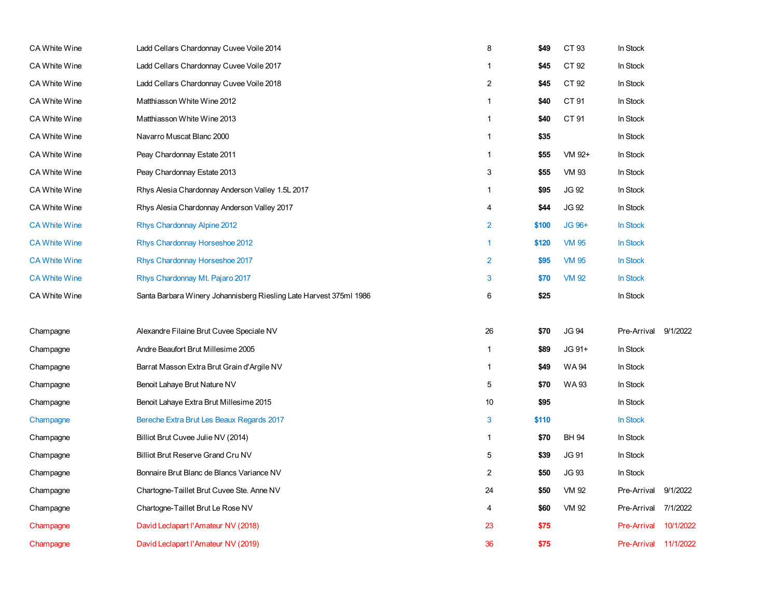| CA White Wine        | Ladd Cellars Chardonnay Cuvee Voile 2014                           | 8              | \$49  | CT 93        | In Stock           |           |
|----------------------|--------------------------------------------------------------------|----------------|-------|--------------|--------------------|-----------|
| <b>CA White Wine</b> | Ladd Cellars Chardonnay Cuvee Voile 2017                           | $\mathbf{1}$   | \$45  | CT 92        | In Stock           |           |
| <b>CA White Wine</b> | Ladd Cellars Chardonnay Cuvee Voile 2018                           | 2              | \$45  | CT 92        | In Stock           |           |
| <b>CA White Wine</b> | Matthiasson White Wine 2012                                        | $\mathbf{1}$   | \$40  | CT 91        | In Stock           |           |
| CA White Wine        | Matthiasson White Wine 2013                                        | $\mathbf{1}$   | \$40  | CT 91        | In Stock           |           |
| CA White Wine        | Navarro Muscat Blanc 2000                                          | $\mathbf{1}$   | \$35  |              | In Stock           |           |
| <b>CA White Wine</b> | Peay Chardonnay Estate 2011                                        | $\mathbf{1}$   | \$55  | VM 92+       | In Stock           |           |
| <b>CA White Wine</b> | Peay Chardonnay Estate 2013                                        | 3              | \$55  | <b>VM 93</b> | In Stock           |           |
| CA White Wine        | Rhys Alesia Chardonnay Anderson Valley 1.5L 2017                   | $\mathbf{1}$   | \$95  | <b>JG 92</b> | In Stock           |           |
| <b>CA White Wine</b> | Rhys Alesia Chardonnay Anderson Valley 2017                        | $\overline{4}$ | \$44  | <b>JG 92</b> | In Stock           |           |
| <b>CA White Wine</b> | Rhys Chardonnay Alpine 2012                                        | $\overline{2}$ | \$100 | JG 96+       | In Stock           |           |
| <b>CA White Wine</b> | Rhys Chardonnay Horseshoe 2012                                     | $\overline{1}$ | \$120 | <b>VM 95</b> | In Stock           |           |
| <b>CA White Wine</b> | Rhys Chardonnay Horseshoe 2017                                     | $\overline{2}$ | \$95  | <b>VM 95</b> | In Stock           |           |
| <b>CA White Wine</b> | Rhys Chardonnay Mt. Pajaro 2017                                    | 3              | \$70  | <b>VM 92</b> | In Stock           |           |
| <b>CA White Wine</b> | Santa Barbara Winery Johannisberg Riesling Late Harvest 375ml 1986 | 6              | \$25  |              | In Stock           |           |
| Champagne            | Alexandre Filaine Brut Cuvee Speciale NV                           | 26             | \$70  | <b>JG 94</b> | Pre-Arrival        | 9/1/2022  |
| Champagne            | Andre Beaufort Brut Millesime 2005                                 | $\mathbf{1}$   | \$89  | JG 91+       | In Stock           |           |
| Champagne            | Barrat Masson Extra Brut Grain d'Argile NV                         | $\mathbf{1}$   | \$49  | <b>WA94</b>  | In Stock           |           |
| Champagne            | Benoit Lahaye Brut Nature NV                                       | $\,$ 5 $\,$    | \$70  | <b>WA93</b>  | In Stock           |           |
| Champagne            | Benoit Lahaye Extra Brut Millesime 2015                            | 10             | \$95  |              | In Stock           |           |
| Champagne            | Bereche Extra Brut Les Beaux Regards 2017                          | 3              | \$110 |              | In Stock           |           |
| Champagne            | Billiot Brut Cuvee Julie NV (2014)                                 | $\mathbf{1}$   | \$70  | <b>BH 94</b> | In Stock           |           |
| Champagne            | Billiot Brut Reserve Grand Cru NV                                  | $\,$ 5 $\,$    | \$39  | JG 91        | In Stock           |           |
| Champagne            | Bonnaire Brut Blanc de Blancs Variance NV                          | $\overline{2}$ | \$50  | JG 93        | In Stock           |           |
| Champagne            | Chartogne-Taillet Brut Cuvee Ste. Anne NV                          | 24             | \$50  | <b>VM 92</b> | Pre-Arrival        | 9/1/2022  |
| Champagne            | Chartogne-Taillet Brut Le Rose NV                                  | 4              | \$60  | VM 92        | Pre-Arrival        | 7/1/2022  |
| Champagne            | David Leclapart l'Amateur NV (2018)                                | 23             | \$75  |              | <b>Pre-Arrival</b> | 10/1/2022 |
| Champagne            | David Leclapart l'Amateur NV (2019)                                | 36             | \$75  |              | <b>Pre-Arrival</b> | 11/1/2022 |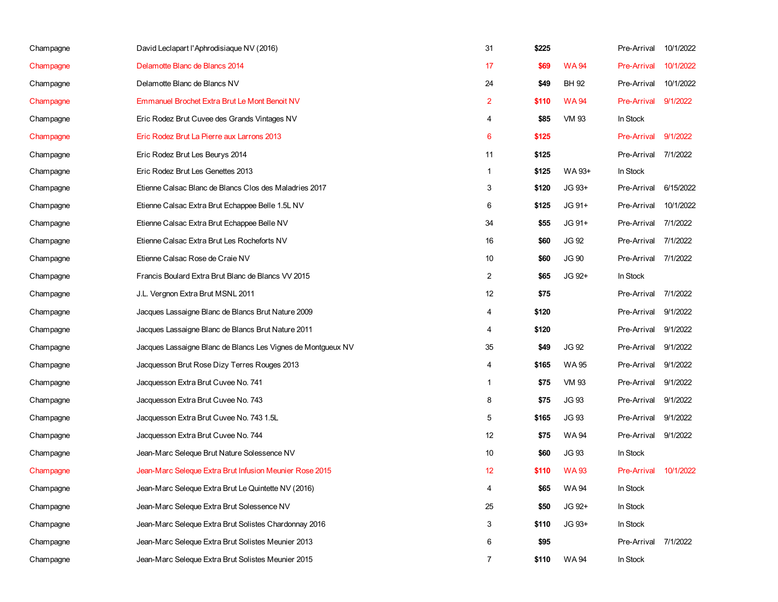| Champagne | David Leclapart l'Aphrodisiaque NV (2016)                    | 31                | \$225 |              | Pre-Arrival        | 10/1/2022 |
|-----------|--------------------------------------------------------------|-------------------|-------|--------------|--------------------|-----------|
| Champagne | Delamotte Blanc de Blancs 2014                               | 17                | \$69  | <b>WA94</b>  | <b>Pre-Arrival</b> | 10/1/2022 |
| Champagne | Delamotte Blanc de Blancs NV                                 | 24                | \$49  | BH 92        | Pre-Arrival        | 10/1/2022 |
| Champagne | Emmanuel Brochet Extra Brut Le Mont Benoit NV                | $\overline{2}$    | \$110 | <b>WA94</b>  | <b>Pre-Arrival</b> | 9/1/2022  |
| Champagne | Eric Rodez Brut Cuvee des Grands Vintages NV                 | 4                 | \$85  | VM 93        | In Stock           |           |
| Champagne | Eric Rodez Brut La Pierre aux Larrons 2013                   | 6                 | \$125 |              | <b>Pre-Arrival</b> | 9/1/2022  |
| Champagne | Eric Rodez Brut Les Beurys 2014                              | 11                | \$125 |              | Pre-Arrival        | 7/1/2022  |
| Champagne | Eric Rodez Brut Les Genettes 2013                            | 1                 | \$125 | WA 93+       | In Stock           |           |
| Champagne | Etienne Calsac Blanc de Blancs Clos des Maladries 2017       | 3                 | \$120 | JG 93+       | Pre-Arrival        | 6/15/2022 |
| Champagne | Etienne Calsac Extra Brut Echappee Belle 1.5L NV             | 6                 | \$125 | JG 91+       | Pre-Arrival        | 10/1/2022 |
| Champagne | Etienne Calsac Extra Brut Echappee Belle NV                  | 34                | \$55  | JG 91+       | Pre-Arrival        | 7/1/2022  |
| Champagne | Etienne Calsac Extra Brut Les Rocheforts NV                  | 16                | \$60  | JG 92        | Pre-Arrival        | 7/1/2022  |
| Champagne | Etienne Calsac Rose de Craie NV                              | 10                | \$60  | <b>JG 90</b> | Pre-Arrival        | 7/1/2022  |
| Champagne | Francis Boulard Extra Brut Blanc de Blancs VV 2015           | $\overline{2}$    | \$65  | JG 92+       | In Stock           |           |
| Champagne | J.L. Vergnon Extra Brut MSNL 2011                            | 12                | \$75  |              | Pre-Arrival        | 7/1/2022  |
| Champagne | Jacques Lassaigne Blanc de Blancs Brut Nature 2009           | 4                 | \$120 |              | Pre-Arrival        | 9/1/2022  |
| Champagne | Jacques Lassaigne Blanc de Blancs Brut Nature 2011           | 4                 | \$120 |              | Pre-Arrival        | 9/1/2022  |
| Champagne | Jacques Lassaigne Blanc de Blancs Les Vignes de Montgueux NV | 35                | \$49  | JG 92        | Pre-Arrival        | 9/1/2022  |
| Champagne | Jacquesson Brut Rose Dizy Terres Rouges 2013                 | 4                 | \$165 | WA 95        | Pre-Arrival        | 9/1/2022  |
| Champagne | Jacquesson Extra Brut Cuvee No. 741                          | 1                 | \$75  | VM 93        | Pre-Arrival        | 9/1/2022  |
| Champagne | Jacquesson Extra Brut Cuvee No. 743                          | 8                 | \$75  | <b>JG 93</b> | Pre-Arrival        | 9/1/2022  |
| Champagne | Jacquesson Extra Brut Cuvee No. 743 1.5L                     | 5                 | \$165 | JG 93        | Pre-Arrival        | 9/1/2022  |
| Champagne | Jacquesson Extra Brut Cuvee No. 744                          | $12 \overline{ }$ | \$75  | WA 94        | Pre-Arrival        | 9/1/2022  |
| Champagne | Jean-Marc Seleque Brut Nature Solessence NV                  | 10                | \$60  | JG 93        | In Stock           |           |
| Champagne | Jean-Marc Seleque Extra Brut Infusion Meunier Rose 2015      | 12                | \$110 | <b>WA93</b>  | <b>Pre-Arrival</b> | 10/1/2022 |
| Champagne | Jean-Marc Seleque Extra Brut Le Quintette NV (2016)          | 4                 | \$65  | <b>WA94</b>  | In Stock           |           |
| Champagne | Jean-Marc Seleque Extra Brut Solessence NV                   | 25                | \$50  | JG 92+       | In Stock           |           |
| Champagne | Jean-Marc Seleque Extra Brut Solistes Chardonnay 2016        | 3                 | \$110 | JG 93+       | In Stock           |           |
| Champagne | Jean-Marc Seleque Extra Brut Solistes Meunier 2013           | 6                 | \$95  |              | Pre-Arrival        | 7/1/2022  |
| Champagne | Jean-Marc Seleque Extra Brut Solistes Meunier 2015           | $\overline{7}$    | \$110 | WA 94        | In Stock           |           |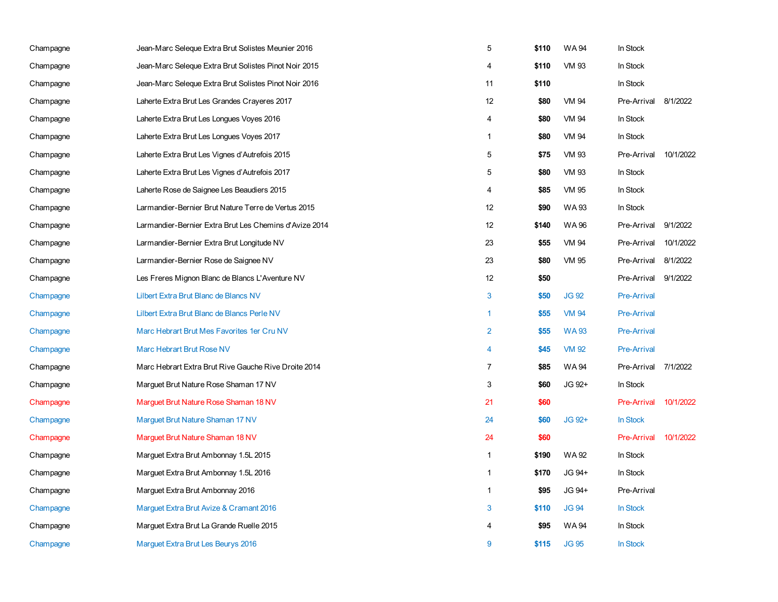| Champagne | Jean-Marc Seleque Extra Brut Solistes Meunier 2016     | 5              | \$110 | <b>WA94</b>  | In Stock           |           |
|-----------|--------------------------------------------------------|----------------|-------|--------------|--------------------|-----------|
| Champagne | Jean-Marc Seleque Extra Brut Solistes Pinot Noir 2015  | 4              | \$110 | <b>VM 93</b> | In Stock           |           |
| Champagne | Jean-Marc Seleque Extra Brut Solistes Pinot Noir 2016  | 11             | \$110 |              | In Stock           |           |
| Champagne | Laherte Extra Brut Les Grandes Crayeres 2017           | 12             | \$80  | <b>VM 94</b> | Pre-Arrival        | 8/1/2022  |
| Champagne | Laherte Extra Brut Les Longues Voyes 2016              | 4              | \$80  | VM 94        | In Stock           |           |
| Champagne | Laherte Extra Brut Les Longues Voyes 2017              | $\mathbf{1}$   | \$80  | VM 94        | In Stock           |           |
| Champagne | Laherte Extra Brut Les Vignes d'Autrefois 2015         | 5              | \$75  | <b>VM 93</b> | Pre-Arrival        | 10/1/2022 |
| Champagne | Laherte Extra Brut Les Vignes d'Autrefois 2017         | 5              | \$80  | <b>VM 93</b> | In Stock           |           |
| Champagne | Laherte Rose de Saignee Les Beaudiers 2015             | 4              | \$85  | VM 95        | In Stock           |           |
| Champagne | Larmandier-Bernier Brut Nature Terre de Vertus 2015    | 12             | \$90  | <b>WA93</b>  | In Stock           |           |
| Champagne | Larmandier-Bernier Extra Brut Les Chemins d'Avize 2014 | 12             | \$140 | WA 96        | Pre-Arrival        | 9/1/2022  |
| Champagne | Larmandier-Bernier Extra Brut Longitude NV             | 23             | \$55  | <b>VM 94</b> | Pre-Arrival        | 10/1/2022 |
| Champagne | Larmandier-Bernier Rose de Saignee NV                  | 23             | \$80  | VM 95        | Pre-Arrival        | 8/1/2022  |
| Champagne | Les Freres Mignon Blanc de Blancs L'Aventure NV        | 12             | \$50  |              | Pre-Arrival        | 9/1/2022  |
| Champagne | Lilbert Extra Brut Blanc de Blancs NV                  | 3              | \$50  | <b>JG 92</b> | <b>Pre-Arrival</b> |           |
| Champagne | Lilbert Extra Brut Blanc de Blancs Perle NV            | $\mathbf{1}$   | \$55  | <b>VM 94</b> | <b>Pre-Arrival</b> |           |
| Champagne | Marc Hebrart Brut Mes Favorites 1er Cru NV             | $\overline{2}$ | \$55  | <b>WA93</b>  | <b>Pre-Arrival</b> |           |
| Champagne | Marc Hebrart Brut Rose NV                              | $\overline{4}$ | \$45  | <b>VM 92</b> | <b>Pre-Arrival</b> |           |
| Champagne | Marc Hebrart Extra Brut Rive Gauche Rive Droite 2014   | $\overline{7}$ | \$85  | <b>WA94</b>  | Pre-Arrival        | 7/1/2022  |
| Champagne | Marguet Brut Nature Rose Shaman 17 NV                  | 3              | \$60  | JG 92+       | In Stock           |           |
| Champagne | Marguet Brut Nature Rose Shaman 18 NV                  | 21             | \$60  |              | Pre-Arrival        | 10/1/2022 |
| Champagne | Marguet Brut Nature Shaman 17 NV                       | 24             | \$60  | JG 92+       | In Stock           |           |
| Champagne | Marguet Brut Nature Shaman 18 NV                       | 24             | \$60  |              | <b>Pre-Arrival</b> | 10/1/2022 |
| Champagne | Marguet Extra Brut Ambonnay 1.5L 2015                  | $\mathbf{1}$   | \$190 | <b>WA92</b>  | In Stock           |           |
| Champagne | Marguet Extra Brut Ambonnay 1.5L 2016                  | $\mathbf{1}$   | \$170 | JG 94+       | In Stock           |           |
| Champagne | Marguet Extra Brut Ambonnay 2016                       | $\mathbf{1}$   | \$95  | JG 94+       | Pre-Arrival        |           |
| Champagne | Marguet Extra Brut Avize & Cramant 2016                | 3              | \$110 | <b>JG 94</b> | In Stock           |           |
| Champagne | Marguet Extra Brut La Grande Ruelle 2015               | $\overline{4}$ | \$95  | WA 94        | In Stock           |           |
| Champagne | Marguet Extra Brut Les Beurys 2016                     | 9              | \$115 | <b>JG 95</b> | <b>In Stock</b>    |           |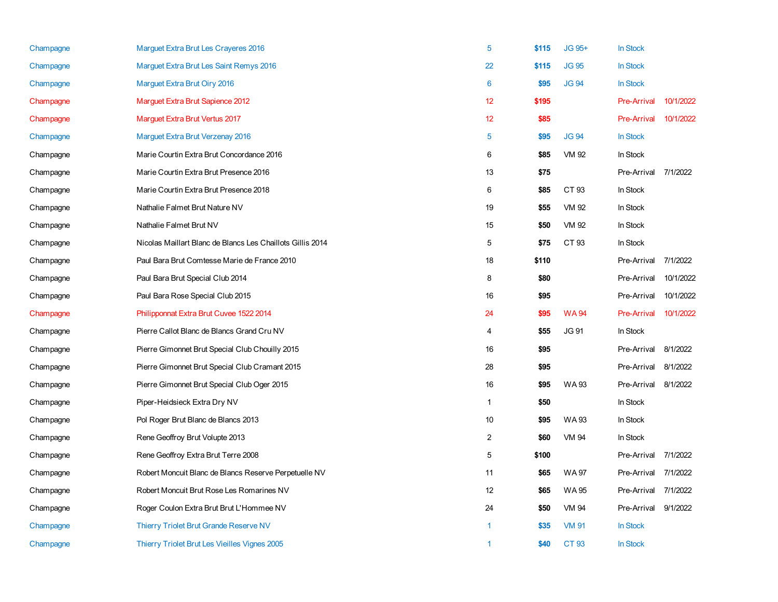| Champagne | Marguet Extra Brut Les Crayeres 2016                       | 5              | \$115 | JG 95+       | <b>In Stock</b>    |           |
|-----------|------------------------------------------------------------|----------------|-------|--------------|--------------------|-----------|
| Champagne | Marguet Extra Brut Les Saint Remys 2016                    | 22             | \$115 | <b>JG 95</b> | <b>In Stock</b>    |           |
| Champagne | Marguet Extra Brut Oiry 2016                               | 6              | \$95  | <b>JG 94</b> | <b>In Stock</b>    |           |
| Champagne | Marguet Extra Brut Sapience 2012                           | 12             | \$195 |              | <b>Pre-Arrival</b> | 10/1/2022 |
| Champagne | Marguet Extra Brut Vertus 2017                             | 12             | \$85  |              | <b>Pre-Arrival</b> | 10/1/2022 |
| Champagne | Marguet Extra Brut Verzenay 2016                           | 5              | \$95  | <b>JG 94</b> | In Stock           |           |
| Champagne | Marie Courtin Extra Brut Concordance 2016                  | 6              | \$85  | VM 92        | In Stock           |           |
| Champagne | Marie Courtin Extra Brut Presence 2016                     | 13             | \$75  |              | Pre-Arrival        | 7/1/2022  |
| Champagne | Marie Courtin Extra Brut Presence 2018                     | 6              | \$85  | CT 93        | In Stock           |           |
| Champagne | Nathalie Falmet Brut Nature NV                             | 19             | \$55  | VM 92        | In Stock           |           |
| Champagne | Nathalie Falmet Brut NV                                    | 15             | \$50  | VM 92        | In Stock           |           |
| Champagne | Nicolas Maillart Blanc de Blancs Les Chaillots Gillis 2014 | 5              | \$75  | CT 93        | In Stock           |           |
| Champagne | Paul Bara Brut Comtesse Marie de France 2010               | 18             | \$110 |              | Pre-Arrival        | 7/1/2022  |
| Champagne | Paul Bara Brut Special Club 2014                           | 8              | \$80  |              | Pre-Arrival        | 10/1/2022 |
| Champagne | Paul Bara Rose Special Club 2015                           | 16             | \$95  |              | Pre-Arrival        | 10/1/2022 |
| Champagne | Philipponnat Extra Brut Cuvee 1522 2014                    | 24             | \$95  | <b>WA94</b>  | <b>Pre-Arrival</b> | 10/1/2022 |
| Champagne | Pierre Callot Blanc de Blancs Grand Cru NV                 | $\overline{4}$ | \$55  | <b>JG 91</b> | In Stock           |           |
| Champagne | Pierre Gimonnet Brut Special Club Chouilly 2015            | 16             | \$95  |              | Pre-Arrival        | 8/1/2022  |
| Champagne | Pierre Gimonnet Brut Special Club Cramant 2015             | 28             | \$95  |              | Pre-Arrival        | 8/1/2022  |
| Champagne | Pierre Gimonnet Brut Special Club Oger 2015                | 16             | \$95  | <b>WA93</b>  | Pre-Arrival        | 8/1/2022  |
| Champagne | Piper-Heidsieck Extra Dry NV                               | $\mathbf{1}$   | \$50  |              | In Stock           |           |
| Champagne | Pol Roger Brut Blanc de Blancs 2013                        | 10             | \$95  | <b>WA93</b>  | In Stock           |           |
| Champagne | Rene Geoffroy Brut Volupte 2013                            | $\overline{2}$ | \$60  | VM 94        | In Stock           |           |
| Champagne | Rene Geoffroy Extra Brut Terre 2008                        | 5              | \$100 |              | Pre-Arrival        | 7/1/2022  |
| Champagne | Robert Moncuit Blanc de Blancs Reserve Perpetuelle NV      | 11             | \$65  | WA 97        | Pre-Arrival        | 7/1/2022  |
| Champagne | Robert Moncuit Brut Rose Les Romarines NV                  | 12             | \$65  | WA 95        | Pre-Arrival        | 7/1/2022  |
| Champagne | Roger Coulon Extra Brut Brut L'Hommee NV                   | 24             | \$50  | <b>VM 94</b> | Pre-Arrival        | 9/1/2022  |
| Champagne | Thierry Triolet Brut Grande Reserve NV                     | 1              | \$35  | <b>VM 91</b> | <b>In Stock</b>    |           |
| Champagne | Thierry Triolet Brut Les Vieilles Vignes 2005              | 1              | \$40  | CT 93        | <b>In Stock</b>    |           |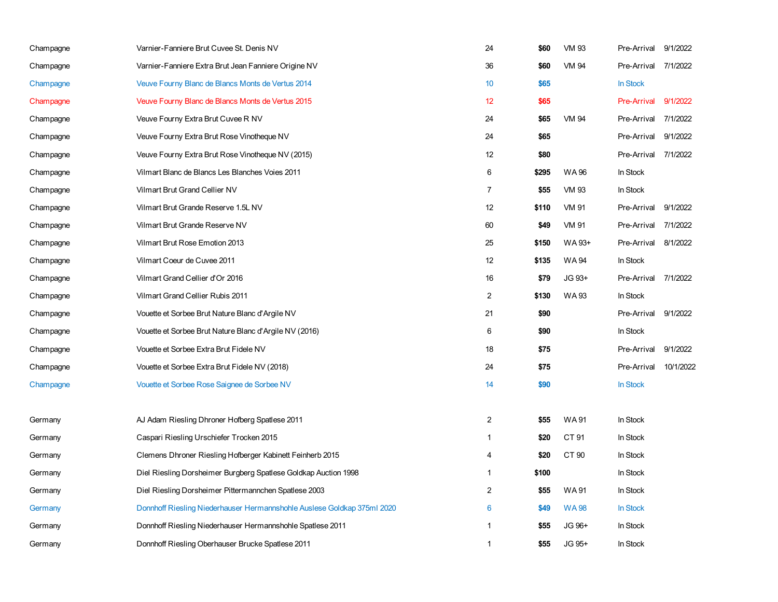| Champagne | Varnier-Fanniere Brut Cuvee St. Denis NV                                | 24             | \$60  | VM 93        | Pre-Arrival        | 9/1/2022  |
|-----------|-------------------------------------------------------------------------|----------------|-------|--------------|--------------------|-----------|
| Champagne | Varnier-Fanniere Extra Brut Jean Fanniere Origine NV                    | 36             | \$60  | <b>VM 94</b> | Pre-Arrival        | 7/1/2022  |
| Champagne | Veuve Fourny Blanc de Blancs Monts de Vertus 2014                       | 10             | \$65  |              | In Stock           |           |
| Champagne | Veuve Fourny Blanc de Blancs Monts de Vertus 2015                       | 12             | \$65  |              | <b>Pre-Arrival</b> | 9/1/2022  |
| Champagne | Veuve Fourny Extra Brut Cuvee R NV                                      | 24             | \$65  | <b>VM 94</b> | Pre-Arrival        | 7/1/2022  |
| Champagne | Veuve Fourny Extra Brut Rose Vinotheque NV                              | 24             | \$65  |              | Pre-Arrival        | 9/1/2022  |
| Champagne | Veuve Fourny Extra Brut Rose Vinotheque NV (2015)                       | 12             | \$80  |              | Pre-Arrival        | 7/1/2022  |
| Champagne | Vilmart Blanc de Blancs Les Blanches Voies 2011                         | 6              | \$295 | <b>WA96</b>  | In Stock           |           |
| Champagne | Vilmart Brut Grand Cellier NV                                           | 7              | \$55  | VM 93        | In Stock           |           |
| Champagne | Vilmart Brut Grande Reserve 1.5L NV                                     | 12             | \$110 | <b>VM 91</b> | Pre-Arrival        | 9/1/2022  |
| Champagne | Vilmart Brut Grande Reserve NV                                          | 60             | \$49  | VM 91        | Pre-Arrival        | 7/1/2022  |
| Champagne | Vilmart Brut Rose Emotion 2013                                          | 25             | \$150 | WA 93+       | Pre-Arrival        | 8/1/2022  |
| Champagne | Vilmart Coeur de Cuvee 2011                                             | 12             | \$135 | <b>WA94</b>  | In Stock           |           |
| Champagne | Vilmart Grand Cellier d'Or 2016                                         | 16             | \$79  | JG 93+       | Pre-Arrival        | 7/1/2022  |
| Champagne | Vilmart Grand Cellier Rubis 2011                                        | $\overline{2}$ | \$130 | <b>WA93</b>  | In Stock           |           |
| Champagne | Vouette et Sorbee Brut Nature Blanc d'Argile NV                         | 21             | \$90  |              | Pre-Arrival        | 9/1/2022  |
| Champagne | Vouette et Sorbee Brut Nature Blanc d'Argile NV (2016)                  | 6              | \$90  |              | In Stock           |           |
| Champagne | Vouette et Sorbee Extra Brut Fidele NV                                  | 18             | \$75  |              | Pre-Arrival        | 9/1/2022  |
| Champagne | Vouette et Sorbee Extra Brut Fidele NV (2018)                           | 24             | \$75  |              | Pre-Arrival        | 10/1/2022 |
| Champagne | Vouette et Sorbee Rose Saignee de Sorbee NV                             | 14             | \$90  |              | In Stock           |           |
|           |                                                                         |                |       |              |                    |           |
| Germany   | AJ Adam Riesling Dhroner Hofberg Spatlese 2011                          | $\overline{2}$ | \$55  | <b>WA91</b>  | In Stock           |           |
| Germany   | Caspari Riesling Urschiefer Trocken 2015                                | $\mathbf{1}$   | \$20  | CT 91        | In Stock           |           |
| Germany   | Clemens Dhroner Riesling Hofberger Kabinett Feinherb 2015               | 4              | \$20  | CT 90        | In Stock           |           |
| Germany   | Diel Riesling Dorsheimer Burgberg Spatlese Goldkap Auction 1998         | $\mathbf{1}$   | \$100 |              | In Stock           |           |
| Germany   | Diel Riesling Dorsheimer Pittermannchen Spatlese 2003                   | 2              | \$55  | WA 91        | In Stock           |           |
| Germany   | Donnhoff Riesling Niederhauser Hermannshohle Auslese Goldkap 375ml 2020 | 6              | \$49  | <b>WA98</b>  | In Stock           |           |
| Germany   | Donnhoff Riesling Niederhauser Hermannshohle Spatlese 2011              | 1              | \$55  | JG 96+       | In Stock           |           |
| Germany   | Donnhoff Riesling Oberhauser Brucke Spatlese 2011                       | 1              | \$55  | JG 95+       | In Stock           |           |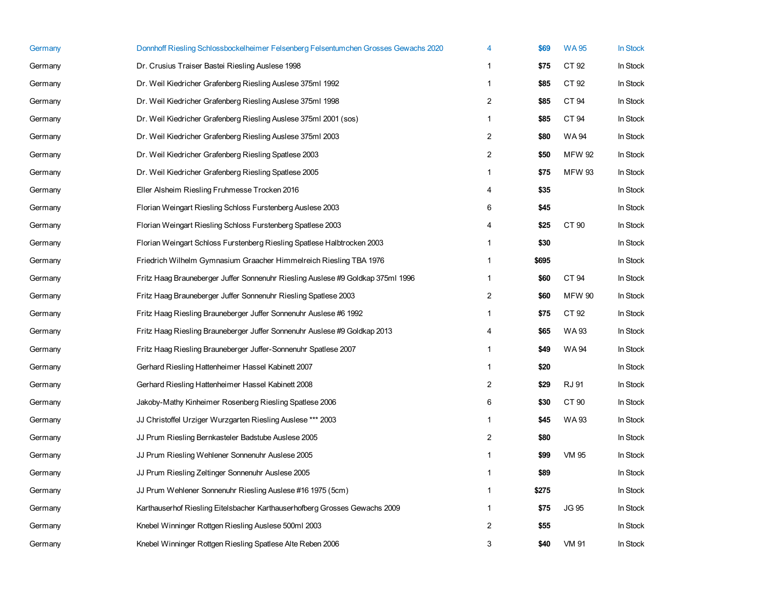| Germany | Donnhoff Riesling Schlossbockelheimer Felsenberg Felsentumchen Grosses Gewachs 2020 | 4              | \$69  | <b>WA95</b>   | In Stock |
|---------|-------------------------------------------------------------------------------------|----------------|-------|---------------|----------|
| Germany | Dr. Crusius Traiser Bastei Riesling Auslese 1998                                    | 1              | \$75  | CT 92         | In Stock |
| Germany | Dr. Weil Kiedricher Grafenberg Riesling Auslese 375ml 1992                          | $\mathbf{1}$   | \$85  | CT 92         | In Stock |
| Germany | Dr. Weil Kiedricher Grafenberg Riesling Auslese 375ml 1998                          | $\overline{2}$ | \$85  | CT 94         | In Stock |
| Germany | Dr. Weil Kiedricher Grafenberg Riesling Auslese 375ml 2001 (sos)                    | $\mathbf{1}$   | \$85  | CT 94         | In Stock |
| Germany | Dr. Weil Kiedricher Grafenberg Riesling Auslese 375ml 2003                          | 2              | \$80  | WA 94         | In Stock |
| Germany | Dr. Weil Kiedricher Grafenberg Riesling Spatlese 2003                               | $\sqrt{2}$     | \$50  | <b>MFW 92</b> | In Stock |
| Germany | Dr. Weil Kiedricher Grafenberg Riesling Spatlese 2005                               | 1              | \$75  | <b>MFW 93</b> | In Stock |
| Germany | Eller Alsheim Riesling Fruhmesse Trocken 2016                                       | 4              | \$35  |               | In Stock |
| Germany | Florian Weingart Riesling Schloss Furstenberg Auslese 2003                          | 6              | \$45  |               | In Stock |
| Germany | Florian Weingart Riesling Schloss Furstenberg Spatlese 2003                         | 4              | \$25  | CT 90         | In Stock |
| Germany | Florian Weingart Schloss Furstenberg Riesling Spatlese Halbtrocken 2003             | 1              | \$30  |               | In Stock |
| Germany | Friedrich Wilhelm Gymnasium Graacher Himmelreich Riesling TBA 1976                  | $\mathbf{1}$   | \$695 |               | In Stock |
| Germany | Fritz Haag Brauneberger Juffer Sonnenuhr Riesling Auslese #9 Goldkap 375ml 1996     | 1              | \$60  | CT 94         | In Stock |
| Germany | Fritz Haag Brauneberger Juffer Sonnenuhr Riesling Spatlese 2003                     | $\overline{2}$ | \$60  | <b>MFW 90</b> | In Stock |
| Germany | Fritz Haag Riesling Brauneberger Juffer Sonnenuhr Auslese #6 1992                   | $\mathbf{1}$   | \$75  | CT 92         | In Stock |
| Germany | Fritz Haag Riesling Brauneberger Juffer Sonnenuhr Auslese #9 Goldkap 2013           | 4              | \$65  | WA 93         | In Stock |
| Germany | Fritz Haag Riesling Brauneberger Juffer-Sonnenuhr Spatlese 2007                     | $\mathbf{1}$   | \$49  | WA 94         | In Stock |
| Germany | Gerhard Riesling Hattenheimer Hassel Kabinett 2007                                  | $\mathbf{1}$   | \$20  |               | In Stock |
| Germany | Gerhard Riesling Hattenheimer Hassel Kabinett 2008                                  | $\overline{2}$ | \$29  | RJ 91         | In Stock |
| Germany | Jakoby-Mathy Kinheimer Rosenberg Riesling Spatlese 2006                             | 6              | \$30  | CT 90         | In Stock |
| Germany | JJ Christoffel Urziger Wurzgarten Riesling Auslese *** 2003                         | $\mathbf{1}$   | \$45  | WA 93         | In Stock |
| Germany | JJ Prum Riesling Bernkasteler Badstube Auslese 2005                                 | $\overline{c}$ | \$80  |               | In Stock |
| Germany | JJ Prum Riesling Wehlener Sonnenuhr Auslese 2005                                    | $\mathbf{1}$   | \$99  | <b>VM 95</b>  | In Stock |
| Germany | JJ Prum Riesling Zeltinger Sonnenuhr Auslese 2005                                   | $\mathbf{1}$   | \$89  |               | In Stock |
| Germany | JJ Prum Wehlener Sonnenuhr Riesling Auslese #16 1975 (5cm)                          | $\mathbf{1}$   | \$275 |               | In Stock |
| Germany | Karthauserhof Riesling Eitelsbacher Karthauserhofberg Grosses Gewachs 2009          | $\mathbf{1}$   | \$75  | <b>JG 95</b>  | In Stock |
| Germany | Knebel Winninger Rottgen Riesling Auslese 500ml 2003                                | $\overline{2}$ | \$55  |               | In Stock |
| Germany | Knebel Winninger Rottgen Riesling Spatlese Alte Reben 2006                          | 3              | \$40  | <b>VM 91</b>  | In Stock |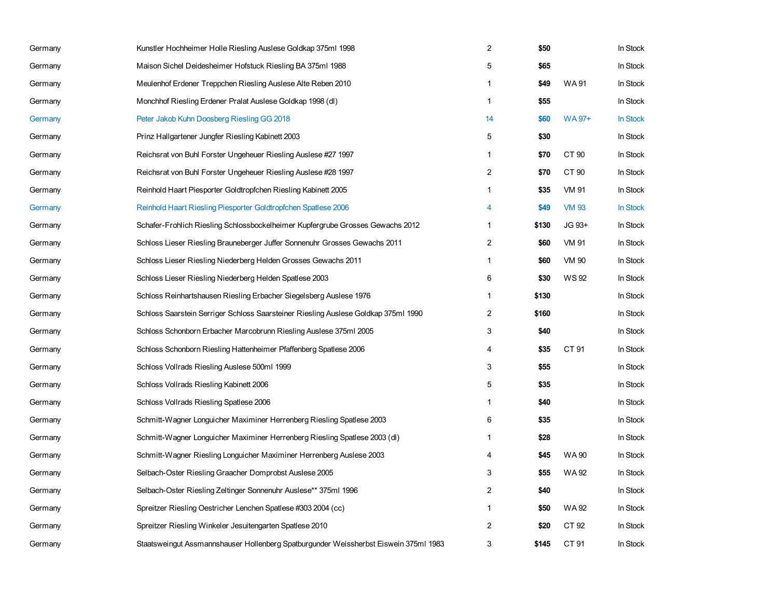| Germany | Kunstler Hochheimer Holle Riesling Auslese Goldkap 375ml 1998                        | $\overline{2}$ | \$50  |              | In Stock        |
|---------|--------------------------------------------------------------------------------------|----------------|-------|--------------|-----------------|
| Germany | Maison Sichel Deidesheimer Hofstuck Riesling BA 375ml 1988                           | 5              | \$65  |              | In Stock        |
| Germany | Meulenhof Erdener Treppchen Riesling Auslese Alte Reben 2010                         | $\mathbf{1}$   | \$49  | <b>WA91</b>  | In Stock        |
| Germany | Monchhof Riesling Erdener Pralat Auslese Goldkap 1998 (dl)                           | $\mathbf{1}$   | \$55  |              | In Stock        |
| Germany | Peter Jakob Kuhn Doosberg Riesling GG 2018                                           | 14             | \$60  | WA 97+       | <b>In Stock</b> |
| Germany | Prinz Hallgartener Jungfer Riesling Kabinett 2003                                    | 5              | \$30  |              | In Stock        |
| Germany | Reichsrat von Buhl Forster Ungeheuer Riesling Auslese #27 1997                       | 1              | \$70  | CT 90        | In Stock        |
| Germany | Reichsrat von Buhl Forster Ungeheuer Riesling Auslese #28 1997                       | 2              | \$70  | CT 90        | In Stock        |
| Germany | Reinhold Haart Piesporter Goldtropfchen Riesling Kabinett 2005                       | 1              | \$35  | VM 91        | In Stock        |
| Germany | Reinhold Haart Riesling Piesporter Goldtropfchen Spatlese 2006                       | 4              | \$49  | <b>VM 93</b> | <b>In Stock</b> |
| Germany | Schafer-Frohlich Riesling Schlossbockelheimer Kupfergrube Grosses Gewachs 2012       | $\mathbf{1}$   | \$130 | JG 93+       | In Stock        |
| Germany | Schloss Lieser Riesling Brauneberger Juffer Sonnenuhr Grosses Gewachs 2011           | 2              | \$60  | <b>VM 91</b> | In Stock        |
| Germany | Schloss Lieser Riesling Niederberg Helden Grosses Gewachs 2011                       | 1              | \$60  | <b>VM 90</b> | In Stock        |
| Germany | Schloss Lieser Riesling Niederberg Helden Spatlese 2003                              | 6              | \$30  | WS 92        | In Stock        |
| Germany | Schloss Reinhartshausen Riesling Erbacher Siegelsberg Auslese 1976                   | 1              | \$130 |              | In Stock        |
| Germany | Schloss Saarstein Serriger Schloss Saarsteiner Riesling Auslese Goldkap 375ml 1990   | 2              | \$160 |              | In Stock        |
| Germany | Schloss Schonborn Erbacher Marcobrunn Riesling Auslese 375ml 2005                    | 3              | \$40  |              | In Stock        |
| Germany | Schloss Schonborn Riesling Hattenheimer Pfaffenberg Spatlese 2006                    | 4              | \$35  | CT 91        | In Stock        |
| Germany | Schloss Vollrads Riesling Auslese 500ml 1999                                         | 3              | \$55  |              | In Stock        |
| Germany | Schloss Vollrads Riesling Kabinett 2006                                              | 5              | \$35  |              | In Stock        |
| Germany | Schloss Vollrads Riesling Spatlese 2006                                              | $\mathbf{1}$   | \$40  |              | In Stock        |
| Germany | Schmitt-Wagner Longuicher Maximiner Herrenberg Riesling Spatlese 2003                | 6              | \$35  |              | In Stock        |
| Germany | Schmitt-Wagner Longuicher Maximiner Herrenberg Riesling Spatlese 2003 (dl)           | $\mathbf{1}$   | \$28  |              | In Stock        |
| Germany | Schmitt-Wagner Riesling Longuicher Maximiner Herrenberg Auslese 2003                 | 4              | \$45  | WA 90        | In Stock        |
| Germany | Selbach-Oster Riesling Graacher Domprobst Auslese 2005                               | 3              | \$55  | WA 92        | In Stock        |
| Germany | Selbach-Oster Riesling Zeltinger Sonnenuhr Auslese** 375ml 1996                      | 2              | \$40  |              | In Stock        |
| Germany | Spreitzer Riesling Oestricher Lenchen Spatlese #303 2004 (cc)                        | $\mathbf{1}$   | \$50  | WA 92        | In Stock        |
| Germany | Spreitzer Riesling Winkeler Jesuitengarten Spatlese 2010                             | 2              | \$20  | CT 92        | In Stock        |
| Germany | Staatsweingut Assmannshauser Hollenberg Spatburgunder Weissherbst Eiswein 375ml 1983 | 3              | \$145 | CT 91        | In Stock        |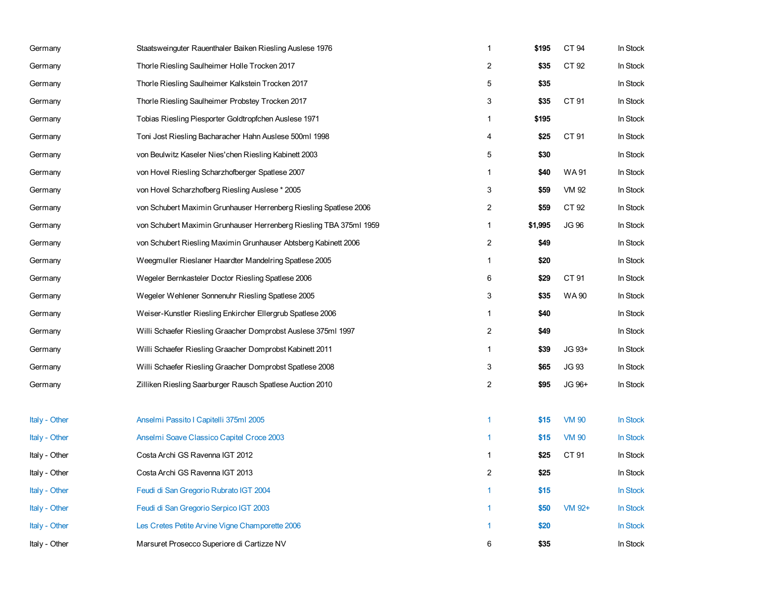| Germany       | Staatsweinguter Rauenthaler Baiken Riesling Auslese 1976           | $\mathbf{1}$   | \$195   | CT 94        | In Stock |
|---------------|--------------------------------------------------------------------|----------------|---------|--------------|----------|
| Germany       | Thorle Riesling Saulheimer Holle Trocken 2017                      | $\sqrt{2}$     | \$35    | CT 92        | In Stock |
| Germany       | Thorle Riesling Saulheimer Kalkstein Trocken 2017                  | 5              | \$35    |              | In Stock |
| Germany       | Thorle Riesling Saulheimer Probstey Trocken 2017                   | 3              | \$35    | CT 91        | In Stock |
| Germany       | Tobias Riesling Piesporter Goldtropfchen Auslese 1971              | $\mathbf{1}$   | \$195   |              | In Stock |
| Germany       | Toni Jost Riesling Bacharacher Hahn Auslese 500ml 1998             | 4              | \$25    | CT 91        | In Stock |
| Germany       | von Beulwitz Kaseler Nies' chen Riesling Kabinett 2003             | 5              | \$30    |              | In Stock |
| Germany       | von Hovel Riesling Scharzhofberger Spatlese 2007                   | $\mathbf{1}$   | \$40    | <b>WA91</b>  | In Stock |
| Germany       | von Hovel Scharzhofberg Riesling Auslese * 2005                    | 3              | \$59    | VM 92        | In Stock |
| Germany       | von Schubert Maximin Grunhauser Herrenberg Riesling Spatlese 2006  | 2              | \$59    | CT 92        | In Stock |
| Germany       | von Schubert Maximin Grunhauser Herrenberg Riesling TBA 375ml 1959 | $\mathbf{1}$   | \$1,995 | <b>JG 96</b> | In Stock |
| Germany       | von Schubert Riesling Maximin Grunhauser Abtsberg Kabinett 2006    | 2              | \$49    |              | In Stock |
| Germany       | Weegmuller Rieslaner Haardter Mandelring Spatlese 2005             | $\mathbf{1}$   | \$20    |              | In Stock |
| Germany       | Wegeler Bernkasteler Doctor Riesling Spatlese 2006                 | 6              | \$29    | CT 91        | In Stock |
| Germany       | Wegeler Wehlener Sonnenuhr Riesling Spatlese 2005                  | 3              | \$35    | <b>WA90</b>  | In Stock |
| Germany       | Weiser-Kunstler Riesling Enkircher Ellergrub Spatlese 2006         | $\mathbf{1}$   | \$40    |              | In Stock |
| Germany       | Willi Schaefer Riesling Graacher Domprobst Auslese 375ml 1997      | $\overline{2}$ | \$49    |              | In Stock |
| Germany       | Willi Schaefer Riesling Graacher Domprobst Kabinett 2011           | $\mathbf{1}$   | \$39    | JG 93+       | In Stock |
| Germany       | Willi Schaefer Riesling Graacher Domprobst Spatlese 2008           | 3              | \$65    | <b>JG 93</b> | In Stock |
| Germany       | Zilliken Riesling Saarburger Rausch Spatlese Auction 2010          | $\overline{c}$ | \$95    | JG 96+       | In Stock |
|               |                                                                    |                |         |              |          |
| Italy - Other | Anselmi Passito I Capitelli 375ml 2005                             | 1              | \$15    | <b>VM 90</b> | In Stock |
| Italy - Other | Anselmi Soave Classico Capitel Croce 2003                          | 1              | \$15    | <b>VM 90</b> | In Stock |
| Italy - Other | Costa Archi GS Ravenna IGT 2012                                    | $\mathbf{1}$   | \$25    | CT 91        | In Stock |
| Italy - Other | Costa Archi GS Ravenna IGT 2013                                    | 2              | \$25    |              | In Stock |
| Italy - Other | Feudi di San Gregorio Rubrato IGT 2004                             | $\mathbf{1}$   | \$15    |              | In Stock |
| Italy - Other | Feudi di San Gregorio Serpico IGT 2003                             | 1              | \$50    | VM 92+       | In Stock |
| Italy - Other | Les Cretes Petite Arvine Vigne Champorette 2006                    | 1              | \$20    |              | In Stock |
| Italy - Other | Marsuret Prosecco Superiore di Cartizze NV                         | 6              | \$35    |              | In Stock |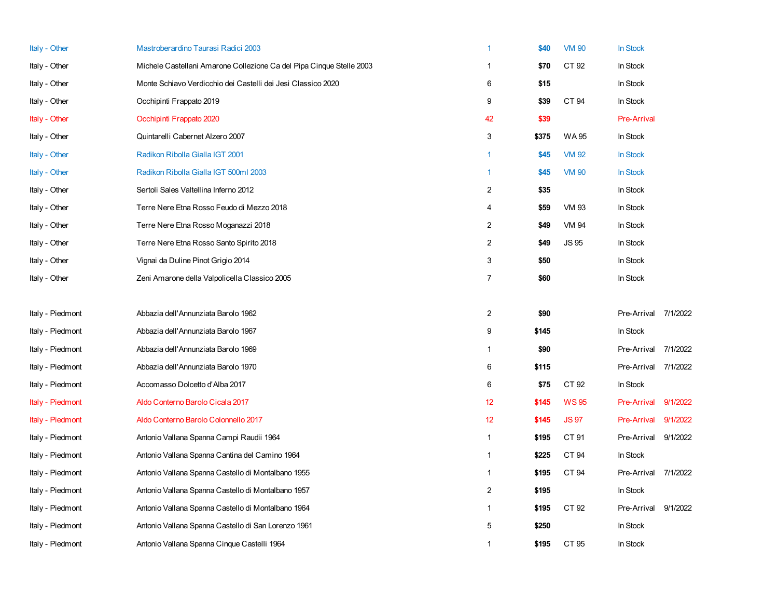| Italy - Other    | Mastroberardino Taurasi Radici 2003                                  | 1                       | \$40  | <b>VM 90</b> | In Stock           |          |
|------------------|----------------------------------------------------------------------|-------------------------|-------|--------------|--------------------|----------|
| Italy - Other    | Michele Castellani Amarone Collezione Ca del Pipa Cinque Stelle 2003 | $\mathbf{1}$            | \$70  | CT 92        | In Stock           |          |
| Italy - Other    | Monte Schiavo Verdicchio dei Castelli dei Jesi Classico 2020         | 6                       | \$15  |              | In Stock           |          |
| Italy - Other    | Occhipinti Frappato 2019                                             | 9                       | \$39  | CT 94        | In Stock           |          |
| Italy - Other    | Occhipinti Frappato 2020                                             | 42                      | \$39  |              | <b>Pre-Arrival</b> |          |
| Italy - Other    | Quintarelli Cabernet Alzero 2007                                     | 3                       | \$375 | WA 95        | In Stock           |          |
| Italy - Other    | Radikon Ribolla Gialla IGT 2001                                      | $\mathbf{1}$            | \$45  | <b>VM 92</b> | In Stock           |          |
| Italy - Other    | Radikon Ribolla Gialla IGT 500ml 2003                                | $\mathbf{1}$            | \$45  | <b>VM 90</b> | In Stock           |          |
| Italy - Other    | Sertoli Sales Valtellina Inferno 2012                                | $\overline{2}$          | \$35  |              | In Stock           |          |
| Italy - Other    | Terre Nere Etna Rosso Feudo di Mezzo 2018                            | 4                       | \$59  | <b>VM 93</b> | In Stock           |          |
| Italy - Other    | Terre Nere Etna Rosso Moganazzi 2018                                 | $\overline{2}$          | \$49  | VM 94        | In Stock           |          |
| Italy - Other    | Terre Nere Etna Rosso Santo Spirito 2018                             | $\overline{2}$          | \$49  | <b>JS 95</b> | In Stock           |          |
| Italy - Other    | Vignai da Duline Pinot Grigio 2014                                   | 3                       | \$50  |              | In Stock           |          |
| Italy - Other    | Zeni Amarone della Valpolicella Classico 2005                        | $\overline{7}$          | \$60  |              | In Stock           |          |
| Italy - Piedmont | Abbazia dell'Annunziata Barolo 1962                                  | $\overline{2}$          | \$90  |              | Pre-Arrival        | 7/1/2022 |
| Italy - Piedmont | Abbazia dell'Annunziata Barolo 1967                                  | 9                       | \$145 |              | In Stock           |          |
| Italy - Piedmont | Abbazia dell'Annunziata Barolo 1969                                  | 1                       | \$90  |              | Pre-Arrival        | 7/1/2022 |
| Italy - Piedmont | Abbazia dell'Annunziata Barolo 1970                                  | 6                       | \$115 |              | Pre-Arrival        | 7/1/2022 |
| Italy - Piedmont | Accomasso Dolcetto d'Alba 2017                                       | 6                       | \$75  | CT 92        | In Stock           |          |
| Italy - Piedmont | Aldo Conterno Barolo Cicala 2017                                     | 12 <sup>°</sup>         | \$145 | <b>WS95</b>  | <b>Pre-Arrival</b> | 9/1/2022 |
| Italy - Piedmont | Aldo Conterno Barolo Colonnello 2017                                 | 12                      | \$145 | <b>JS97</b>  | <b>Pre-Arrival</b> | 9/1/2022 |
| Italy - Piedmont | Antonio Vallana Spanna Campi Raudii 1964                             | $\mathbf{1}$            | \$195 | CT 91        | Pre-Arrival        | 9/1/2022 |
| Italy - Piedmont | Antonio Vallana Spanna Cantina del Camino 1964                       | $\mathbf{1}$            | \$225 | CT 94        | In Stock           |          |
| Italy - Piedmont | Antonio Vallana Spanna Castello di Montalbano 1955                   | $\mathbf{1}$            | \$195 | CT 94        | Pre-Arrival        | 7/1/2022 |
| Italy - Piedmont | Antonio Vallana Spanna Castello di Montalbano 1957                   | $\overline{\mathbf{c}}$ | \$195 |              | In Stock           |          |
| Italy - Piedmont | Antonio Vallana Spanna Castello di Montalbano 1964                   | $\mathbf{1}$            | \$195 | CT 92        | Pre-Arrival        | 9/1/2022 |
| Italy - Piedmont | Antonio Vallana Spanna Castello di San Lorenzo 1961                  | 5                       | \$250 |              | In Stock           |          |
| Italy - Piedmont | Antonio Vallana Spanna Cinque Castelli 1964                          | 1                       | \$195 | CT 95        | In Stock           |          |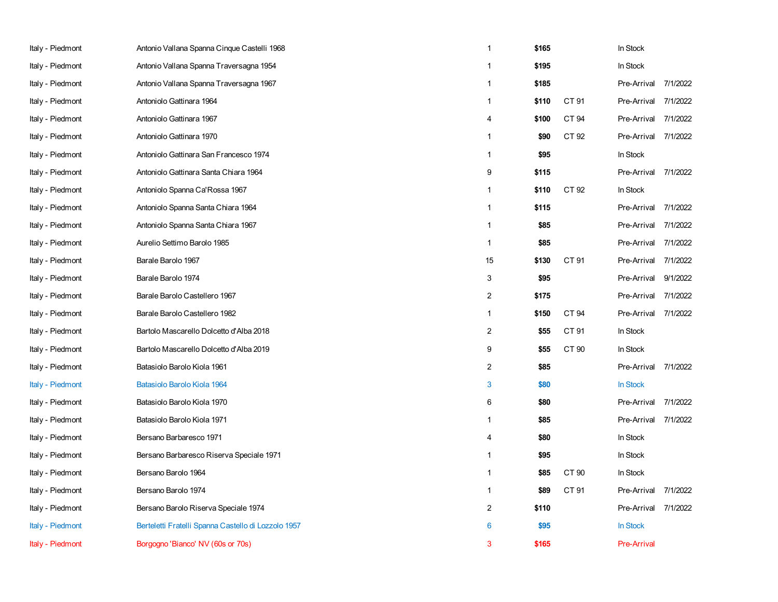| Italy - Piedmont | Antonio Vallana Spanna Cinque Castelli 1968         | 1              | \$165 |       | In Stock             |          |
|------------------|-----------------------------------------------------|----------------|-------|-------|----------------------|----------|
| Italy - Piedmont | Antonio Vallana Spanna Traversagna 1954             | 1              | \$195 |       | In Stock             |          |
| Italy - Piedmont | Antonio Vallana Spanna Traversagna 1967             | 1              | \$185 |       | Pre-Arrival          | 7/1/2022 |
| Italy - Piedmont | Antoniolo Gattinara 1964                            | $\mathbf{1}$   | \$110 | CT 91 | Pre-Arrival          | 7/1/2022 |
| Italy - Piedmont | Antoniolo Gattinara 1967                            | 4              | \$100 | CT 94 | Pre-Arrival 7/1/2022 |          |
| Italy - Piedmont | Antoniolo Gattinara 1970                            | 1              | \$90  | CT 92 | Pre-Arrival          | 7/1/2022 |
| Italy - Piedmont | Antoniolo Gattinara San Francesco 1974              | $\mathbf{1}$   | \$95  |       | In Stock             |          |
| Italy - Piedmont | Antoniolo Gattinara Santa Chiara 1964               | 9              | \$115 |       | Pre-Arrival 7/1/2022 |          |
| Italy - Piedmont | Antoniolo Spanna Ca'Rossa 1967                      | $\mathbf{1}$   | \$110 | CT 92 | In Stock             |          |
| Italy - Piedmont | Antoniolo Spanna Santa Chiara 1964                  | $\mathbf{1}$   | \$115 |       | Pre-Arrival          | 7/1/2022 |
| Italy - Piedmont | Antoniolo Spanna Santa Chiara 1967                  | $\mathbf{1}$   | \$85  |       | Pre-Arrival          | 7/1/2022 |
| Italy - Piedmont | Aurelio Settimo Barolo 1985                         | $\mathbf{1}$   | \$85  |       | Pre-Arrival          | 7/1/2022 |
| Italy - Piedmont | Barale Barolo 1967                                  | 15             | \$130 | CT 91 | Pre-Arrival 7/1/2022 |          |
| Italy - Piedmont | Barale Barolo 1974                                  | 3              | \$95  |       | Pre-Arrival          | 9/1/2022 |
| Italy - Piedmont | Barale Barolo Castellero 1967                       | $\overline{c}$ | \$175 |       | Pre-Arrival          | 7/1/2022 |
| Italy - Piedmont | Barale Barolo Castellero 1982                       | $\mathbf{1}$   | \$150 | CT 94 | Pre-Arrival          | 7/1/2022 |
| Italy - Piedmont | Bartolo Mascarello Dolcetto d'Alba 2018             | 2              | \$55  | CT 91 | In Stock             |          |
| Italy - Piedmont | Bartolo Mascarello Dolcetto d'Alba 2019             | 9              | \$55  | CT 90 | In Stock             |          |
| Italy - Piedmont | Batasiolo Barolo Kiola 1961                         | 2              | \$85  |       | Pre-Arrival          | 7/1/2022 |
| Italy - Piedmont | Batasiolo Barolo Kiola 1964                         | 3              | \$80  |       | In Stock             |          |
| Italy - Piedmont | Batasiolo Barolo Kiola 1970                         | 6              | \$80  |       | Pre-Arrival          | 7/1/2022 |
| Italy - Piedmont | Batasiolo Barolo Kiola 1971                         | 1              | \$85  |       | Pre-Arrival          | 7/1/2022 |
| Italy - Piedmont | Bersano Barbaresco 1971                             | 4              | \$80  |       | In Stock             |          |
| Italy - Piedmont | Bersano Barbaresco Riserva Speciale 1971            | $\mathbf{1}$   | \$95  |       | In Stock             |          |
| Italy - Piedmont | Bersano Barolo 1964                                 | 1              | \$85  | CT 90 | In Stock             |          |
| Italy - Piedmont | Bersano Barolo 1974                                 | $\mathbf{1}$   | \$89  | CT 91 | Pre-Arrival          | 7/1/2022 |
| Italy - Piedmont | Bersano Barolo Riserva Speciale 1974                | $\overline{2}$ | \$110 |       | Pre-Arrival 7/1/2022 |          |
| Italy - Piedmont | Berteletti Fratelli Spanna Castello di Lozzolo 1957 | 6              | \$95  |       | In Stock             |          |
| Italy - Piedmont | Borgogno 'Bianco' NV (60s or 70s)                   | 3              | \$165 |       | <b>Pre-Arrival</b>   |          |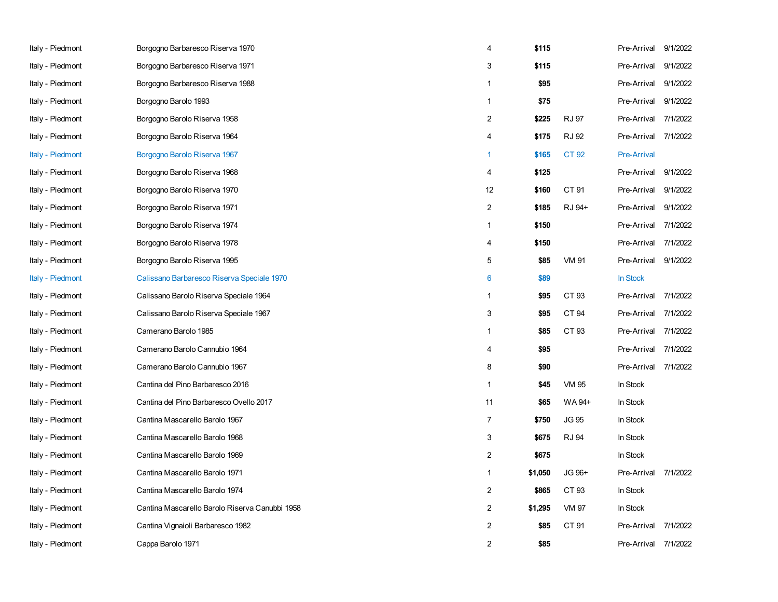| Italy - Piedmont | Borgogno Barbaresco Riserva 1970               | 4              | \$115   |              | Pre-Arrival        | 9/1/2022 |
|------------------|------------------------------------------------|----------------|---------|--------------|--------------------|----------|
| Italy - Piedmont | Borgogno Barbaresco Riserva 1971               | 3              | \$115   |              | Pre-Arrival        | 9/1/2022 |
| Italy - Piedmont | Borgogno Barbaresco Riserva 1988               | $\mathbf{1}$   | \$95    |              | Pre-Arrival        | 9/1/2022 |
| Italy - Piedmont | Borgogno Barolo 1993                           | $\mathbf{1}$   | \$75    |              | Pre-Arrival        | 9/1/2022 |
| Italy - Piedmont | Borgogno Barolo Riserva 1958                   | 2              | \$225   | <b>RJ 97</b> | Pre-Arrival        | 7/1/2022 |
| Italy - Piedmont | Borgogno Barolo Riserva 1964                   | 4              | \$175   | <b>RJ 92</b> | Pre-Arrival        | 7/1/2022 |
| Italy - Piedmont | Borgogno Barolo Riserva 1967                   | 1              | \$165   | CT 92        | <b>Pre-Arrival</b> |          |
| Italy - Piedmont | Borgogno Barolo Riserva 1968                   | 4              | \$125   |              | Pre-Arrival        | 9/1/2022 |
| Italy - Piedmont | Borgogno Barolo Riserva 1970                   | 12             | \$160   | CT 91        | Pre-Arrival        | 9/1/2022 |
| Italy - Piedmont | Borgogno Barolo Riserva 1971                   | $\overline{2}$ | \$185   | RJ 94+       | Pre-Arrival        | 9/1/2022 |
| Italy - Piedmont | Borgogno Barolo Riserva 1974                   | $\mathbf{1}$   | \$150   |              | Pre-Arrival        | 7/1/2022 |
| Italy - Piedmont | Borgogno Barolo Riserva 1978                   | 4              | \$150   |              | Pre-Arrival        | 7/1/2022 |
| Italy - Piedmont | Borgogno Barolo Riserva 1995                   | 5              | \$85    | <b>VM 91</b> | Pre-Arrival        | 9/1/2022 |
| Italy - Piedmont | Calissano Barbaresco Riserva Speciale 1970     | 6              | \$89    |              | In Stock           |          |
| Italy - Piedmont | Calissano Barolo Riserva Speciale 1964         | $\mathbf{1}$   | \$95    | CT 93        | Pre-Arrival        | 7/1/2022 |
| Italy - Piedmont | Calissano Barolo Riserva Speciale 1967         | 3              | \$95    | CT 94        | Pre-Arrival        | 7/1/2022 |
| Italy - Piedmont | Camerano Barolo 1985                           | $\mathbf{1}$   | \$85    | CT 93        | Pre-Arrival        | 7/1/2022 |
| Italy - Piedmont | Camerano Barolo Cannubio 1964                  | 4              | \$95    |              | Pre-Arrival        | 7/1/2022 |
| Italy - Piedmont | Camerano Barolo Cannubio 1967                  | 8              | \$90    |              | Pre-Arrival        | 7/1/2022 |
| Italy - Piedmont | Cantina del Pino Barbaresco 2016               | $\mathbf{1}$   | \$45    | <b>VM 95</b> | In Stock           |          |
| Italy - Piedmont | Cantina del Pino Barbaresco Ovello 2017        | 11             | \$65    | WA 94+       | In Stock           |          |
| Italy - Piedmont | Cantina Mascarello Barolo 1967                 | $\overline{7}$ | \$750   | <b>JG 95</b> | In Stock           |          |
| Italy - Piedmont | Cantina Mascarello Barolo 1968                 | 3              | \$675   | <b>RJ 94</b> | In Stock           |          |
| Italy - Piedmont | Cantina Mascarello Barolo 1969                 | 2              | \$675   |              | In Stock           |          |
| Italy - Piedmont | Cantina Mascarello Barolo 1971                 | $\mathbf{1}$   | \$1,050 | JG 96+       | Pre-Arrival        | 7/1/2022 |
| Italy - Piedmont | Cantina Mascarello Barolo 1974                 | 2              | \$865   | CT 93        | In Stock           |          |
| Italy - Piedmont | Cantina Mascarello Barolo Riserva Canubbi 1958 | $\overline{c}$ | \$1,295 | <b>VM 97</b> | In Stock           |          |
| Italy - Piedmont | Cantina Vignaioli Barbaresco 1982              | $\overline{2}$ | \$85    | CT 91        | Pre-Arrival        | 7/1/2022 |
| Italy - Piedmont | Cappa Barolo 1971                              | $\overline{2}$ | \$85    |              | Pre-Arrival        | 7/1/2022 |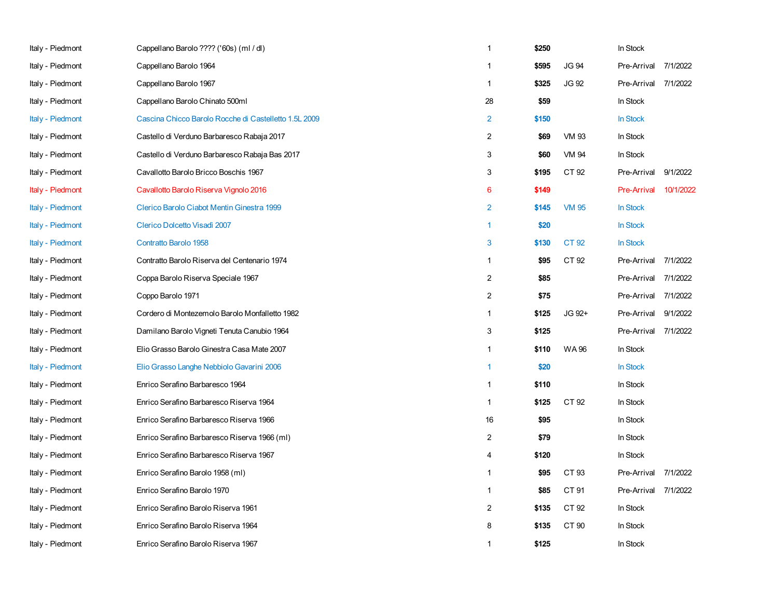| Italy - Piedmont | Cappellano Barolo ???? ('60s) (ml / dl)               | $\mathbf{1}$   | \$250 |              | In Stock           |           |
|------------------|-------------------------------------------------------|----------------|-------|--------------|--------------------|-----------|
| Italy - Piedmont | Cappellano Barolo 1964                                | 1              | \$595 | <b>JG 94</b> | Pre-Arrival        | 7/1/2022  |
| Italy - Piedmont | Cappellano Barolo 1967                                | $\mathbf{1}$   | \$325 | JG 92        | Pre-Arrival        | 7/1/2022  |
| Italy - Piedmont | Cappellano Barolo Chinato 500ml                       | 28             | \$59  |              | In Stock           |           |
| Italy - Piedmont | Cascina Chicco Barolo Rocche di Castelletto 1.5L 2009 | $\overline{2}$ | \$150 |              | <b>In Stock</b>    |           |
| Italy - Piedmont | Castello di Verduno Barbaresco Rabaja 2017            | $\overline{2}$ | \$69  | <b>VM 93</b> | In Stock           |           |
| Italy - Piedmont | Castello di Verduno Barbaresco Rabaja Bas 2017        | 3              | \$60  | VM 94        | In Stock           |           |
| Italy - Piedmont | Cavallotto Barolo Bricco Boschis 1967                 | 3              | \$195 | CT 92        | Pre-Arrival        | 9/1/2022  |
| Italy - Piedmont | Cavallotto Barolo Riserva Vignolo 2016                | 6              | \$149 |              | <b>Pre-Arrival</b> | 10/1/2022 |
| Italy - Piedmont | Clerico Barolo Ciabot Mentin Ginestra 1999            | $\overline{2}$ | \$145 | <b>VM 95</b> | In Stock           |           |
| Italy - Piedmont | Clerico Dolcetto Visadì 2007                          | $\mathbf{1}$   | \$20  |              | In Stock           |           |
| Italy - Piedmont | Contratto Barolo 1958                                 | 3              | \$130 | CT 92        | In Stock           |           |
| Italy - Piedmont | Contratto Barolo Riserva del Centenario 1974          | $\mathbf{1}$   | \$95  | CT 92        | Pre-Arrival        | 7/1/2022  |
| Italy - Piedmont | Coppa Barolo Riserva Speciale 1967                    | $\overline{2}$ | \$85  |              | Pre-Arrival        | 7/1/2022  |
| Italy - Piedmont | Coppo Barolo 1971                                     | $\overline{2}$ | \$75  |              | Pre-Arrival        | 7/1/2022  |
| Italy - Piedmont | Cordero di Montezemolo Barolo Monfalletto 1982        | $\mathbf{1}$   | \$125 | JG 92+       | Pre-Arrival        | 9/1/2022  |
| Italy - Piedmont | Damilano Barolo Vigneti Tenuta Canubio 1964           | 3              | \$125 |              | Pre-Arrival        | 7/1/2022  |
| Italy - Piedmont | Elio Grasso Barolo Ginestra Casa Mate 2007            | $\mathbf{1}$   | \$110 | WA 96        | In Stock           |           |
| Italy - Piedmont | Elio Grasso Langhe Nebbiolo Gavarini 2006             | $\mathbf{1}$   | \$20  |              | In Stock           |           |
| Italy - Piedmont | Enrico Serafino Barbaresco 1964                       | $\mathbf{1}$   | \$110 |              | In Stock           |           |
| Italy - Piedmont | Enrico Serafino Barbaresco Riserva 1964               | $\mathbf{1}$   | \$125 | CT 92        | In Stock           |           |
| Italy - Piedmont | Enrico Serafino Barbaresco Riserva 1966               | 16             | \$95  |              | In Stock           |           |
| Italy - Piedmont | Enrico Serafino Barbaresco Riserva 1966 (ml)          | $\overline{2}$ | \$79  |              | In Stock           |           |
| Italy - Piedmont | Enrico Serafino Barbaresco Riserva 1967               | 4              | \$120 |              | In Stock           |           |
| Italy - Piedmont | Enrico Serafino Barolo 1958 (ml)                      | $\mathbf{1}$   | \$95  | CT 93        | Pre-Arrival        | 7/1/2022  |
| Italy - Piedmont | Enrico Serafino Barolo 1970                           | $\mathbf{1}$   | \$85  | CT 91        | Pre-Arrival        | 7/1/2022  |
| Italy - Piedmont | Enrico Serafino Barolo Riserva 1961                   | $\overline{c}$ | \$135 | CT 92        | In Stock           |           |
| Italy - Piedmont | Enrico Serafino Barolo Riserva 1964                   | 8              | \$135 | CT 90        | In Stock           |           |
| Italy - Piedmont | Enrico Serafino Barolo Riserva 1967                   | $\mathbf{1}$   | \$125 |              | In Stock           |           |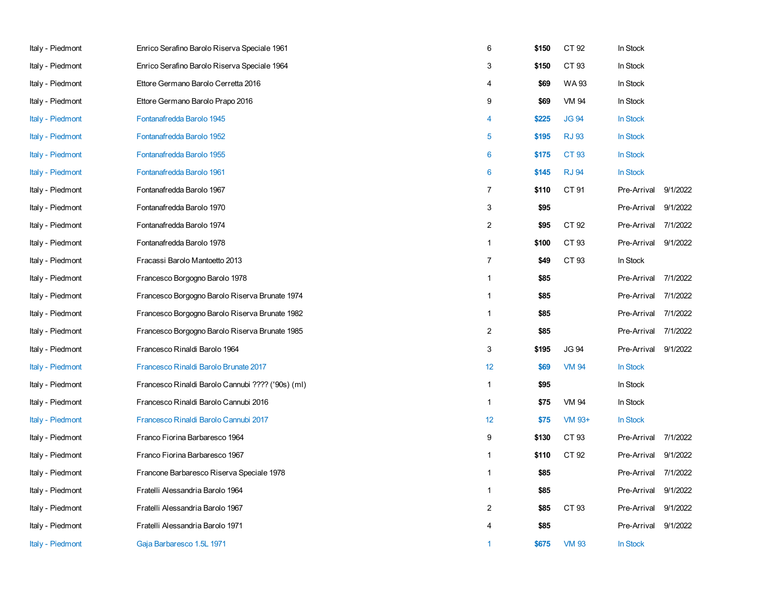| Italy - Piedmont | Enrico Serafino Barolo Riserva Speciale 1961      | 6              | \$150 | CT 92        | In Stock    |          |
|------------------|---------------------------------------------------|----------------|-------|--------------|-------------|----------|
| Italy - Piedmont | Enrico Serafino Barolo Riserva Speciale 1964      | 3              | \$150 | CT 93        | In Stock    |          |
| Italy - Piedmont | Ettore Germano Barolo Cerretta 2016               | 4              | \$69  | WA 93        | In Stock    |          |
| Italy - Piedmont | Ettore Germano Barolo Prapo 2016                  | 9              | \$69  | <b>VM 94</b> | In Stock    |          |
| Italy - Piedmont | Fontanafredda Barolo 1945                         | 4              | \$225 | <b>JG 94</b> | In Stock    |          |
| Italy - Piedmont | Fontanafredda Barolo 1952                         | 5              | \$195 | <b>RJ 93</b> | In Stock    |          |
| Italy - Piedmont | Fontanafredda Barolo 1955                         | 6              | \$175 | CT 93        | In Stock    |          |
| Italy - Piedmont | Fontanafredda Barolo 1961                         | 6              | \$145 | <b>RJ 94</b> | In Stock    |          |
| Italy - Piedmont | Fontanafredda Barolo 1967                         | 7              | \$110 | CT 91        | Pre-Arrival | 9/1/2022 |
| Italy - Piedmont | Fontanafredda Barolo 1970                         | 3              | \$95  |              | Pre-Arrival | 9/1/2022 |
| Italy - Piedmont | Fontanafredda Barolo 1974                         | 2              | \$95  | CT 92        | Pre-Arrival | 7/1/2022 |
| Italy - Piedmont | Fontanafredda Barolo 1978                         | $\mathbf{1}$   | \$100 | CT 93        | Pre-Arrival | 9/1/2022 |
| Italy - Piedmont | Fracassi Barolo Mantoetto 2013                    | $\overline{7}$ | \$49  | CT 93        | In Stock    |          |
| Italy - Piedmont | Francesco Borgogno Barolo 1978                    | $\mathbf{1}$   | \$85  |              | Pre-Arrival | 7/1/2022 |
| Italy - Piedmont | Francesco Borgogno Barolo Riserva Brunate 1974    | 1              | \$85  |              | Pre-Arrival | 7/1/2022 |
| Italy - Piedmont | Francesco Borgogno Barolo Riserva Brunate 1982    | $\mathbf{1}$   | \$85  |              | Pre-Arrival | 7/1/2022 |
| Italy - Piedmont | Francesco Borgogno Barolo Riserva Brunate 1985    | $\overline{2}$ | \$85  |              | Pre-Arrival | 7/1/2022 |
| Italy - Piedmont | Francesco Rinaldi Barolo 1964                     | 3              | \$195 | <b>JG 94</b> | Pre-Arrival | 9/1/2022 |
| Italy - Piedmont | Francesco Rinaldi Barolo Brunate 2017             | 12             | \$69  | <b>VM 94</b> | In Stock    |          |
| Italy - Piedmont | Francesco Rinaldi Barolo Cannubi ???? ('90s) (ml) | $\mathbf{1}$   | \$95  |              | In Stock    |          |
| Italy - Piedmont | Francesco Rinaldi Barolo Cannubi 2016             | $\mathbf{1}$   | \$75  | VM 94        | In Stock    |          |
| Italy - Piedmont | Francesco Rinaldi Barolo Cannubi 2017             | 12             | \$75  | VM 93+       | In Stock    |          |
| Italy - Piedmont | Franco Fiorina Barbaresco 1964                    | 9              | \$130 | CT 93        | Pre-Arrival | 7/1/2022 |
| Italy - Piedmont | Franco Fiorina Barbaresco 1967                    | 1              | \$110 | CT 92        | Pre-Arrival | 9/1/2022 |
| Italy - Piedmont | Francone Barbaresco Riserva Speciale 1978         | $\mathbf{1}$   | \$85  |              | Pre-Arrival | 7/1/2022 |
| Italy - Piedmont | Fratelli Alessandria Barolo 1964                  | $\mathbf{1}$   | \$85  |              | Pre-Arrival | 9/1/2022 |
| Italy - Piedmont | Fratelli Alessandria Barolo 1967                  | $\overline{2}$ | \$85  | CT 93        | Pre-Arrival | 9/1/2022 |
| Italy - Piedmont | Fratelli Alessandria Barolo 1971                  | 4              | \$85  |              | Pre-Arrival | 9/1/2022 |
| Italy - Piedmont | Gaja Barbaresco 1.5L 1971                         | 1              | \$675 | <b>VM 93</b> | In Stock    |          |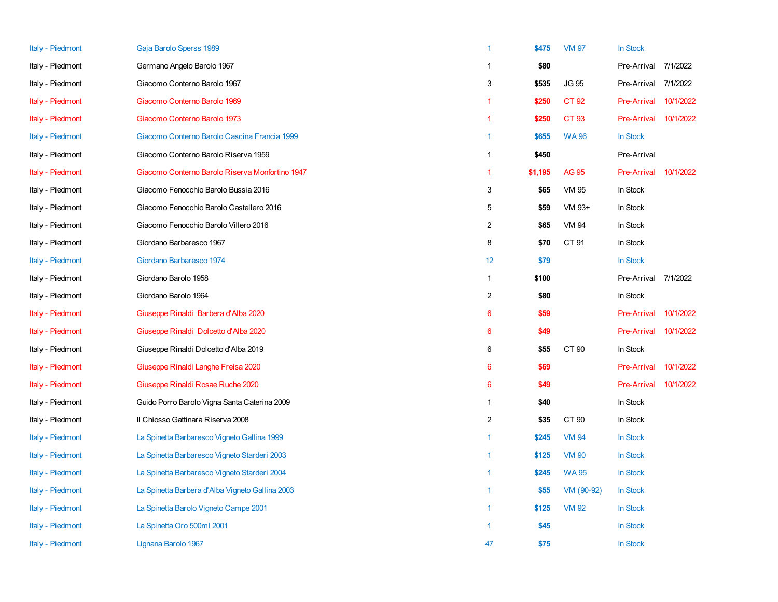| Italy - Piedmont | Gaja Barolo Sperss 1989                         | $\mathbf{1}$    | \$475   | <b>VM 97</b> | In Stock           |           |
|------------------|-------------------------------------------------|-----------------|---------|--------------|--------------------|-----------|
| Italy - Piedmont | Germano Angelo Barolo 1967                      | 1               | \$80    |              | Pre-Arrival        | 7/1/2022  |
| Italy - Piedmont | Giacomo Conterno Barolo 1967                    | 3               | \$535   | <b>JG 95</b> | Pre-Arrival        | 7/1/2022  |
| Italy - Piedmont | Giacomo Conterno Barolo 1969                    | $\mathbf{1}$    | \$250   | CT 92        | <b>Pre-Arrival</b> | 10/1/2022 |
| Italy - Piedmont | Giacomo Conterno Barolo 1973                    | 1               | \$250   | CT 93        | Pre-Arrival        | 10/1/2022 |
| Italy - Piedmont | Giacomo Conterno Barolo Cascina Francia 1999    | $\overline{1}$  | \$655   | <b>WA96</b>  | In Stock           |           |
| Italy - Piedmont | Giacomo Conterno Barolo Riserva 1959            | $\mathbf{1}$    | \$450   |              | Pre-Arrival        |           |
| Italy - Piedmont | Giacomo Conterno Barolo Riserva Monfortino 1947 | $\mathbf{1}$    | \$1,195 | <b>AG 95</b> | Pre-Arrival        | 10/1/2022 |
| Italy - Piedmont | Giacomo Fenocchio Barolo Bussia 2016            | 3               | \$65    | VM 95        | In Stock           |           |
| Italy - Piedmont | Giacomo Fenocchio Barolo Castellero 2016        | 5               | \$59    | VM 93+       | In Stock           |           |
| Italy - Piedmont | Giacomo Fenocchio Barolo Villero 2016           | $\overline{c}$  | \$65    | <b>VM 94</b> | In Stock           |           |
| Italy - Piedmont | Giordano Barbaresco 1967                        | 8               | \$70    | CT 91        | In Stock           |           |
| Italy - Piedmont | Giordano Barbaresco 1974                        | 12              | \$79    |              | In Stock           |           |
| Italy - Piedmont | Giordano Barolo 1958                            | $\mathbf{1}$    | \$100   |              | Pre-Arrival        | 7/1/2022  |
| Italy - Piedmont | Giordano Barolo 1964                            | $\overline{c}$  | \$80    |              | In Stock           |           |
| Italy - Piedmont | Giuseppe Rinaldi Barbera d'Alba 2020            | 6               | \$59    |              | <b>Pre-Arrival</b> | 10/1/2022 |
| Italy - Piedmont | Giuseppe Rinaldi Dolcetto d'Alba 2020           | 6               | \$49    |              | <b>Pre-Arrival</b> | 10/1/2022 |
| Italy - Piedmont | Giuseppe Rinaldi Dolcetto d'Alba 2019           | 6               | \$55    | CT 90        | In Stock           |           |
| Italy - Piedmont | Giuseppe Rinaldi Langhe Freisa 2020             | $6\phantom{1}6$ | \$69    |              | <b>Pre-Arrival</b> | 10/1/2022 |
| Italy - Piedmont | Giuseppe Rinaldi Rosae Ruche 2020               | $6\phantom{1}6$ | \$49    |              | <b>Pre-Arrival</b> | 10/1/2022 |
| Italy - Piedmont | Guido Porro Barolo Vigna Santa Caterina 2009    | $\mathbf{1}$    | \$40    |              | In Stock           |           |
| Italy - Piedmont | Il Chiosso Gattinara Riserva 2008               | $\overline{2}$  | \$35    | CT 90        | In Stock           |           |
| Italy - Piedmont | La Spinetta Barbaresco Vigneto Gallina 1999     | $\mathbf{1}$    | \$245   | <b>VM 94</b> | In Stock           |           |
| Italy - Piedmont | La Spinetta Barbaresco Vigneto Starderi 2003    | $\overline{1}$  | \$125   | <b>VM 90</b> | In Stock           |           |
| Italy - Piedmont | La Spinetta Barbaresco Vigneto Starderi 2004    | $\mathbf{1}$    | \$245   | <b>WA95</b>  | In Stock           |           |
| Italy - Piedmont | La Spinetta Barbera d'Alba Vigneto Gallina 2003 | 1               | \$55    | VM (90-92)   | In Stock           |           |
| Italy - Piedmont | La Spinetta Barolo Vigneto Campe 2001           | $\mathbf{1}$    | \$125   | <b>VM 92</b> | In Stock           |           |
| Italy - Piedmont | La Spinetta Oro 500ml 2001                      | -1              | \$45    |              | In Stock           |           |
| Italy - Piedmont | Lignana Barolo 1967                             | 47              | \$75    |              | <b>In Stock</b>    |           |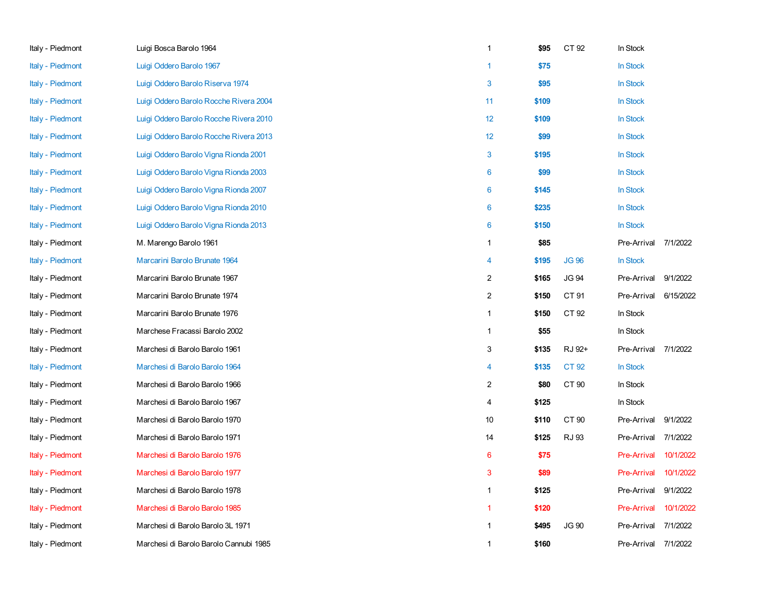| Italy - Piedmont        | Luigi Bosca Barolo 1964                | $\mathbf{1}$     | \$95  | CT 92        | In Stock             |           |
|-------------------------|----------------------------------------|------------------|-------|--------------|----------------------|-----------|
| Italy - Piedmont        | Luigi Oddero Barolo 1967               | $\mathbf{1}$     | \$75  |              | In Stock             |           |
| Italy - Piedmont        | Luigi Oddero Barolo Riserva 1974       | 3                | \$95  |              | In Stock             |           |
| Italy - Piedmont        | Luigi Oddero Barolo Rocche Rivera 2004 | 11               | \$109 |              | In Stock             |           |
| Italy - Piedmont        | Luigi Oddero Barolo Rocche Rivera 2010 | 12               | \$109 |              | In Stock             |           |
| Italy - Piedmont        | Luigi Oddero Barolo Rocche Rivera 2013 | 12               | \$99  |              | In Stock             |           |
| <b>Italy - Piedmont</b> | Luigi Oddero Barolo Vigna Rionda 2001  | $\mathbf{3}$     | \$195 |              | In Stock             |           |
| Italy - Piedmont        | Luigi Oddero Barolo Vigna Rionda 2003  | 6                | \$99  |              | In Stock             |           |
| Italy - Piedmont        | Luigi Oddero Barolo Vigna Rionda 2007  | 6                | \$145 |              | In Stock             |           |
| Italy - Piedmont        | Luigi Oddero Barolo Vigna Rionda 2010  | 6                | \$235 |              | In Stock             |           |
| Italy - Piedmont        | Luigi Oddero Barolo Vigna Rionda 2013  | 6                | \$150 |              | In Stock             |           |
| Italy - Piedmont        | M. Marengo Barolo 1961                 | $\mathbf{1}$     | \$85  |              | Pre-Arrival          | 7/1/2022  |
| Italy - Piedmont        | Marcarini Barolo Brunate 1964          | 4                | \$195 | <b>JG 96</b> | In Stock             |           |
| Italy - Piedmont        | Marcarini Barolo Brunate 1967          | $\boldsymbol{2}$ | \$165 | <b>JG 94</b> | Pre-Arrival          | 9/1/2022  |
| Italy - Piedmont        | Marcarini Barolo Brunate 1974          | $\sqrt{2}$       | \$150 | CT 91        | Pre-Arrival          | 6/15/2022 |
| Italy - Piedmont        | Marcarini Barolo Brunate 1976          | $\mathbf{1}$     | \$150 | CT 92        | In Stock             |           |
| Italy - Piedmont        | Marchese Fracassi Barolo 2002          | $\mathbf{1}$     | \$55  |              | In Stock             |           |
| Italy - Piedmont        | Marchesi di Barolo Barolo 1961         | 3                | \$135 | RJ 92+       | Pre-Arrival 7/1/2022 |           |
| Italy - Piedmont        | Marchesi di Barolo Barolo 1964         | 4                | \$135 | CT 92        | In Stock             |           |
| Italy - Piedmont        | Marchesi di Barolo Barolo 1966         | 2                | \$80  | CT 90        | In Stock             |           |
| Italy - Piedmont        | Marchesi di Barolo Barolo 1967         | 4                | \$125 |              | In Stock             |           |
| Italy - Piedmont        | Marchesi di Barolo Barolo 1970         | 10               | \$110 | CT 90        | Pre-Arrival          | 9/1/2022  |
| Italy - Piedmont        | Marchesi di Barolo Barolo 1971         | 14               | \$125 | <b>RJ 93</b> | Pre-Arrival 7/1/2022 |           |
| Italy - Piedmont        | Marchesi di Barolo Barolo 1976         | 6                | \$75  |              | <b>Pre-Arrival</b>   | 10/1/2022 |
| Italy - Piedmont        | Marchesi di Barolo Barolo 1977         | 3                | \$89  |              | Pre-Arrival          | 10/1/2022 |
| Italy - Piedmont        | Marchesi di Barolo Barolo 1978         | $\mathbf{1}$     | \$125 |              | Pre-Arrival          | 9/1/2022  |
| Italy - Piedmont        | Marchesi di Barolo Barolo 1985         | $\mathbf{1}$     | \$120 |              | <b>Pre-Arrival</b>   | 10/1/2022 |
| Italy - Piedmont        | Marchesi di Barolo Barolo 3L 1971      | $\mathbf{1}$     | \$495 | <b>JG 90</b> | Pre-Arrival          | 7/1/2022  |
| Italy - Piedmont        | Marchesi di Barolo Barolo Cannubi 1985 | 1                | \$160 |              | Pre-Arrival          | 7/1/2022  |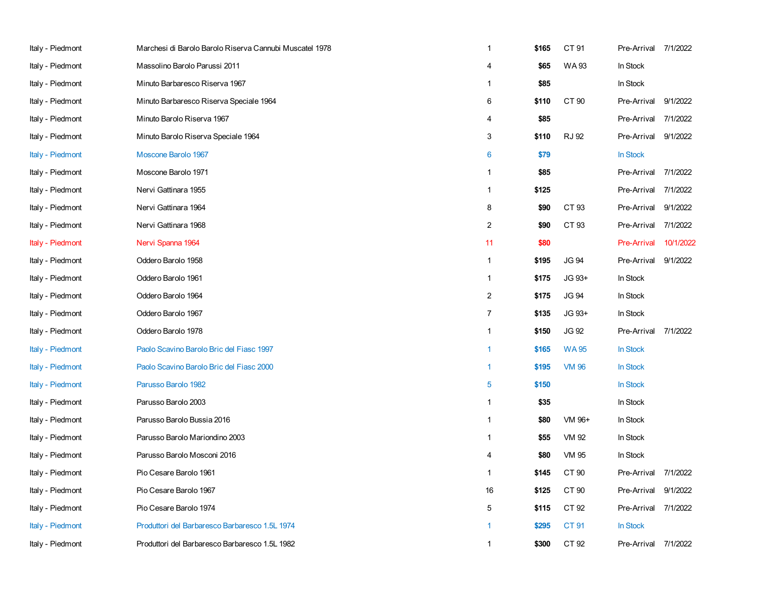| Italy - Piedmont | Marchesi di Barolo Barolo Riserva Cannubi Muscatel 1978 | $\mathbf{1}$     | \$165 | CT 91        | Pre-Arrival 7/1/2022 |           |
|------------------|---------------------------------------------------------|------------------|-------|--------------|----------------------|-----------|
| Italy - Piedmont | Massolino Barolo Parussi 2011                           | 4                | \$65  | WA 93        | In Stock             |           |
| Italy - Piedmont | Minuto Barbaresco Riserva 1967                          | $\mathbf{1}$     | \$85  |              | In Stock             |           |
| Italy - Piedmont | Minuto Barbaresco Riserva Speciale 1964                 | 6                | \$110 | CT 90        | Pre-Arrival          | 9/1/2022  |
| Italy - Piedmont | Minuto Barolo Riserva 1967                              | 4                | \$85  |              | Pre-Arrival          | 7/1/2022  |
| Italy - Piedmont | Minuto Barolo Riserva Speciale 1964                     | 3                | \$110 | <b>RJ 92</b> | Pre-Arrival          | 9/1/2022  |
| Italy - Piedmont | Moscone Barolo 1967                                     | 6                | \$79  |              | In Stock             |           |
| Italy - Piedmont | Moscone Barolo 1971                                     | $\mathbf{1}$     | \$85  |              | Pre-Arrival          | 7/1/2022  |
| Italy - Piedmont | Nervi Gattinara 1955                                    | $\mathbf{1}$     | \$125 |              | Pre-Arrival          | 7/1/2022  |
| Italy - Piedmont | Nervi Gattinara 1964                                    | 8                | \$90  | CT 93        | Pre-Arrival          | 9/1/2022  |
| Italy - Piedmont | Nervi Gattinara 1968                                    | $\overline{2}$   | \$90  | CT 93        | Pre-Arrival          | 7/1/2022  |
| Italy - Piedmont | Nervi Spanna 1964                                       | 11               | \$80  |              | <b>Pre-Arrival</b>   | 10/1/2022 |
| Italy - Piedmont | Oddero Barolo 1958                                      | $\mathbf{1}$     | \$195 | <b>JG 94</b> | Pre-Arrival          | 9/1/2022  |
| Italy - Piedmont | Oddero Barolo 1961                                      | $\mathbf{1}$     | \$175 | JG 93+       | In Stock             |           |
| Italy - Piedmont | Oddero Barolo 1964                                      | $\overline{2}$   | \$175 | <b>JG 94</b> | In Stock             |           |
| Italy - Piedmont | Oddero Barolo 1967                                      | $\boldsymbol{7}$ | \$135 | JG 93+       | In Stock             |           |
| Italy - Piedmont | Oddero Barolo 1978                                      | $\mathbf{1}$     | \$150 | JG 92        | Pre-Arrival          | 7/1/2022  |
| Italy - Piedmont | Paolo Scavino Barolo Bric del Fiasc 1997                | $\mathbf{1}$     | \$165 | <b>WA95</b>  | <b>In Stock</b>      |           |
| Italy - Piedmont | Paolo Scavino Barolo Bric del Fiasc 2000                | $\mathbf{1}$     | \$195 | <b>VM 96</b> | In Stock             |           |
| Italy - Piedmont | Parusso Barolo 1982                                     | $\overline{5}$   | \$150 |              | <b>In Stock</b>      |           |
| Italy - Piedmont | Parusso Barolo 2003                                     | $\mathbf{1}$     | \$35  |              | In Stock             |           |
| Italy - Piedmont | Parusso Barolo Bussia 2016                              | $\mathbf{1}$     | \$80  | VM 96+       | In Stock             |           |
| Italy - Piedmont | Parusso Barolo Mariondino 2003                          | $\mathbf{1}$     | \$55  | VM 92        | In Stock             |           |
| Italy - Piedmont | Parusso Barolo Mosconi 2016                             | 4                | \$80  | VM 95        | In Stock             |           |
| Italy - Piedmont | Pio Cesare Barolo 1961                                  | $\mathbf{1}$     | \$145 | CT 90        | Pre-Arrival          | 7/1/2022  |
| Italy - Piedmont | Pio Cesare Barolo 1967                                  | 16               | \$125 | CT 90        | Pre-Arrival          | 9/1/2022  |
| Italy - Piedmont | Pio Cesare Barolo 1974                                  | 5                | \$115 | CT 92        | Pre-Arrival          | 7/1/2022  |
| Italy - Piedmont | Produttori del Barbaresco Barbaresco 1.5L 1974          |                  | \$295 | CT 91        | <b>In Stock</b>      |           |
| Italy - Piedmont | Produttori del Barbaresco Barbaresco 1.5L 1982          | $\mathbf{1}$     | \$300 | CT 92        | Pre-Arrival          | 7/1/2022  |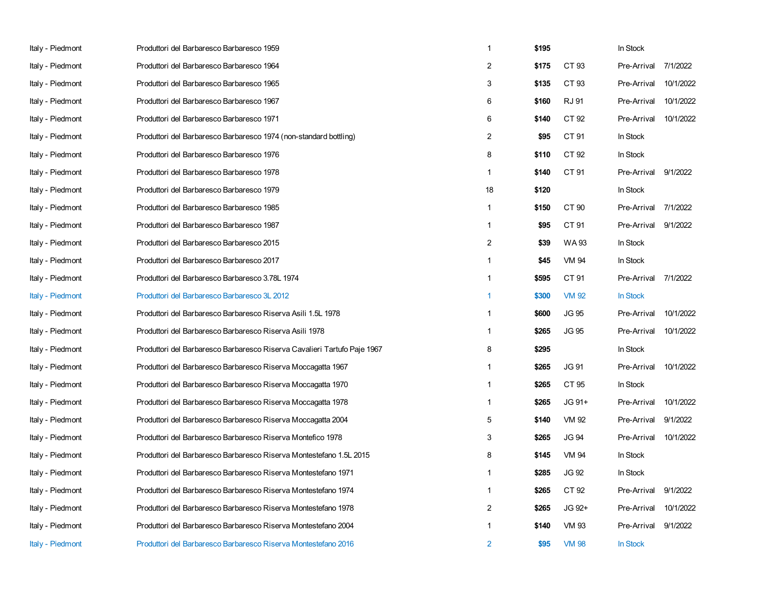| Italy - Piedmont | Produttori del Barbaresco Barbaresco 1959                                | $\mathbf{1}$   | \$195 |              | In Stock    |           |
|------------------|--------------------------------------------------------------------------|----------------|-------|--------------|-------------|-----------|
| Italy - Piedmont | Produttori del Barbaresco Barbaresco 1964                                | 2              | \$175 | CT 93        | Pre-Arrival | 7/1/2022  |
| Italy - Piedmont | Produttori del Barbaresco Barbaresco 1965                                | 3              | \$135 | CT 93        | Pre-Arrival | 10/1/2022 |
| Italy - Piedmont | Produttori del Barbaresco Barbaresco 1967                                | 6              | \$160 | <b>RJ 91</b> | Pre-Arrival | 10/1/2022 |
| Italy - Piedmont | Produttori del Barbaresco Barbaresco 1971                                | 6              | \$140 | CT 92        | Pre-Arrival | 10/1/2022 |
| Italy - Piedmont | Produttori del Barbaresco Barbaresco 1974 (non-standard bottling)        | $\overline{2}$ | \$95  | CT 91        | In Stock    |           |
| Italy - Piedmont | Produttori del Barbaresco Barbaresco 1976                                | 8              | \$110 | CT 92        | In Stock    |           |
| Italy - Piedmont | Produttori del Barbaresco Barbaresco 1978                                | $\mathbf{1}$   | \$140 | CT 91        | Pre-Arrival | 9/1/2022  |
| Italy - Piedmont | Produttori del Barbaresco Barbaresco 1979                                | 18             | \$120 |              | In Stock    |           |
| Italy - Piedmont | Produttori del Barbaresco Barbaresco 1985                                | $\mathbf{1}$   | \$150 | CT 90        | Pre-Arrival | 7/1/2022  |
| Italy - Piedmont | Produttori del Barbaresco Barbaresco 1987                                | $\mathbf{1}$   | \$95  | CT 91        | Pre-Arrival | 9/1/2022  |
| Italy - Piedmont | Produttori del Barbaresco Barbaresco 2015                                | $\overline{2}$ | \$39  | WA 93        | In Stock    |           |
| Italy - Piedmont | Produttori del Barbaresco Barbaresco 2017                                | $\mathbf{1}$   | \$45  | VM 94        | In Stock    |           |
| Italy - Piedmont | Produttori del Barbaresco Barbaresco 3.78L 1974                          | $\mathbf{1}$   | \$595 | CT 91        | Pre-Arrival | 7/1/2022  |
| Italy - Piedmont | Produttori del Barbaresco Barbaresco 3L 2012                             | $\mathbf{1}$   | \$300 | <b>VM 92</b> | In Stock    |           |
| Italy - Piedmont | Produttori del Barbaresco Barbaresco Riserva Asili 1.5L 1978             | $\mathbf{1}$   | \$600 | <b>JG 95</b> | Pre-Arrival | 10/1/2022 |
| Italy - Piedmont | Produttori del Barbaresco Barbaresco Riserva Asili 1978                  | 1              | \$265 | JG 95        | Pre-Arrival | 10/1/2022 |
| Italy - Piedmont | Produttori del Barbaresco Barbaresco Riserva Cavalieri Tartufo Paje 1967 | 8              | \$295 |              | In Stock    |           |
| Italy - Piedmont | Produttori del Barbaresco Barbaresco Riserva Moccagatta 1967             | $\mathbf{1}$   | \$265 | <b>JG 91</b> | Pre-Arrival | 10/1/2022 |
| Italy - Piedmont | Produttori del Barbaresco Barbaresco Riserva Moccagatta 1970             | $\mathbf{1}$   | \$265 | CT 95        | In Stock    |           |
| Italy - Piedmont | Produttori del Barbaresco Barbaresco Riserva Moccagatta 1978             | $\mathbf{1}$   | \$265 | $JG$ 91+     | Pre-Arrival | 10/1/2022 |
| Italy - Piedmont | Produttori del Barbaresco Barbaresco Riserva Moccagatta 2004             | 5              | \$140 | VM 92        | Pre-Arrival | 9/1/2022  |
| Italy - Piedmont | Produttori del Barbaresco Barbaresco Riserva Montefico 1978              | 3              | \$265 | <b>JG 94</b> | Pre-Arrival | 10/1/2022 |
| Italy - Piedmont | Produttori del Barbaresco Barbaresco Riserva Montestefano 1.5L 2015      | 8              | \$145 | <b>VM 94</b> | In Stock    |           |
| Italy - Piedmont | Produttori del Barbaresco Barbaresco Riserva Montestefano 1971           | 1              | \$285 | <b>JG 92</b> | In Stock    |           |
| Italy - Piedmont | Produttori del Barbaresco Barbaresco Riserva Montestefano 1974           | $\mathbf{1}$   | \$265 | CT 92        | Pre-Arrival | 9/1/2022  |
| Italy - Piedmont | Produttori del Barbaresco Barbaresco Riserva Montestefano 1978           | $\overline{2}$ | \$265 | JG 92+       | Pre-Arrival | 10/1/2022 |
| Italy - Piedmont | Produttori del Barbaresco Barbaresco Riserva Montestefano 2004           | $\mathbf{1}$   | \$140 | VM 93        | Pre-Arrival | 9/1/2022  |
| Italy - Piedmont | Produttori del Barbaresco Barbaresco Riserva Montestefano 2016           | 2              | \$95  | <b>VM 98</b> | In Stock    |           |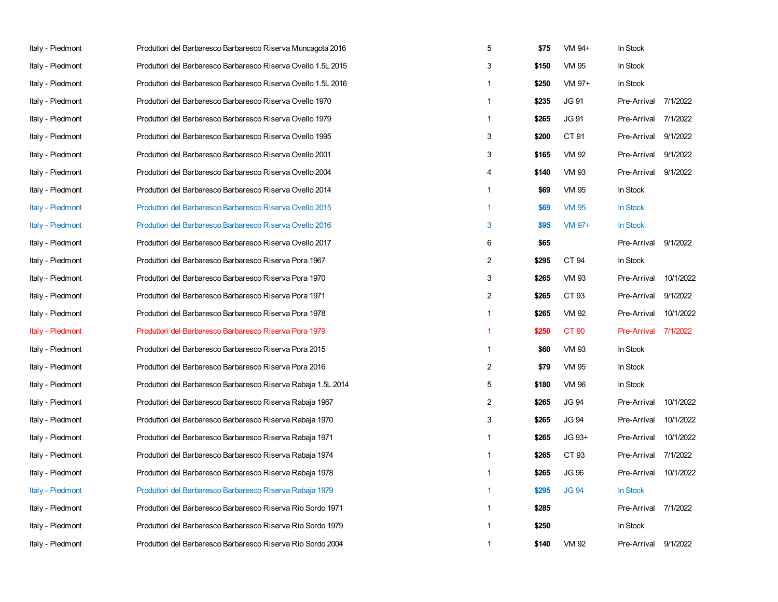| Italy - Piedmont        | Produttori del Barbaresco Barbaresco Riserva Muncagota 2016   | 5              | \$75  | VM 94+       | In Stock           |           |
|-------------------------|---------------------------------------------------------------|----------------|-------|--------------|--------------------|-----------|
| Italy - Piedmont        | Produttori del Barbaresco Barbaresco Riserva Ovello 1.5L 2015 | 3              | \$150 | VM 95        | In Stock           |           |
| Italy - Piedmont        | Produttori del Barbaresco Barbaresco Riserva Ovello 1.5L 2016 | $\mathbf{1}$   | \$250 | VM 97+       | In Stock           |           |
| Italy - Piedmont        | Produttori del Barbaresco Barbaresco Riserva Ovello 1970      | 1              | \$235 | JG 91        | Pre-Arrival        | 7/1/2022  |
| Italy - Piedmont        | Produttori del Barbaresco Barbaresco Riserva Ovello 1979      | $\mathbf{1}$   | \$265 | <b>JG 91</b> | Pre-Arrival        | 7/1/2022  |
| Italy - Piedmont        | Produttori del Barbaresco Barbaresco Riserva Ovello 1995      | 3              | \$200 | CT 91        | Pre-Arrival        | 9/1/2022  |
| Italy - Piedmont        | Produttori del Barbaresco Barbaresco Riserva Ovello 2001      | 3              | \$165 | VM 92        | Pre-Arrival        | 9/1/2022  |
| Italy - Piedmont        | Produttori del Barbaresco Barbaresco Riserva Ovello 2004      | 4              | \$140 | VM 93        | Pre-Arrival        | 9/1/2022  |
| Italy - Piedmont        | Produttori del Barbaresco Barbaresco Riserva Ovello 2014      | 1              | \$69  | <b>VM 95</b> | In Stock           |           |
| Italy - Piedmont        | Produttori del Barbaresco Barbaresco Riserva Ovello 2015      | $\mathbf{1}$   | \$69  | <b>VM 95</b> | In Stock           |           |
| Italy - Piedmont        | Produttori del Barbaresco Barbaresco Riserva Ovello 2016      | 3              | \$95  | VM 97+       | In Stock           |           |
| Italy - Piedmont        | Produttori del Barbaresco Barbaresco Riserva Ovello 2017      | 6              | \$65  |              | Pre-Arrival        | 9/1/2022  |
| Italy - Piedmont        | Produttori del Barbaresco Barbaresco Riserva Pora 1967        | $\overline{2}$ | \$295 | CT 94        | In Stock           |           |
| Italy - Piedmont        | Produttori del Barbaresco Barbaresco Riserva Pora 1970        | 3              | \$265 | <b>VM 93</b> | Pre-Arrival        | 10/1/2022 |
| Italy - Piedmont        | Produttori del Barbaresco Barbaresco Riserva Pora 1971        | $\overline{2}$ | \$265 | CT 93        | Pre-Arrival        | 9/1/2022  |
| Italy - Piedmont        | Produttori del Barbaresco Barbaresco Riserva Pora 1978        | $\mathbf{1}$   | \$265 | VM 92        | Pre-Arrival        | 10/1/2022 |
| <b>Italy - Piedmont</b> | Produttori del Barbaresco Barbaresco Riserva Pora 1979        | 1              | \$250 | CT 90        | <b>Pre-Arrival</b> | 7/1/2022  |
| Italy - Piedmont        | Produttori del Barbaresco Barbaresco Riserva Pora 2015        | $\mathbf{1}$   | \$60  | <b>VM 93</b> | In Stock           |           |
| Italy - Piedmont        | Produttori del Barbaresco Barbaresco Riserva Pora 2016        | 2              | \$79  | <b>VM 95</b> | In Stock           |           |
| Italy - Piedmont        | Produttori del Barbaresco Barbaresco Riserva Rabaja 1.5L 2014 | 5              | \$180 | VM 96        | In Stock           |           |
| Italy - Piedmont        | Produttori del Barbaresco Barbaresco Riserva Rabaja 1967      | 2              | \$265 | <b>JG 94</b> | Pre-Arrival        | 10/1/2022 |
| Italy - Piedmont        | Produttori del Barbaresco Barbaresco Riserva Rabaja 1970      | 3              | \$265 | <b>JG 94</b> | Pre-Arrival        | 10/1/2022 |
| Italy - Piedmont        | Produttori del Barbaresco Barbaresco Riserva Rabaja 1971      | $\mathbf{1}$   | \$265 | JG 93+       | Pre-Arrival        | 10/1/2022 |
| Italy - Piedmont        | Produttori del Barbaresco Barbaresco Riserva Rabaja 1974      | $\mathbf{1}$   | \$265 | CT 93        | Pre-Arrival        | 7/1/2022  |
| Italy - Piedmont        | Produttori del Barbaresco Barbaresco Riserva Rabaja 1978      | 1              | \$265 | <b>JG 96</b> | Pre-Arrival        | 10/1/2022 |
| Italy - Piedmont        | Produttori del Barbaresco Barbaresco Riserva Rabaja 1979      | 1              | \$295 | <b>JG 94</b> | In Stock           |           |
| Italy - Piedmont        | Produttori del Barbaresco Barbaresco Riserva Rio Sordo 1971   | $\mathbf{1}$   | \$285 |              | Pre-Arrival        | 7/1/2022  |
| Italy - Piedmont        | Produttori del Barbaresco Barbaresco Riserva Rio Sordo 1979   | 1              | \$250 |              | In Stock           |           |
| Italy - Piedmont        | Produttori del Barbaresco Barbaresco Riserva Rio Sordo 2004   | 1              | \$140 | VM 92        | Pre-Arrival        | 9/1/2022  |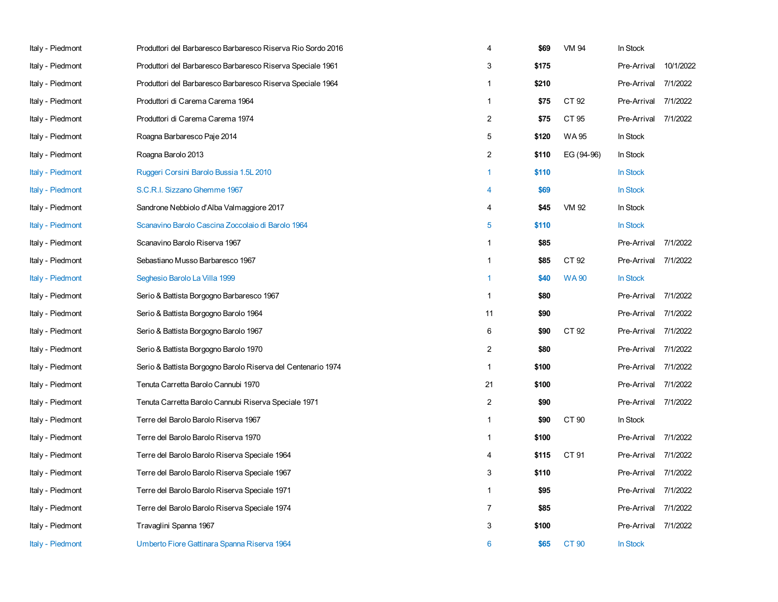| Italy - Piedmont | Produttori del Barbaresco Barbaresco Riserva Rio Sordo 2016  | 4              | \$69  | VM 94        | In Stock             |           |
|------------------|--------------------------------------------------------------|----------------|-------|--------------|----------------------|-----------|
| Italy - Piedmont | Produttori del Barbaresco Barbaresco Riserva Speciale 1961   | 3              | \$175 |              | Pre-Arrival          | 10/1/2022 |
| Italy - Piedmont | Produttori del Barbaresco Barbaresco Riserva Speciale 1964   | $\mathbf{1}$   | \$210 |              | Pre-Arrival          | 7/1/2022  |
| Italy - Piedmont | Produttori di Carema Carema 1964                             | $\mathbf{1}$   | \$75  | CT 92        | Pre-Arrival          | 7/1/2022  |
| Italy - Piedmont | Produttori di Carema Carema 1974                             | $\overline{c}$ | \$75  | CT 95        | Pre-Arrival 7/1/2022 |           |
| Italy - Piedmont | Roagna Barbaresco Paje 2014                                  | 5              | \$120 | <b>WA95</b>  | In Stock             |           |
| Italy - Piedmont | Roagna Barolo 2013                                           | $\overline{2}$ | \$110 | EG (94-96)   | In Stock             |           |
| Italy - Piedmont | Ruggeri Corsini Barolo Bussia 1.5L 2010                      | $\mathbf{1}$   | \$110 |              | In Stock             |           |
| Italy - Piedmont | S.C.R.I. Sizzano Ghemme 1967                                 | 4              | \$69  |              | In Stock             |           |
| Italy - Piedmont | Sandrone Nebbiolo d'Alba Valmaggiore 2017                    | 4              | \$45  | VM 92        | In Stock             |           |
| Italy - Piedmont | Scanavino Barolo Cascina Zoccolaio di Barolo 1964            | 5              | \$110 |              | In Stock             |           |
| Italy - Piedmont | Scanavino Barolo Riserva 1967                                | $\mathbf{1}$   | \$85  |              | Pre-Arrival 7/1/2022 |           |
| Italy - Piedmont | Sebastiano Musso Barbaresco 1967                             | $\mathbf{1}$   | \$85  | CT 92        | Pre-Arrival          | 7/1/2022  |
| Italy - Piedmont | Seghesio Barolo La Villa 1999                                | 1              | \$40  | <b>WA90</b>  | In Stock             |           |
| Italy - Piedmont | Serio & Battista Borgogno Barbaresco 1967                    | 1              | \$80  |              | Pre-Arrival          | 7/1/2022  |
| Italy - Piedmont | Serio & Battista Borgogno Barolo 1964                        | 11             | \$90  |              | Pre-Arrival          | 7/1/2022  |
| Italy - Piedmont | Serio & Battista Borgogno Barolo 1967                        | 6              | \$90  | CT 92        | Pre-Arrival 7/1/2022 |           |
| Italy - Piedmont | Serio & Battista Borgogno Barolo 1970                        | $\overline{2}$ | \$80  |              | Pre-Arrival          | 7/1/2022  |
| Italy - Piedmont | Serio & Battista Borgogno Barolo Riserva del Centenario 1974 | 1              | \$100 |              | Pre-Arrival          | 7/1/2022  |
| Italy - Piedmont | Tenuta Carretta Barolo Cannubi 1970                          | 21             | \$100 |              | Pre-Arrival          | 7/1/2022  |
| Italy - Piedmont | Tenuta Carretta Barolo Cannubi Riserva Speciale 1971         | $\overline{2}$ | \$90  |              | Pre-Arrival 7/1/2022 |           |
| Italy - Piedmont | Terre del Barolo Barolo Riserva 1967                         | $\mathbf{1}$   | \$90  | CT 90        | In Stock             |           |
| Italy - Piedmont | Terre del Barolo Barolo Riserva 1970                         | $\mathbf{1}$   | \$100 |              | Pre-Arrival          | 7/1/2022  |
| Italy - Piedmont | Terre del Barolo Barolo Riserva Speciale 1964                | 4              | \$115 | CT 91        | Pre-Arrival          | 7/1/2022  |
| Italy - Piedmont | Terre del Barolo Barolo Riserva Speciale 1967                | 3              | \$110 |              | Pre-Arrival          | 7/1/2022  |
| Italy - Piedmont | Terre del Barolo Barolo Riserva Speciale 1971                | $\mathbf{1}$   | \$95  |              | Pre-Arrival          | 7/1/2022  |
| Italy - Piedmont | Terre del Barolo Barolo Riserva Speciale 1974                | $\overline{7}$ | \$85  |              | Pre-Arrival          | 7/1/2022  |
| Italy - Piedmont | Travaglini Spanna 1967                                       | 3              | \$100 |              | Pre-Arrival 7/1/2022 |           |
| Italy - Piedmont | Umberto Fiore Gattinara Spanna Riserva 1964                  | 6              | \$65  | <b>CT 90</b> | In Stock             |           |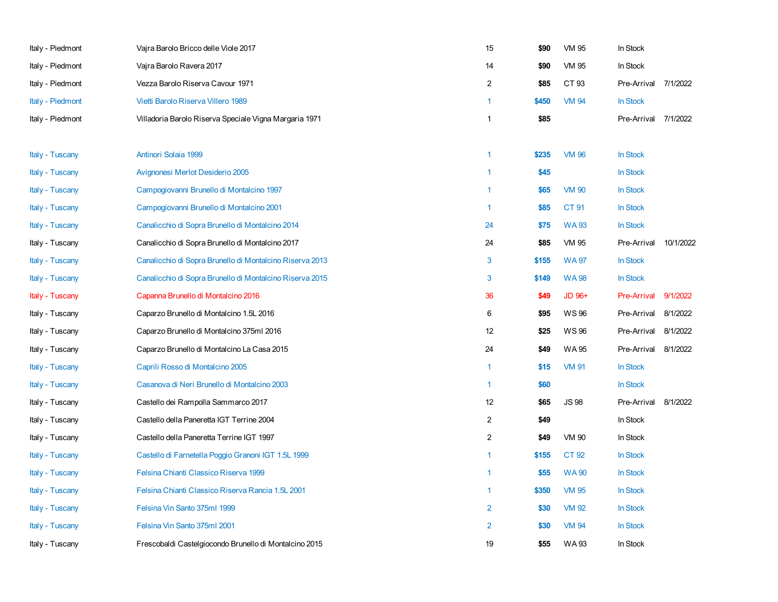| Italy - Piedmont | Vajra Barolo Bricco delle Viole 2017                     | 15             | \$90  | <b>VM 95</b> | In Stock           |           |
|------------------|----------------------------------------------------------|----------------|-------|--------------|--------------------|-----------|
| Italy - Piedmont | Vajra Barolo Ravera 2017                                 | 14             | \$90  | VM 95        | In Stock           |           |
| Italy - Piedmont | Vezza Barolo Riserva Cavour 1971                         | $\overline{2}$ | \$85  | CT 93        | Pre-Arrival        | 7/1/2022  |
| Italy - Piedmont | Vietti Barolo Riserva Villero 1989                       | $\mathbf{1}$   | \$450 | <b>VM 94</b> | In Stock           |           |
| Italy - Piedmont | Villadoria Barolo Riserva Speciale Vigna Margaria 1971   | $\mathbf{1}$   | \$85  |              | Pre-Arrival        | 7/1/2022  |
| Italy - Tuscany  | Antinori Solaia 1999                                     | $\mathbf{1}$   | \$235 | <b>VM 96</b> | In Stock           |           |
| Italy - Tuscany  | Avignonesi Merlot Desiderio 2005                         | $\mathbf{1}$   | \$45  |              | In Stock           |           |
| Italy - Tuscany  | Campogiovanni Brunello di Montalcino 1997                | $\mathbf{1}$   | \$65  | <b>VM 90</b> | In Stock           |           |
| Italy - Tuscany  | Campogiovanni Brunello di Montalcino 2001                | $\mathbf{1}$   | \$85  | <b>CT 91</b> | In Stock           |           |
| Italy - Tuscany  | Canalicchio di Sopra Brunello di Montalcino 2014         | 24             | \$75  | <b>WA93</b>  | In Stock           |           |
| Italy - Tuscany  | Canalicchio di Sopra Brunello di Montalcino 2017         | 24             | \$85  | <b>VM 95</b> | Pre-Arrival        | 10/1/2022 |
| Italy - Tuscany  | Canalicchio di Sopra Brunello di Montalcino Riserva 2013 | $\mathbf{3}$   | \$155 | <b>WA97</b>  | In Stock           |           |
| Italy - Tuscany  | Canalicchio di Sopra Brunello di Montalcino Riserva 2015 | 3              | \$149 | <b>WA98</b>  | In Stock           |           |
| Italy - Tuscany  | Capanna Brunello di Montalcino 2016                      | 36             | \$49  | JD 96+       | <b>Pre-Arrival</b> | 9/1/2022  |
| Italy - Tuscany  | Caparzo Brunello di Montalcino 1.5L 2016                 | 6              | \$95  | <b>WS96</b>  | Pre-Arrival        | 8/1/2022  |
| Italy - Tuscany  | Caparzo Brunello di Montalcino 375ml 2016                | 12             | \$25  | <b>WS96</b>  | Pre-Arrival        | 8/1/2022  |
| Italy - Tuscany  | Caparzo Brunello di Montalcino La Casa 2015              | 24             | \$49  | WA 95        | Pre-Arrival        | 8/1/2022  |
| Italy - Tuscany  | Caprili Rosso di Montalcino 2005                         | $\mathbf{1}$   | \$15  | <b>VM 91</b> | In Stock           |           |
| Italy - Tuscany  | Casanova di Neri Brunello di Montalcino 2003             | $\mathbf{1}$   | \$60  |              | In Stock           |           |
| Italy - Tuscany  | Castello dei Rampolla Sammarco 2017                      | 12             | \$65  | <b>JS98</b>  | Pre-Arrival        | 8/1/2022  |
| Italy - Tuscany  | Castello della Paneretta IGT Terrine 2004                | $\overline{a}$ | \$49  |              | In Stock           |           |
| Italy - Tuscany  | Castello della Paneretta Terrine IGT 1997                | $\overline{c}$ | \$49  | <b>VM 90</b> | In Stock           |           |
| Italy - Tuscany  | Castello di Farnetella Poggio Granoni IGT 1.5L 1999      | $\mathbf{1}$   | \$155 | CT 92        | In Stock           |           |
| Italy - Tuscany  | Felsina Chianti Classico Riserva 1999                    | $\mathbf{1}$   | \$55  | <b>WA90</b>  | In Stock           |           |
| Italy - Tuscany  | Felsina Chianti Classico Riserva Rancia 1.5L 2001        | $\mathbf{1}$   | \$350 | <b>VM 95</b> | In Stock           |           |
| Italy - Tuscany  | Felsina Vin Santo 375ml 1999                             | $\overline{2}$ | \$30  | <b>VM 92</b> | In Stock           |           |
| Italy - Tuscany  | Felsina Vin Santo 375ml 2001                             | $\overline{2}$ | \$30  | <b>VM 94</b> | In Stock           |           |
| Italy - Tuscany  | Frescobaldi Castelgiocondo Brunello di Montalcino 2015   | 19             | \$55  | <b>WA93</b>  | In Stock           |           |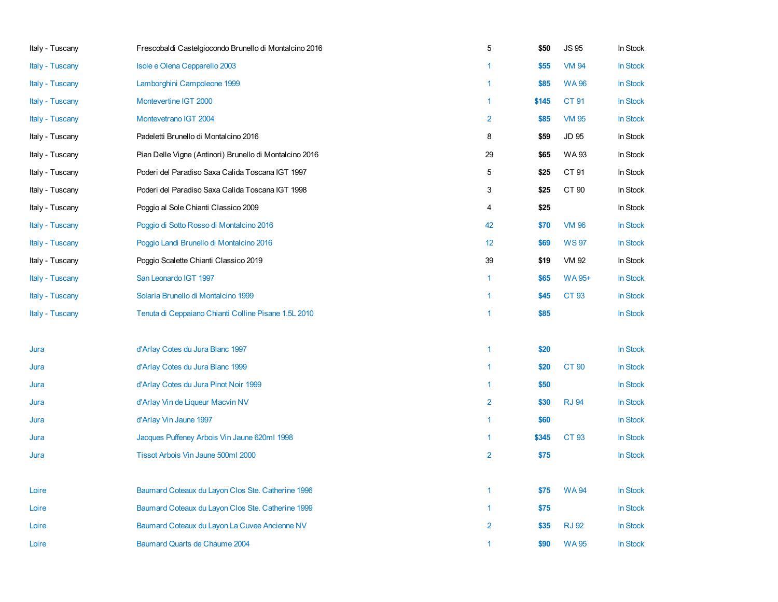| Italy - Tuscany | Frescobaldi Castelgiocondo Brunello di Montalcino 2016  | $\,$ 5 $\,$    | \$50  | <b>JS 95</b>  | In Stock |
|-----------------|---------------------------------------------------------|----------------|-------|---------------|----------|
| Italy - Tuscany | Isole e Olena Cepparello 2003                           | $\mathbf{1}$   | \$55  | <b>VM 94</b>  | In Stock |
| Italy - Tuscany | Lamborghini Campoleone 1999                             | $\mathbf{1}$   | \$85  | <b>WA96</b>   | In Stock |
| Italy - Tuscany | Montevertine IGT 2000                                   | $\mathbf{1}$   | \$145 | CT 91         | In Stock |
| Italy - Tuscany | Montevetrano IGT 2004                                   | $\overline{2}$ | \$85  | <b>VM 95</b>  | In Stock |
| Italy - Tuscany | Padeletti Brunello di Montalcino 2016                   | 8              | \$59  | JD 95         | In Stock |
| Italy - Tuscany | Pian Delle Vigne (Antinori) Brunello di Montalcino 2016 | 29             | \$65  | <b>WA93</b>   | In Stock |
| Italy - Tuscany | Poderi del Paradiso Saxa Calida Toscana IGT 1997        | 5              | \$25  | CT 91         | In Stock |
| Italy - Tuscany | Poderi del Paradiso Saxa Calida Toscana IGT 1998        | 3              | \$25  | CT 90         | In Stock |
| Italy - Tuscany | Poggio al Sole Chianti Classico 2009                    | 4              | \$25  |               | In Stock |
| Italy - Tuscany | Poggio di Sotto Rosso di Montalcino 2016                | 42             | \$70  | <b>VM 96</b>  | In Stock |
| Italy - Tuscany | Poggio Landi Brunello di Montalcino 2016                | 12             | \$69  | <b>WS97</b>   | In Stock |
| Italy - Tuscany | Poggio Scalette Chianti Classico 2019                   | 39             | \$19  | VM 92         | In Stock |
| Italy - Tuscany | San Leonardo IGT 1997                                   | $\mathbf{1}$   | \$65  | <b>WA 95+</b> | In Stock |
| Italy - Tuscany | Solaria Brunello di Montalcino 1999                     | $\overline{1}$ | \$45  | CT 93         | In Stock |
| Italy - Tuscany | Tenuta di Ceppaiano Chianti Colline Pisane 1.5L 2010    | $\mathbf{1}$   | \$85  |               | In Stock |
|                 |                                                         |                |       |               |          |
| Jura            | d'Arlay Cotes du Jura Blanc 1997                        | $\overline{1}$ | \$20  |               | In Stock |
| Jura            | d'Arlay Cotes du Jura Blanc 1999                        | $\mathbf{1}$   | \$20  | <b>CT 90</b>  | In Stock |
| Jura            | d'Arlay Cotes du Jura Pinot Noir 1999                   | $\overline{1}$ | \$50  |               | In Stock |
| Jura            | d'Arlay Vin de Liqueur Macvin NV                        | $\overline{2}$ | \$30  | <b>RJ 94</b>  | In Stock |
| Jura            | d'Arlay Vin Jaune 1997                                  | $\mathbf{1}$   | \$60  |               | In Stock |
| Jura            | Jacques Puffeney Arbois Vin Jaune 620ml 1998            | $\mathbf{1}$   | \$345 | CT 93         | In Stock |
| Jura            | Tissot Arbois Vin Jaune 500ml 2000                      | $\overline{2}$ | \$75  |               | In Stock |
|                 |                                                         |                |       |               |          |
| Loire           | Baumard Coteaux du Layon Clos Ste. Catherine 1996       | $\mathbf{1}$   | \$75  | <b>WA94</b>   | In Stock |
| Loire           | Baumard Coteaux du Layon Clos Ste. Catherine 1999       | $\mathbf{1}$   | \$75  |               | In Stock |
| Loire           | Baumard Coteaux du Layon La Cuvee Ancienne NV           | $\overline{2}$ | \$35  | <b>RJ 92</b>  | In Stock |
| Loire           | Baumard Quarts de Chaume 2004                           | $\overline{1}$ | \$90  | <b>WA95</b>   | In Stock |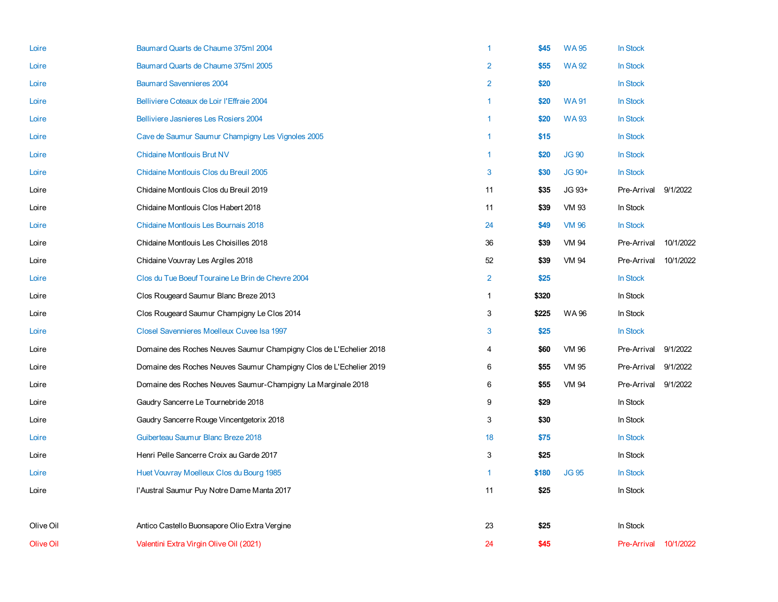| Loire            | Baumard Quarts de Chaume 375ml 2004                                | 1              | \$45  | <b>WA95</b>  | In Stock                     |           |
|------------------|--------------------------------------------------------------------|----------------|-------|--------------|------------------------------|-----------|
| Loire            | Baumard Quarts de Chaume 375ml 2005                                | $\overline{2}$ | \$55  | <b>WA92</b>  | In Stock                     |           |
| Loire            | <b>Baumard Savennieres 2004</b>                                    | $\overline{2}$ | \$20  |              | In Stock                     |           |
| Loire            | Belliviere Coteaux de Loir l'Effraie 2004                          | 1              | \$20  | <b>WA91</b>  | In Stock                     |           |
| Loire            | Belliviere Jasnieres Les Rosiers 2004                              | $\mathbf{1}$   | \$20  | <b>WA93</b>  | In Stock                     |           |
| Loire            | Cave de Saumur Saumur Champigny Les Vignoles 2005                  | 1              | \$15  |              | In Stock                     |           |
| Loire            | <b>Chidaine Montlouis Brut NV</b>                                  | 1              | \$20  | <b>JG 90</b> | In Stock                     |           |
| Loire            | Chidaine Montlouis Clos du Breuil 2005                             | 3              | \$30  | JG 90+       | In Stock                     |           |
| Loire            | Chidaine Montlouis Clos du Breuil 2019                             | 11             | \$35  | JG 93+       | Pre-Arrival                  | 9/1/2022  |
| Loire            | Chidaine Montlouis Clos Habert 2018                                | 11             | \$39  | <b>VM 93</b> | In Stock                     |           |
| Loire            | Chidaine Montlouis Les Bournais 2018                               | 24             | \$49  | <b>VM 96</b> | In Stock                     |           |
| Loire            | Chidaine Montlouis Les Choisilles 2018                             | 36             | \$39  | VM 94        | Pre-Arrival                  | 10/1/2022 |
| Loire            | Chidaine Vouvray Les Argiles 2018                                  | 52             | \$39  | <b>VM 94</b> | Pre-Arrival                  | 10/1/2022 |
| Loire            | Clos du Tue Boeuf Touraine Le Brin de Chevre 2004                  | $\overline{2}$ | \$25  |              | In Stock                     |           |
| Loire            | Clos Rougeard Saumur Blanc Breze 2013                              | $\mathbf{1}$   | \$320 |              | In Stock                     |           |
| Loire            | Clos Rougeard Saumur Champigny Le Clos 2014                        | 3              | \$225 | WA 96        | In Stock                     |           |
| Loire            | Closel Savennieres Moelleux Cuvee Isa 1997                         | 3              | \$25  |              | In Stock                     |           |
| Loire            | Domaine des Roches Neuves Saumur Champigny Clos de L'Echelier 2018 | 4              | \$60  | <b>VM 96</b> | Pre-Arrival                  | 9/1/2022  |
| Loire            | Domaine des Roches Neuves Saumur Champigny Clos de L'Echelier 2019 | 6              | \$55  | VM 95        | Pre-Arrival                  | 9/1/2022  |
| Loire            | Domaine des Roches Neuves Saumur-Champigny La Marginale 2018       | 6              | \$55  | <b>VM 94</b> | Pre-Arrival                  | 9/1/2022  |
| Loire            | Gaudry Sancerre Le Tournebride 2018                                | 9              | \$29  |              | In Stock                     |           |
| Loire            | Gaudry Sancerre Rouge Vincentgetorix 2018                          | 3              | \$30  |              | In Stock                     |           |
| Loire            | Guiberteau Saumur Blanc Breze 2018                                 | 18             | \$75  |              | In Stock                     |           |
| Loire            | Henri Pelle Sancerre Croix au Garde 2017                           | 3              | \$25  |              | In Stock                     |           |
| Loire            | Huet Vouvray Moelleux Clos du Bourg 1985                           | $\mathbf{1}$   | \$180 | <b>JG 95</b> | In Stock                     |           |
| Loire            | l'Austral Saumur Puy Notre Dame Manta 2017                         | 11             | \$25  |              | In Stock                     |           |
|                  |                                                                    |                |       |              |                              |           |
| Olive Oil        | Antico Castello Buonsapore Olio Extra Vergine                      | 23             | \$25  |              | In Stock                     |           |
| <b>Olive Oil</b> | Valentini Extra Virgin Olive Oil (2021)                            | 24             | \$45  |              | <b>Pre-Arrival 10/1/2022</b> |           |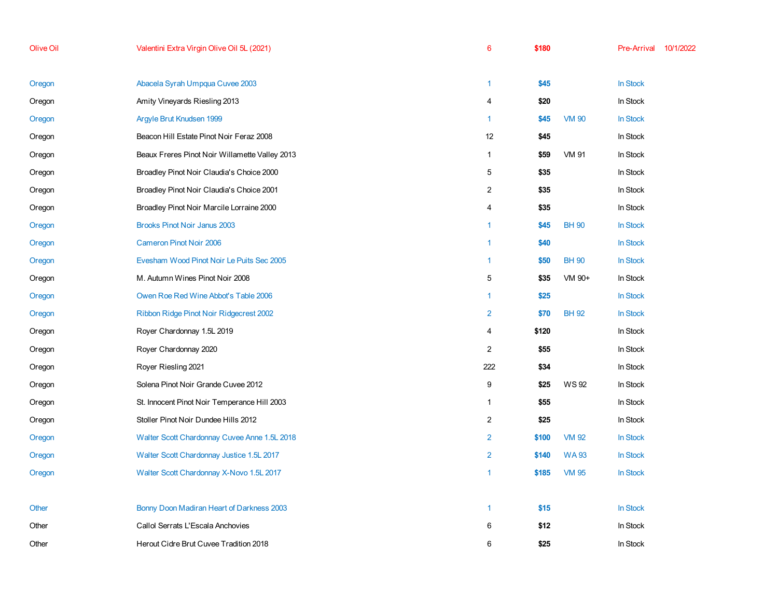| <b>Olive Oil</b> | Valentini Extra Virgin Olive Oil 5L (2021)     | $6\phantom{1}6$ | \$180 |              | Pre-Arrival     | 10/1/2022 |
|------------------|------------------------------------------------|-----------------|-------|--------------|-----------------|-----------|
| Oregon           | Abacela Syrah Umpqua Cuvee 2003                | $\overline{1}$  | \$45  |              | <b>In Stock</b> |           |
| Oregon           | Amity Vineyards Riesling 2013                  | 4               | \$20  |              | In Stock        |           |
| Oregon           | Argyle Brut Knudsen 1999                       | $\overline{1}$  | \$45  | <b>VM 90</b> | <b>In Stock</b> |           |
| Oregon           | Beacon Hill Estate Pinot Noir Feraz 2008       | 12              | \$45  |              | In Stock        |           |
| Oregon           | Beaux Freres Pinot Noir Willamette Valley 2013 | $\mathbf{1}$    | \$59  | <b>VM 91</b> | In Stock        |           |
| Oregon           | Broadley Pinot Noir Claudia's Choice 2000      | 5               | \$35  |              | In Stock        |           |
| Oregon           | Broadley Pinot Noir Claudia's Choice 2001      | $\overline{c}$  | \$35  |              | In Stock        |           |
| Oregon           | Broadley Pinot Noir Marcile Lorraine 2000      | 4               | \$35  |              | In Stock        |           |
| Oregon           | Brooks Pinot Noir Janus 2003                   | $\mathbf{1}$    | \$45  | <b>BH 90</b> | In Stock        |           |
| Oregon           | Cameron Pinot Noir 2006                        | $\mathbf{1}$    | \$40  |              | In Stock        |           |
| Oregon           | Evesham Wood Pinot Noir Le Puits Sec 2005      | $\mathbf{1}$    | \$50  | <b>BH 90</b> | In Stock        |           |
| Oregon           | M. Autumn Wines Pinot Noir 2008                | 5               | \$35  | VM 90+       | In Stock        |           |
| Oregon           | Owen Roe Red Wine Abbot's Table 2006           | $\mathbf{1}$    | \$25  |              | In Stock        |           |
| Oregon           | Ribbon Ridge Pinot Noir Ridgecrest 2002        | $\overline{2}$  | \$70  | <b>BH 92</b> | In Stock        |           |
| Oregon           | Royer Chardonnay 1.5L 2019                     | 4               | \$120 |              | In Stock        |           |
| Oregon           | Royer Chardonnay 2020                          | $\overline{2}$  | \$55  |              | In Stock        |           |
| Oregon           | Royer Riesling 2021                            | 222             | \$34  |              | In Stock        |           |
| Oregon           | Solena Pinot Noir Grande Cuvee 2012            | 9               | \$25  | <b>WS92</b>  | In Stock        |           |
| Oregon           | St. Innocent Pinot Noir Temperance Hill 2003   | $\mathbf{1}$    | \$55  |              | In Stock        |           |
| Oregon           | Stoller Pinot Noir Dundee Hills 2012           | $\overline{c}$  | \$25  |              | In Stock        |           |
| Oregon           | Walter Scott Chardonnay Cuvee Anne 1.5L 2018   | $\overline{2}$  | \$100 | <b>VM 92</b> | In Stock        |           |
| Oregon           | Walter Scott Chardonnay Justice 1.5L 2017      | $\overline{2}$  | \$140 | <b>WA93</b>  | <b>In Stock</b> |           |
| Oregon           | Walter Scott Chardonnay X-Novo 1.5L 2017       | $\overline{1}$  | \$185 | <b>VM 95</b> | In Stock        |           |
| Other            | Bonny Doon Madiran Heart of Darkness 2003      | $\mathbf{1}$    | \$15  |              | <b>In Stock</b> |           |
| Other            | Callol Serrats L'Escala Anchovies              | 6               | \$12  |              | In Stock        |           |
| Other            | Herout Cidre Brut Cuvee Tradition 2018         | 6               | \$25  |              | In Stock        |           |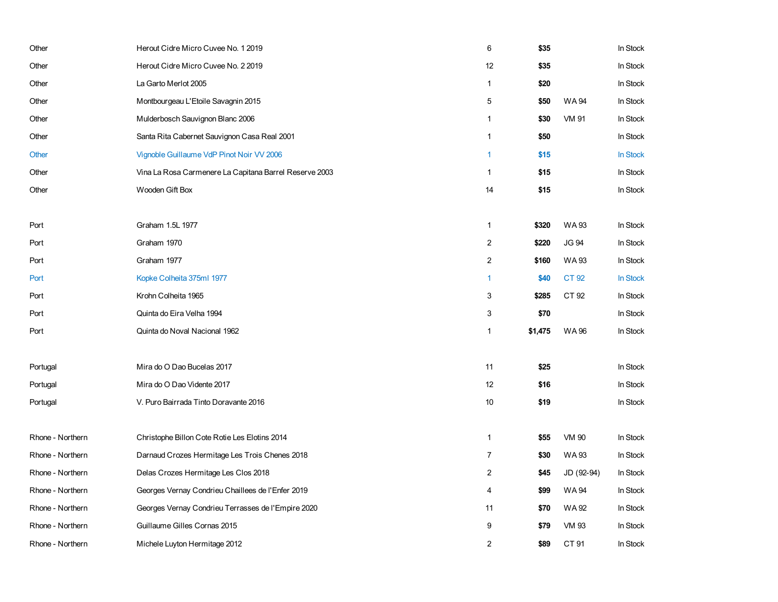| Other            | Herout Cidre Micro Cuvee No. 1 2019                    | 6                       | \$35    |              | In Stock |
|------------------|--------------------------------------------------------|-------------------------|---------|--------------|----------|
| Other            | Herout Cidre Micro Cuvee No. 2 2019                    | 12                      | \$35    |              | In Stock |
| Other            | La Garto Merlot 2005                                   | $\mathbf{1}$            | \$20    |              | In Stock |
| Other            | Montbourgeau L'Etoile Savagnin 2015                    | $\,$ 5 $\,$             | \$50    | <b>WA94</b>  | In Stock |
| Other            | Mulderbosch Sauvignon Blanc 2006                       | $\mathbf{1}$            | \$30    | <b>VM 91</b> | In Stock |
| Other            | Santa Rita Cabernet Sauvignon Casa Real 2001           | $\mathbf{1}$            | \$50    |              | In Stock |
| Other            | Vignoble Guillaume VdP Pinot Noir VV 2006              | 1                       | \$15    |              | In Stock |
| Other            | Vina La Rosa Carmenere La Capitana Barrel Reserve 2003 | $\mathbf{1}$            | \$15    |              | In Stock |
| Other            | Wooden Gift Box                                        | 14                      | \$15    |              | In Stock |
|                  |                                                        |                         |         |              |          |
| Port             | Graham 1.5L 1977                                       | $\mathbf{1}$            | \$320   | WA 93        | In Stock |
| Port             | Graham 1970                                            | $\overline{2}$          | \$220   | <b>JG 94</b> | In Stock |
| Port             | Graham 1977                                            | $\boldsymbol{2}$        | \$160   | <b>WA93</b>  | In Stock |
| Port             | Kopke Colheita 375ml 1977                              | 1                       | \$40    | CT 92        | In Stock |
| Port             | Krohn Colheita 1965                                    | 3                       | \$285   | CT 92        | In Stock |
| Port             | Quinta do Eira Velha 1994                              | 3                       | \$70    |              | In Stock |
| Port             | Quinta do Noval Nacional 1962                          | 1                       | \$1,475 | <b>WA96</b>  | In Stock |
|                  |                                                        |                         |         |              |          |
| Portugal         | Mira do O Dao Bucelas 2017                             | 11                      | \$25    |              | In Stock |
| Portugal         | Mira do O Dao Vidente 2017                             | 12                      | \$16    |              | In Stock |
| Portugal         | V. Puro Bairrada Tinto Doravante 2016                  | 10                      | \$19    |              | In Stock |
|                  |                                                        |                         |         |              |          |
| Rhone - Northern | Christophe Billon Cote Rotie Les Elotins 2014          | $\mathbf{1}$            | \$55    | <b>VM 90</b> | In Stock |
| Rhone - Northern | Darnaud Crozes Hermitage Les Trois Chenes 2018         | $\overline{7}$          | \$30    | <b>WA93</b>  | In Stock |
| Rhone - Northern | Delas Crozes Hermitage Les Clos 2018                   | $\overline{\mathbf{c}}$ | \$45    | JD (92-94)   | In Stock |
| Rhone - Northern | Georges Vernay Condrieu Chaillees de l'Enfer 2019      | 4                       | \$99    | <b>WA94</b>  | In Stock |
| Rhone - Northern | Georges Vernay Condrieu Terrasses de l'Empire 2020     | 11                      | \$70    | WA 92        | In Stock |
| Rhone - Northern | Guillaume Gilles Cornas 2015                           | 9                       | \$79    | <b>VM 93</b> | In Stock |
| Rhone - Northern | Michele Luyton Hermitage 2012                          | 2                       | \$89    | CT 91        | In Stock |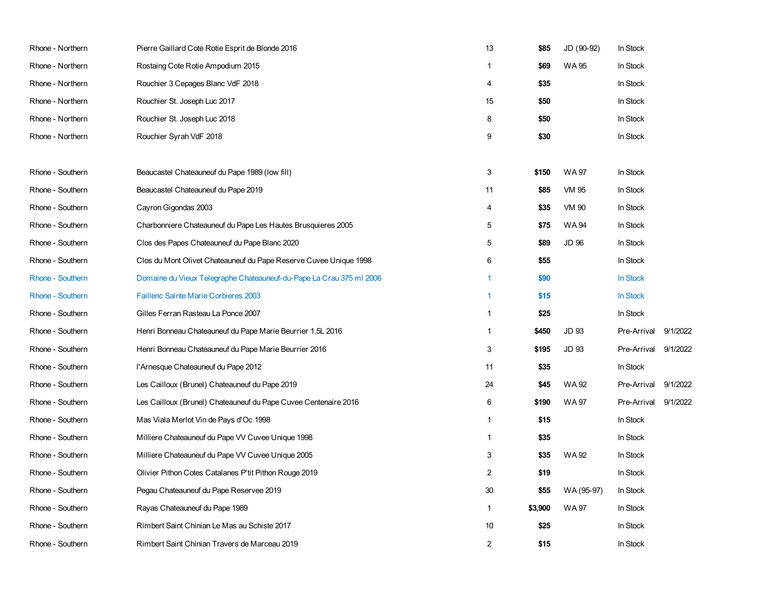| Rhone - Northern | Pierre Gaillard Cote Rotie Esprit de Blonde 2016                    | 13             | \$85    | JD (90-92)   | In Stock    |          |
|------------------|---------------------------------------------------------------------|----------------|---------|--------------|-------------|----------|
| Rhone - Northern | Rostaing Cote Rotie Ampodium 2015                                   | 1              | \$69    | WA 95        | In Stock    |          |
| Rhone - Northern | Rouchier 3 Cepages Blanc VdF 2018                                   | 4              | \$35    |              | In Stock    |          |
| Rhone - Northern | Rouchier St. Joseph Luc 2017                                        | 15             | \$50    |              | In Stock    |          |
| Rhone - Northern | Rouchier St. Joseph Luc 2018                                        | 8              | \$50    |              | In Stock    |          |
| Rhone - Northern | Rouchier Syrah VdF 2018                                             | 9              | \$30    |              | In Stock    |          |
|                  |                                                                     |                |         |              |             |          |
| Rhone - Southern | Beaucastel Chateauneuf du Pape 1989 (low fill)                      | 3              | \$150   | <b>WA97</b>  | In Stock    |          |
| Rhone - Southern | Beaucastel Chateauneuf du Pape 2019                                 | 11             | \$85    | <b>VM 95</b> | In Stock    |          |
| Rhone - Southern | Cayron Gigondas 2003                                                | 4              | \$35    | <b>VM 90</b> | In Stock    |          |
| Rhone - Southern | Charbonniere Chateauneuf du Pape Les Hautes Brusquieres 2005        | 5              | \$75    | <b>WA94</b>  | In Stock    |          |
| Rhone - Southern | Clos des Papes Chateauneuf du Pape Blanc 2020                       | 5              | \$89    | <b>JD 96</b> | In Stock    |          |
| Rhone - Southern | Clos du Mont Olivet Chateauneuf du Pape Reserve Cuvee Unique 1998   | 6              | \$55    |              | In Stock    |          |
| Rhone - Southern | Domaine du Vieux Telegraphe Chateauneuf-du-Pape La Crau 375 ml 2006 | 1              | \$90    |              | In Stock    |          |
| Rhone - Southern | Faillenc Sainte Marie Corbieres 2003                                | 1              | \$15    |              | In Stock    |          |
| Rhone - Southern | Gilles Ferran Rasteau La Ponce 2007                                 | $\mathbf{1}$   | \$25    |              | In Stock    |          |
| Rhone - Southern | Henri Bonneau Chateauneuf du Pape Marie Beurrier 1.5L 2016          | $\mathbf{1}$   | \$450   | JD 93        | Pre-Arrival | 9/1/2022 |
| Rhone - Southern | Henri Bonneau Chateauneuf du Pape Marie Beurrier 2016               | 3              | \$195   | <b>JD 93</b> | Pre-Arrival | 9/1/2022 |
| Rhone - Southern | l'Arnesque Chateauneuf du Pape 2012                                 | 11             | \$35    |              | In Stock    |          |
| Rhone - Southern | Les Cailloux (Brunel) Chateauneuf du Pape 2019                      | 24             | \$45    | WA 92        | Pre-Arrival | 9/1/2022 |
| Rhone - Southern | Les Cailloux (Brunel) Chateauneuf du Pape Cuvee Centenaire 2016     | 6              | \$190   | <b>WA97</b>  | Pre-Arrival | 9/1/2022 |
| Rhone - Southern | Mas Viala Merlot Vin de Pays d'Oc 1998                              | 1              | \$15    |              | In Stock    |          |
| Rhone - Southern | Milliere Chateauneuf du Pape VV Cuvee Unique 1998                   | $\mathbf{1}$   | \$35    |              | In Stock    |          |
| Rhone - Southern | Milliere Chateauneuf du Pape VV Cuvee Unique 2005                   | 3              | \$35    | <b>WA92</b>  | In Stock    |          |
| Rhone - Southern | Olivier Pithon Cotes Catalanes P'tit Pithon Rouge 2019              | $\overline{2}$ | \$19    |              | In Stock    |          |
| Rhone - Southern | Pegau Chateauneuf du Pape Reservee 2019                             | 30             | \$55    | WA (95-97)   | In Stock    |          |
| Rhone - Southern | Rayas Chateauneuf du Pape 1989                                      | $\mathbf{1}$   | \$3,900 | WA 97        | In Stock    |          |
| Rhone - Southern | Rimbert Saint Chinian Le Mas au Schiste 2017                        | 10             | \$25    |              | In Stock    |          |
| Rhone - Southern | Rimbert Saint Chinian Travers de Marceau 2019                       | 2              | \$15    |              | In Stock    |          |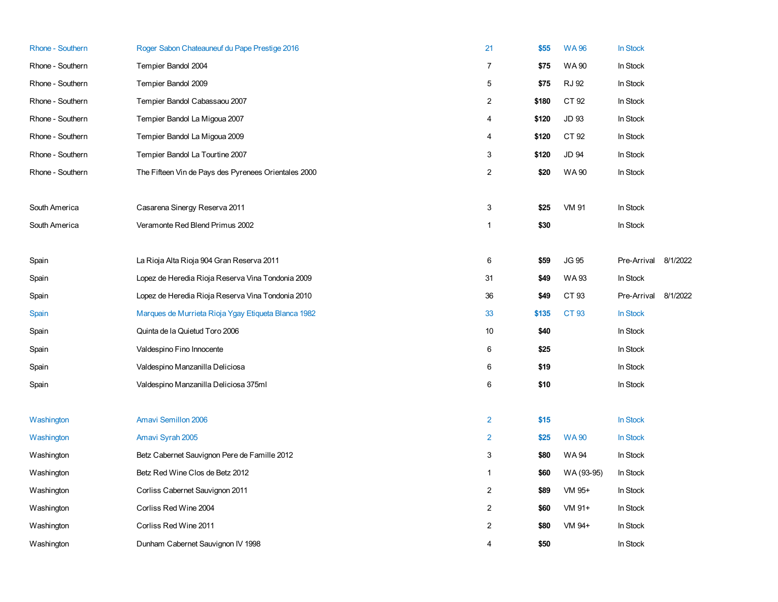| <b>Rhone - Southern</b> | Roger Sabon Chateauneuf du Pape Prestige 2016        | 21             | \$55  | <b>WA96</b>  | In Stock    |          |
|-------------------------|------------------------------------------------------|----------------|-------|--------------|-------------|----------|
| Rhone - Southern        | Tempier Bandol 2004                                  | $\overline{7}$ | \$75  | <b>WA 90</b> | In Stock    |          |
| Rhone - Southern        | Tempier Bandol 2009                                  | 5              | \$75  | <b>RJ 92</b> | In Stock    |          |
| Rhone - Southern        | Tempier Bandol Cabassaou 2007                        | $\sqrt{2}$     | \$180 | CT 92        | In Stock    |          |
| Rhone - Southern        | Tempier Bandol La Migoua 2007                        | 4              | \$120 | <b>JD 93</b> | In Stock    |          |
| Rhone - Southern        | Tempier Bandol La Migoua 2009                        | 4              | \$120 | CT 92        | In Stock    |          |
| Rhone - Southern        | Tempier Bandol La Tourtine 2007                      | 3              | \$120 | <b>JD 94</b> | In Stock    |          |
| Rhone - Southern        | The Fifteen Vin de Pays des Pyrenees Orientales 2000 | $\overline{c}$ | \$20  | <b>WA90</b>  | In Stock    |          |
| South America           | Casarena Sinergy Reserva 2011                        | 3              | \$25  | <b>VM 91</b> | In Stock    |          |
| South America           | Veramonte Red Blend Primus 2002                      | 1              | \$30  |              | In Stock    |          |
| Spain                   | La Rioja Alta Rioja 904 Gran Reserva 2011            | 6              | \$59  | <b>JG 95</b> | Pre-Arrival | 8/1/2022 |
| Spain                   | Lopez de Heredia Rioja Reserva Vina Tondonia 2009    | 31             | \$49  | WA 93        | In Stock    |          |
| Spain                   | Lopez de Heredia Rioja Reserva Vina Tondonia 2010    | 36             | \$49  | CT 93        | Pre-Arrival | 8/1/2022 |
| Spain                   | Marques de Murrieta Rioja Ygay Etiqueta Blanca 1982  | 33             | \$135 | CT 93        | In Stock    |          |
| Spain                   | Quinta de la Quietud Toro 2006                       | 10             | \$40  |              | In Stock    |          |
| Spain                   | Valdespino Fino Innocente                            | 6              | \$25  |              | In Stock    |          |
| Spain                   | Valdespino Manzanilla Deliciosa                      | 6              | \$19  |              | In Stock    |          |
| Spain                   | Valdespino Manzanilla Deliciosa 375ml                | 6              | \$10  |              | In Stock    |          |
| Washington              | <b>Amavi Semillon 2006</b>                           | $\overline{2}$ | \$15  |              | In Stock    |          |
| Washington              | Amavi Syrah 2005                                     | $\overline{2}$ | \$25  | <b>WA90</b>  | In Stock    |          |
| Washington              | Betz Cabernet Sauvignon Pere de Famille 2012         | 3              | \$80  | WA 94        | In Stock    |          |
| Washington              | Betz Red Wine Clos de Betz 2012                      | $\mathbf{1}$   | \$60  | WA (93-95)   | In Stock    |          |
| Washington              | Corliss Cabernet Sauvignon 2011                      | $\overline{c}$ | \$89  | VM 95+       | In Stock    |          |
| Washington              | Corliss Red Wine 2004                                | $\overline{2}$ | \$60  | VM 91+       | In Stock    |          |
| Washington              | Corliss Red Wine 2011                                | $\overline{2}$ | \$80  | VM 94+       | In Stock    |          |
| Washington              | Dunham Cabernet Sauvignon IV 1998                    | $\overline{4}$ | \$50  |              | In Stock    |          |